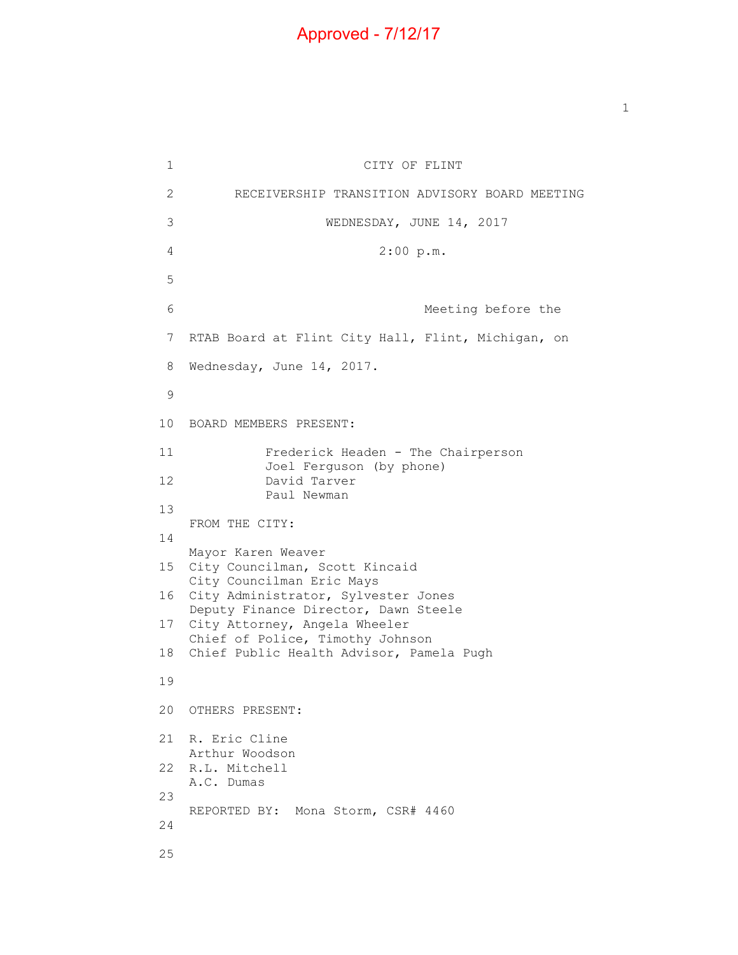## Approved - 7/12/17

 $\mathbf{1}$  $\mathbf{2}$ 3  $7<sup>7</sup>$ 8 CITY OF FLINT 2 RECEIVERSHIP TRANSITION ADVISORY BOARD MEETING WEDNESDAY, JUNE 14, 2017 4 2:00 p.m. 5 6 Meeting before the RTAB Board at Flint City Hall, Flint, Michigan, on Wednesday, June 14, 2017. 9 10 BOARD MEMBERS PRESENT: 11 Frederick Headen - The Chairperson Joel Ferguson (by phone) 12 David Tarver Paul Newman 13 FROM THE CITY: 14 Mayor Karen Weaver 15 City Councilman, Scott Kincaid City Councilman Eric Mays 16 City Administrator, Sylvester Jones Deputy Finance Director, Dawn Steele 17 City Attorney, Angela Wheeler Chief of Police, Timothy Johnson 18 Chief Public Health Advisor, Pamela Pugh 19 20 OTHERS PRESENT: 21 R. Eric Cline Arthur Woodson 22 R.L. Mitchell A.C. Dumas 23 REPORTED BY: Mona Storm, CSR# 4460 24 25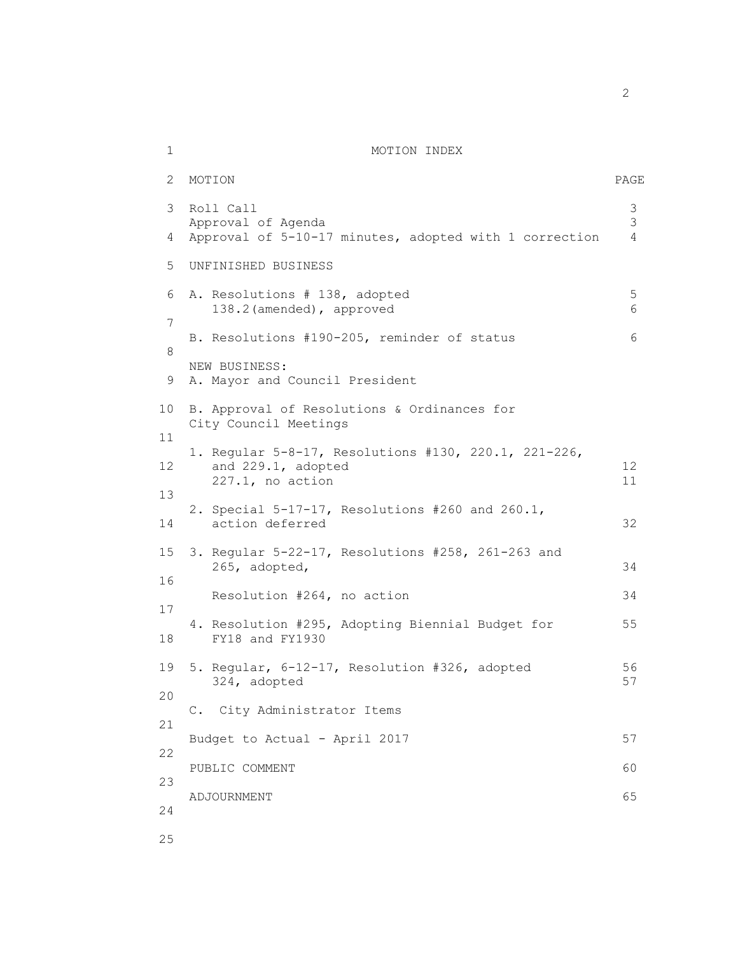## 1 MOTION INDEX

| 2              | MOTION                                                                                            | PAGE                     |
|----------------|---------------------------------------------------------------------------------------------------|--------------------------|
| 3<br>4         | Roll Call<br>Approval of Agenda<br>Approval of 5-10-17 minutes, adopted with 1 correction         | 3<br>3<br>$\overline{4}$ |
|                |                                                                                                   |                          |
| 5.             | UNFINISHED BUSINESS                                                                               |                          |
| 6<br>7         | A. Resolutions # 138, adopted<br>138.2 (amended), approved                                        | 5<br>6                   |
| 8              | B. Resolutions #190-205, reminder of status                                                       | 6                        |
| 9              | NEW BUSINESS:<br>A. Mayor and Council President                                                   |                          |
| 10             | B. Approval of Resolutions & Ordinances for<br>City Council Meetings                              |                          |
| 11<br>12<br>13 | 1. Regular 5-8-17, Resolutions #130, 220.1, 221-226,<br>and 229.1, adopted<br>$227.1$ , no action | 12<br>11                 |
| 14             | 2. Special 5-17-17, Resolutions #260 and 260.1,<br>action deferred                                | 32                       |
| 15<br>16       | 3. Regular 5-22-17, Resolutions #258, 261-263 and<br>265, adopted,                                | 34                       |
|                | Resolution #264, no action                                                                        | 34                       |
| 17<br>18       | 4. Resolution #295, Adopting Biennial Budget for<br>FY18 and FY1930                               | 55                       |
| 19             | 5. Regular, 6-12-17, Resolution #326, adopted<br>324, adopted                                     | 56<br>57                 |
| 20             | C. City Administrator Items                                                                       |                          |
| 21             |                                                                                                   | 57                       |
| 22             | Budget to Actual - April 2017                                                                     |                          |
| 23             | PUBLIC COMMENT                                                                                    | 60                       |
| 24             | ADJOURNMENT                                                                                       | 65                       |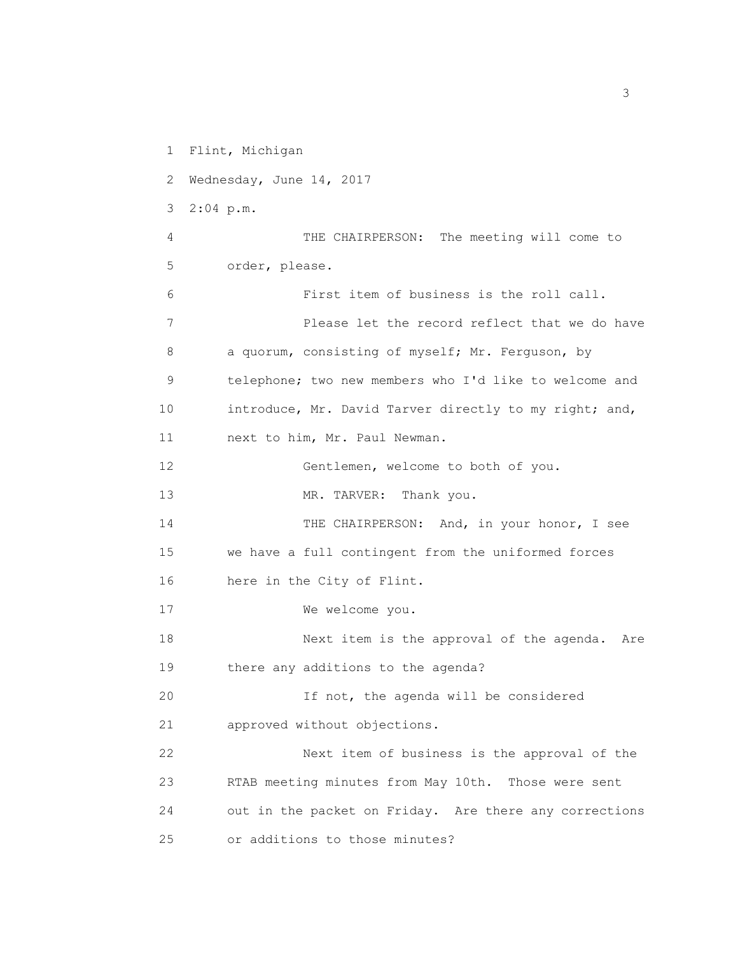1 Flint, Michigan 2 Wednesday, June 14, 2017 3 2:04 p.m. 4 THE CHAIRPERSON: The meeting will come to 5 order, please. 6 First item of business is the roll call. 7 Please let the record reflect that we do have 8 a quorum, consisting of myself; Mr. Ferguson, by 9 telephone; two new members who I'd like to welcome and 10 introduce, Mr. David Tarver directly to my right; and, 11 next to him, Mr. Paul Newman. 12 Gentlemen, welcome to both of you. 13 MR. TARVER: Thank you. 14 THE CHAIRPERSON: And, in your honor, I see 15 we have a full contingent from the uniformed forces 16 here in the City of Flint. 17 We welcome you. 18 Next item is the approval of the agenda. Are 19 there any additions to the agenda? 20 If not, the agenda will be considered 21 approved without objections. 22 Next item of business is the approval of the 23 RTAB meeting minutes from May 10th. Those were sent 24 out in the packet on Friday. Are there any corrections 25 or additions to those minutes?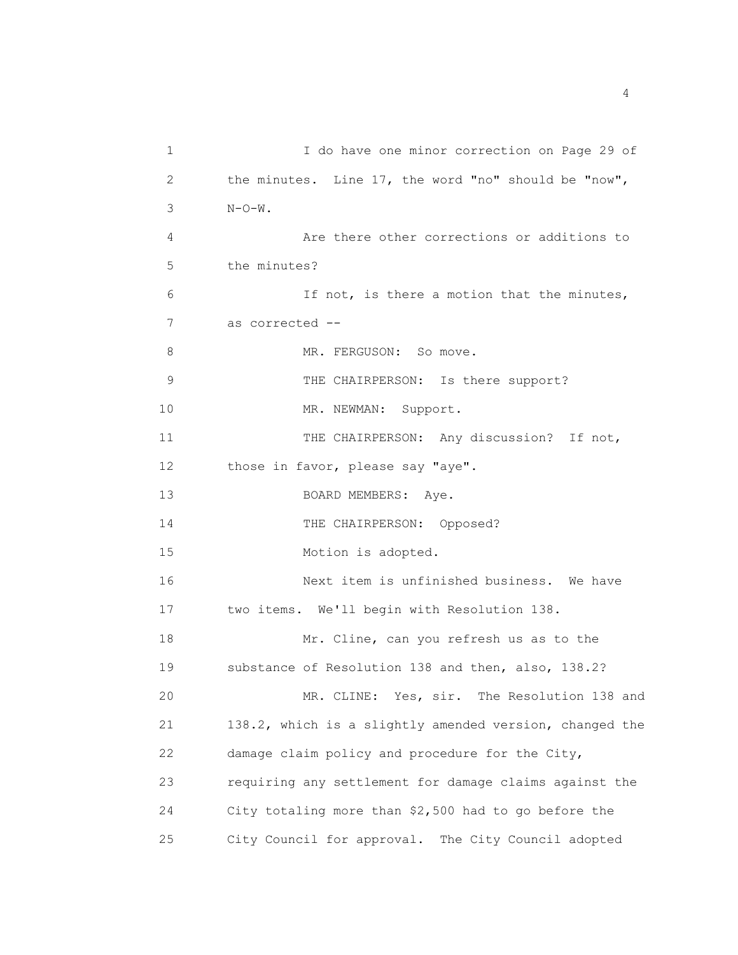1 I do have one minor correction on Page 29 of 2 the minutes. Line 17, the word "no" should be "now", 3 N-O-W. 4 Are there other corrections or additions to 5 the minutes? 6 If not, is there a motion that the minutes, 7 as corrected -- 8 MR. FERGUSON: So move. 9 THE CHAIRPERSON: Is there support? 10 MR. NEWMAN: Support. 11 THE CHAIRPERSON: Any discussion? If not, 12 those in favor, please say "aye". 13 BOARD MEMBERS: Aye. 14 THE CHAIRPERSON: Opposed? 15 Motion is adopted. 16 Next item is unfinished business. We have 17 two items. We'll begin with Resolution 138. 18 Mr. Cline, can you refresh us as to the 19 substance of Resolution 138 and then, also, 138.2? 20 MR. CLINE: Yes, sir. The Resolution 138 and 21 138.2, which is a slightly amended version, changed the 22 damage claim policy and procedure for the City, 23 requiring any settlement for damage claims against the 24 City totaling more than \$2,500 had to go before the 25 City Council for approval. The City Council adopted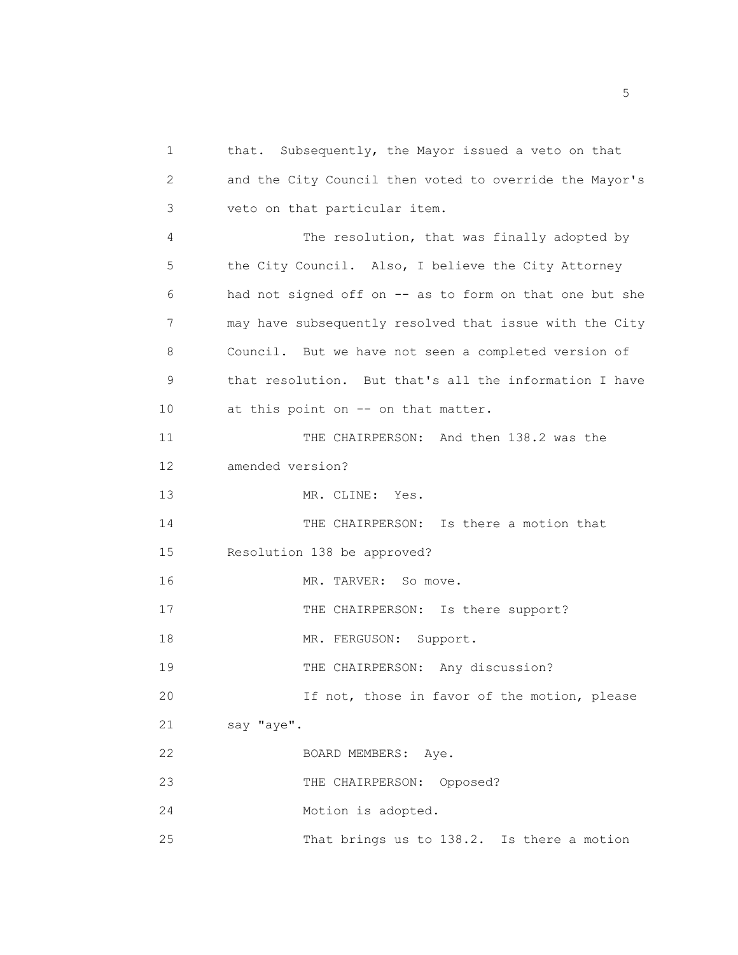1 that. Subsequently, the Mayor issued a veto on that 2 and the City Council then voted to override the Mayor's 3 veto on that particular item. 4 The resolution, that was finally adopted by 5 the City Council. Also, I believe the City Attorney 6 had not signed off on -- as to form on that one but she 7 may have subsequently resolved that issue with the City 8 Council. But we have not seen a completed version of 9 that resolution. But that's all the information I have 10 at this point on -- on that matter. 11 THE CHAIRPERSON: And then 138.2 was the 12 amended version? 13 MR. CLINE: Yes. 14 THE CHAIRPERSON: Is there a motion that 15 Resolution 138 be approved? 16 MR. TARVER: So move. 17 THE CHAIRPERSON: Is there support? 18 MR. FERGUSON: Support. 19 THE CHAIRPERSON: Any discussion? 20 If not, those in favor of the motion, please 21 say "aye". 22 BOARD MEMBERS: Aye. 23 THE CHAIRPERSON: Opposed? 24 Motion is adopted.

25 That brings us to 138.2. Is there a motion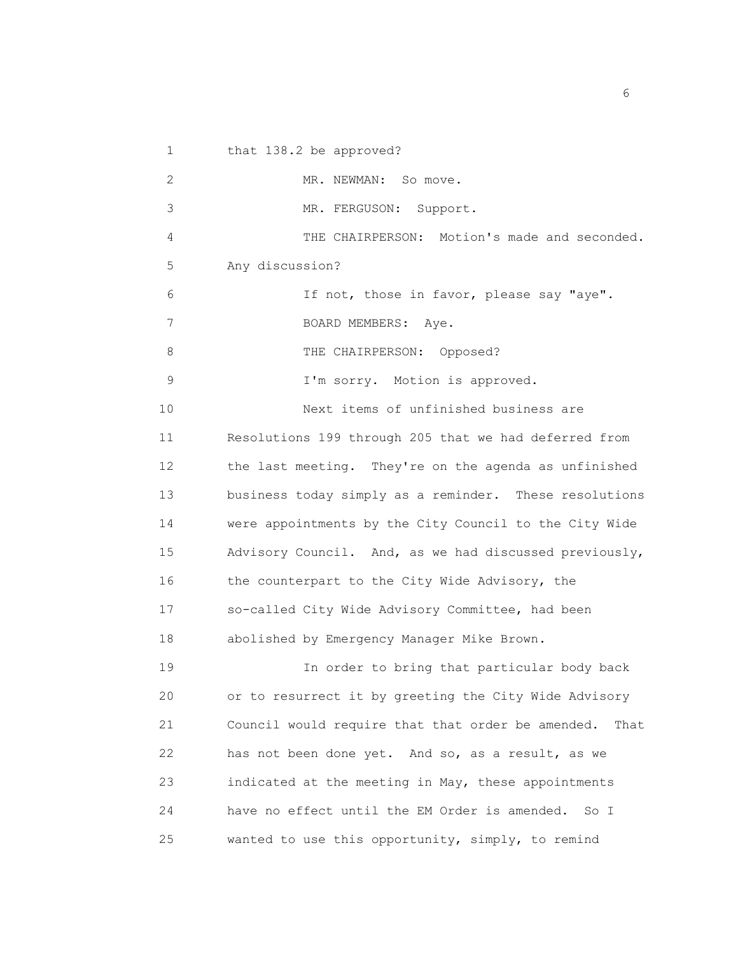1 that 138.2 be approved? 2 MR. NEWMAN: So move. 3 MR. FERGUSON: Support. 4 THE CHAIRPERSON: Motion's made and seconded. 5 Any discussion? 6 If not, those in favor, please say "aye". 7 BOARD MEMBERS: Aye. 8 THE CHAIRPERSON: Opposed? 9 I'm sorry. Motion is approved. 10 Next items of unfinished business are 11 Resolutions 199 through 205 that we had deferred from 12 the last meeting. They're on the agenda as unfinished 13 business today simply as a reminder. These resolutions 14 were appointments by the City Council to the City Wide 15 Advisory Council. And, as we had discussed previously, 16 the counterpart to the City Wide Advisory, the 17 so-called City Wide Advisory Committee, had been 18 abolished by Emergency Manager Mike Brown. 19 In order to bring that particular body back 20 or to resurrect it by greeting the City Wide Advisory 21 Council would require that that order be amended. That 22 has not been done yet. And so, as a result, as we 23 indicated at the meeting in May, these appointments 24 have no effect until the EM Order is amended. So I 25 wanted to use this opportunity, simply, to remind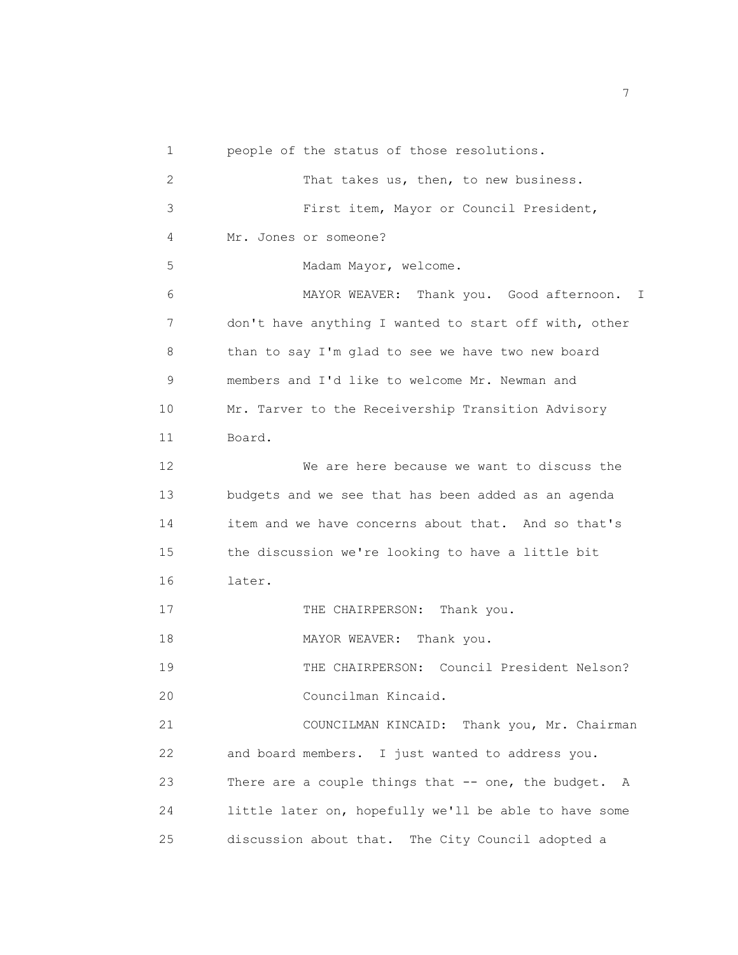| 1              | people of the status of those resolutions.            |
|----------------|-------------------------------------------------------|
| $\overline{2}$ | That takes us, then, to new business.                 |
| 3              | First item, Mayor or Council President,               |
| 4              | Mr. Jones or someone?                                 |
| 5              | Madam Mayor, welcome.                                 |
| 6              | MAYOR WEAVER: Thank you. Good afternoon. I            |
| 7              | don't have anything I wanted to start off with, other |
| 8              | than to say I'm glad to see we have two new board     |
| 9              | members and I'd like to welcome Mr. Newman and        |
| 10             | Mr. Tarver to the Receivership Transition Advisory    |
| 11             | Board.                                                |
| 12             | We are here because we want to discuss the            |
| 13             | budgets and we see that has been added as an agenda   |
| 14             | item and we have concerns about that. And so that's   |
| 15             | the discussion we're looking to have a little bit     |
| 16             | later.                                                |
| 17             | Thank you.<br>THE CHAIRPERSON:                        |
| 18             | MAYOR WEAVER:<br>Thank you.                           |
| 19             | THE CHAIRPERSON: Council President Nelson?            |
| 20             | Councilman Kincaid.                                   |
| 21             | COUNCILMAN KINCAID: Thank you, Mr. Chairman           |
| 22             | and board members. I just wanted to address you.      |
| 23             | There are a couple things that -- one, the budget. A  |
| 24             | little later on, hopefully we'll be able to have some |
| 25             | discussion about that. The City Council adopted a     |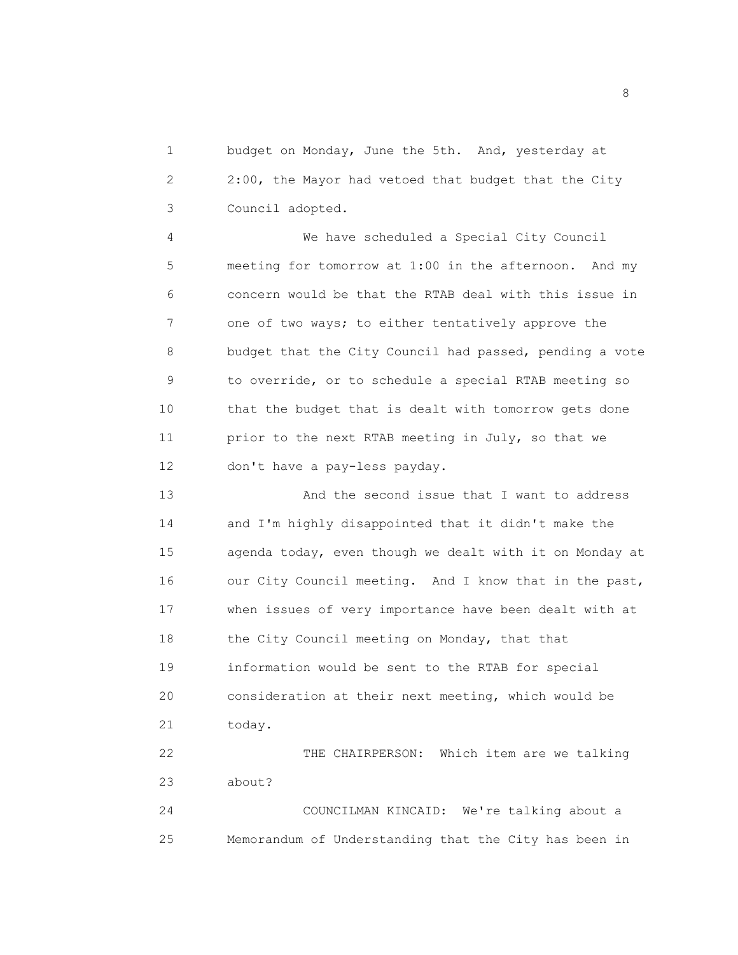1 budget on Monday, June the 5th. And, yesterday at 2 2:00, the Mayor had vetoed that budget that the City 3 Council adopted.

4 We have scheduled a Special City Council 5 meeting for tomorrow at 1:00 in the afternoon. And my 6 concern would be that the RTAB deal with this issue in 7 one of two ways; to either tentatively approve the 8 budget that the City Council had passed, pending a vote 9 to override, or to schedule a special RTAB meeting so 10 that the budget that is dealt with tomorrow gets done 11 prior to the next RTAB meeting in July, so that we 12 don't have a pay-less payday.

13 And the second issue that I want to address 14 and I'm highly disappointed that it didn't make the 15 agenda today, even though we dealt with it on Monday at 16 our City Council meeting. And I know that in the past, 17 when issues of very importance have been dealt with at 18 the City Council meeting on Monday, that that 19 information would be sent to the RTAB for special 20 consideration at their next meeting, which would be 21 today.

22 THE CHAIRPERSON: Which item are we talking 23 about?

24 COUNCILMAN KINCAID: We're talking about a 25 Memorandum of Understanding that the City has been in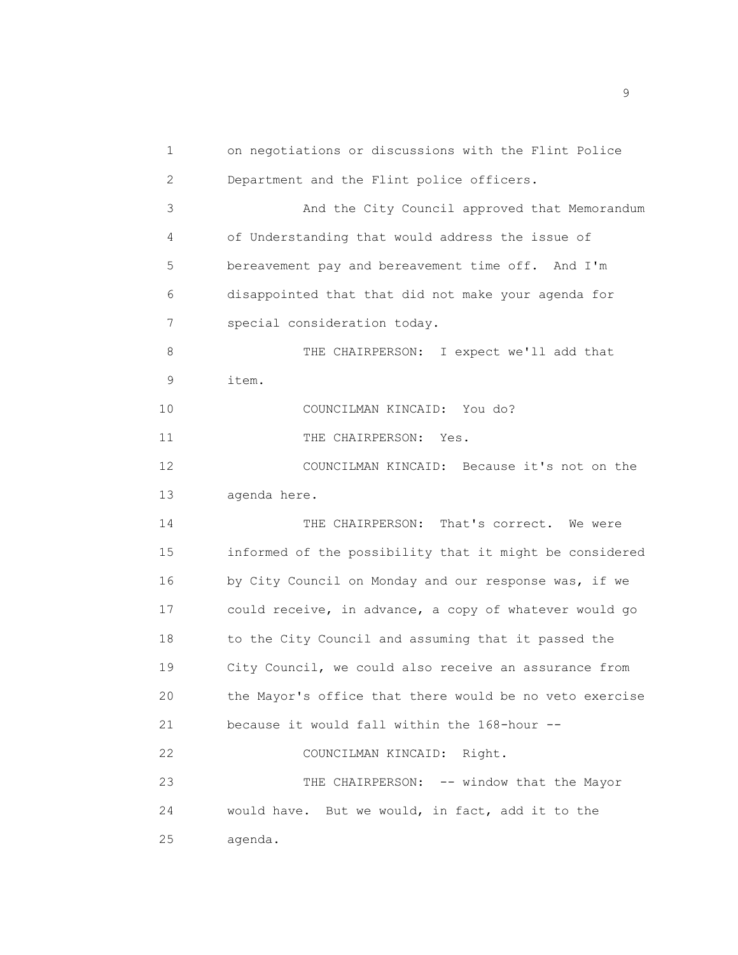1 on negotiations or discussions with the Flint Police 2 Department and the Flint police officers. 3 And the City Council approved that Memorandum 4 of Understanding that would address the issue of 5 bereavement pay and bereavement time off. And I'm 6 disappointed that that did not make your agenda for 7 special consideration today. 8 THE CHAIRPERSON: I expect we'll add that 9 item. 10 COUNCILMAN KINCAID: You do? 11 THE CHAIRPERSON: Yes. 12 COUNCILMAN KINCAID: Because it's not on the 13 agenda here. 14 THE CHAIRPERSON: That's correct. We were 15 informed of the possibility that it might be considered 16 by City Council on Monday and our response was, if we 17 could receive, in advance, a copy of whatever would go 18 to the City Council and assuming that it passed the 19 City Council, we could also receive an assurance from 20 the Mayor's office that there would be no veto exercise 21 because it would fall within the 168-hour -- 22 COUNCILMAN KINCAID: Right. 23 THE CHAIRPERSON: -- window that the Mayor 24 would have. But we would, in fact, add it to the 25 agenda.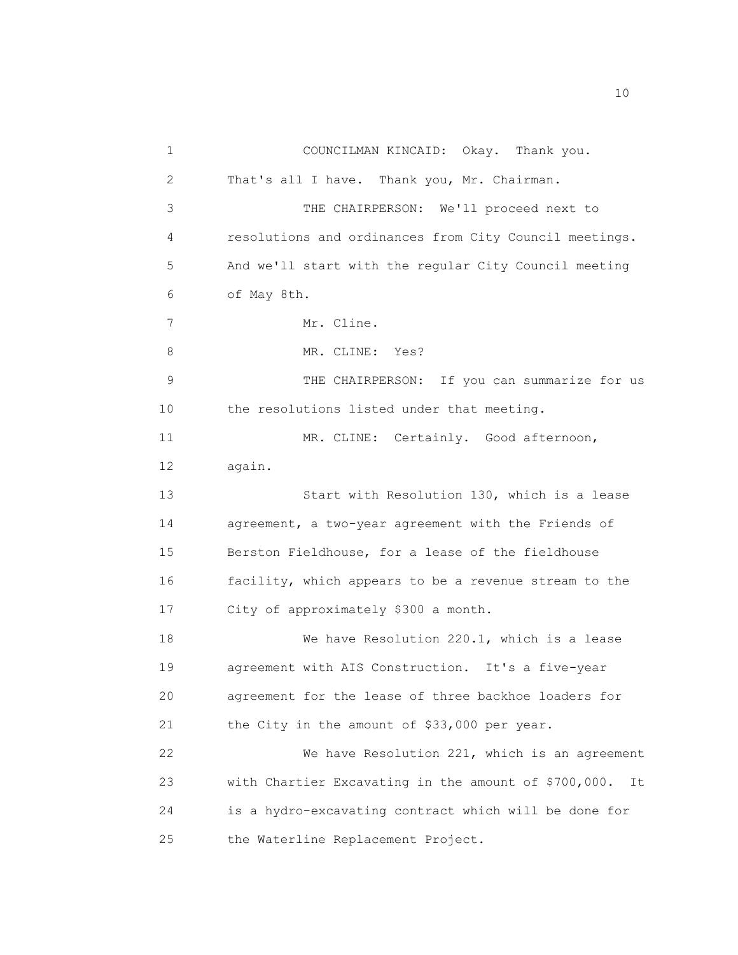1 COUNCILMAN KINCAID: Okay. Thank you. 2 That's all I have. Thank you, Mr. Chairman. 3 THE CHAIRPERSON: We'll proceed next to 4 resolutions and ordinances from City Council meetings. 5 And we'll start with the regular City Council meeting 6 of May 8th. 7 Mr. Cline. 8 MR. CLINE: Yes? 9 THE CHAIRPERSON: If you can summarize for us 10 the resolutions listed under that meeting. 11 MR. CLINE: Certainly. Good afternoon, 12 again. 13 Start with Resolution 130, which is a lease 14 agreement, a two-year agreement with the Friends of 15 Berston Fieldhouse, for a lease of the fieldhouse 16 facility, which appears to be a revenue stream to the 17 City of approximately \$300 a month. 18 We have Resolution 220.1, which is a lease 19 agreement with AIS Construction. It's a five-year 20 agreement for the lease of three backhoe loaders for 21 the City in the amount of \$33,000 per year. 22 We have Resolution 221, which is an agreement 23 with Chartier Excavating in the amount of \$700,000. It 24 is a hydro-excavating contract which will be done for 25 the Waterline Replacement Project.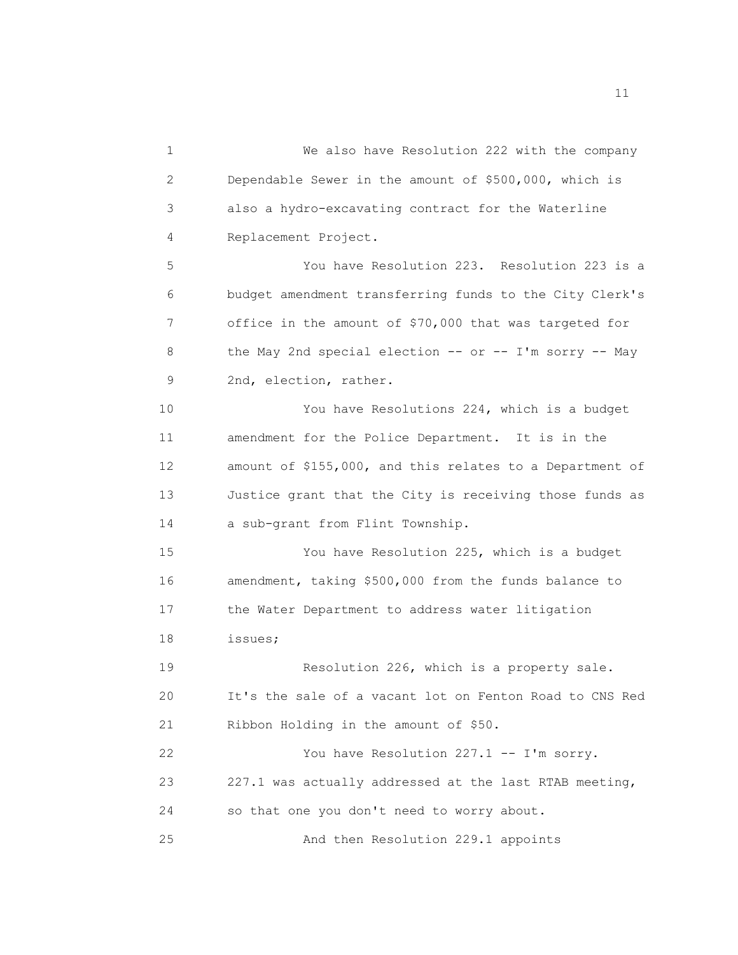1 We also have Resolution 222 with the company 2 Dependable Sewer in the amount of \$500,000, which is 3 also a hydro-excavating contract for the Waterline 4 Replacement Project. 5 You have Resolution 223. Resolution 223 is a 6 budget amendment transferring funds to the City Clerk's 7 office in the amount of \$70,000 that was targeted for 8 the May 2nd special election -- or -- I'm sorry -- May 9 2nd, election, rather. 10 You have Resolutions 224, which is a budget 11 amendment for the Police Department. It is in the 12 amount of \$155,000, and this relates to a Department of 13 Justice grant that the City is receiving those funds as 14 a sub-grant from Flint Township. 15 You have Resolution 225, which is a budget 16 amendment, taking \$500,000 from the funds balance to 17 the Water Department to address water litigation 18 issues; 19 Resolution 226, which is a property sale. 20 It's the sale of a vacant lot on Fenton Road to CNS Red 21 Ribbon Holding in the amount of \$50. 22 You have Resolution 227.1 -- I'm sorry. 23 227.1 was actually addressed at the last RTAB meeting, 24 so that one you don't need to worry about. 25 And then Resolution 229.1 appoints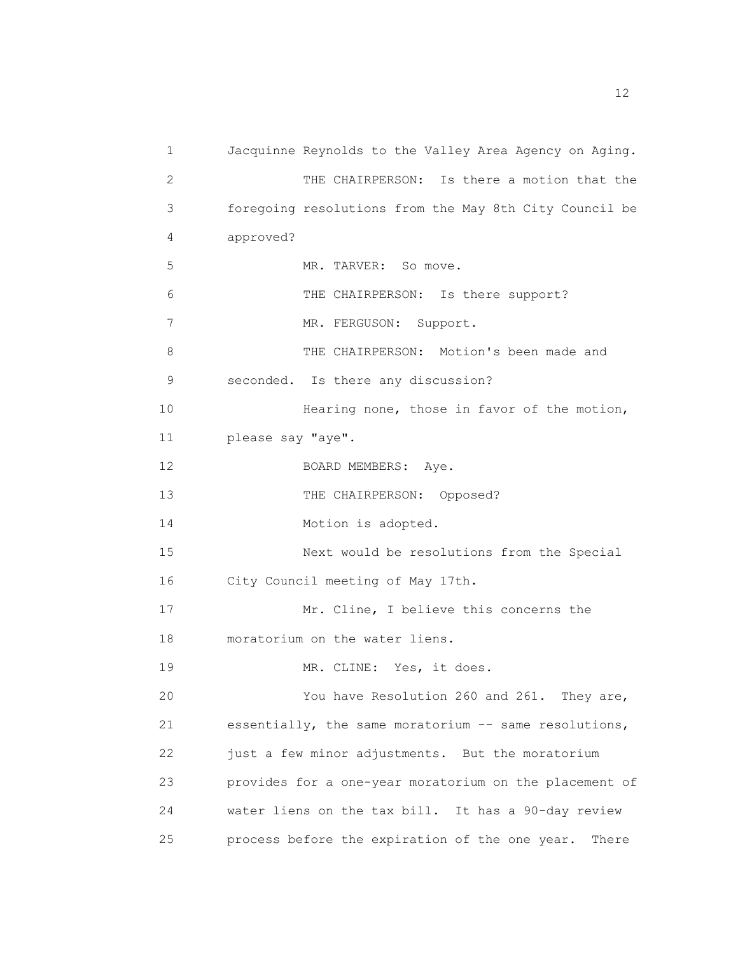1 Jacquinne Reynolds to the Valley Area Agency on Aging. 2 THE CHAIRPERSON: Is there a motion that the 3 foregoing resolutions from the May 8th City Council be 4 approved? 5 MR. TARVER: So move. 6 THE CHAIRPERSON: Is there support? 7 MR. FERGUSON: Support. 8 THE CHAIRPERSON: Motion's been made and 9 seconded. Is there any discussion? 10 Hearing none, those in favor of the motion, 11 please say "aye". 12 BOARD MEMBERS: Aye. 13 THE CHAIRPERSON: Opposed? 14 Motion is adopted. 15 Next would be resolutions from the Special 16 City Council meeting of May 17th. 17 Mr. Cline, I believe this concerns the 18 moratorium on the water liens. 19 MR. CLINE: Yes, it does. 20 You have Resolution 260 and 261. They are, 21 essentially, the same moratorium -- same resolutions, 22 just a few minor adjustments. But the moratorium 23 provides for a one-year moratorium on the placement of 24 water liens on the tax bill. It has a 90-day review 25 process before the expiration of the one year. There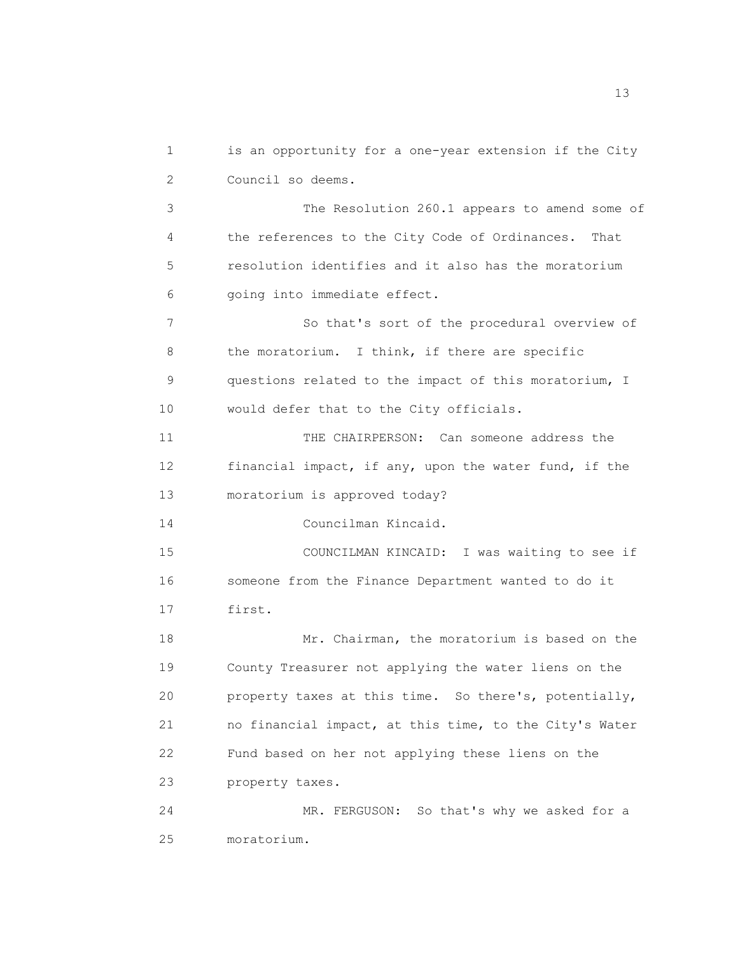1 is an opportunity for a one-year extension if the City 2 Council so deems. 3 The Resolution 260.1 appears to amend some of 4 the references to the City Code of Ordinances. That 5 resolution identifies and it also has the moratorium 6 going into immediate effect. 7 So that's sort of the procedural overview of 8 the moratorium. I think, if there are specific 9 questions related to the impact of this moratorium, I 10 would defer that to the City officials. 11 THE CHAIRPERSON: Can someone address the 12 financial impact, if any, upon the water fund, if the 13 moratorium is approved today? 14 Councilman Kincaid. 15 COUNCILMAN KINCAID: I was waiting to see if 16 someone from the Finance Department wanted to do it 17 first. 18 Mr. Chairman, the moratorium is based on the 19 County Treasurer not applying the water liens on the 20 property taxes at this time. So there's, potentially, 21 no financial impact, at this time, to the City's Water 22 Fund based on her not applying these liens on the 23 property taxes. 24 MR. FERGUSON: So that's why we asked for a 25 moratorium.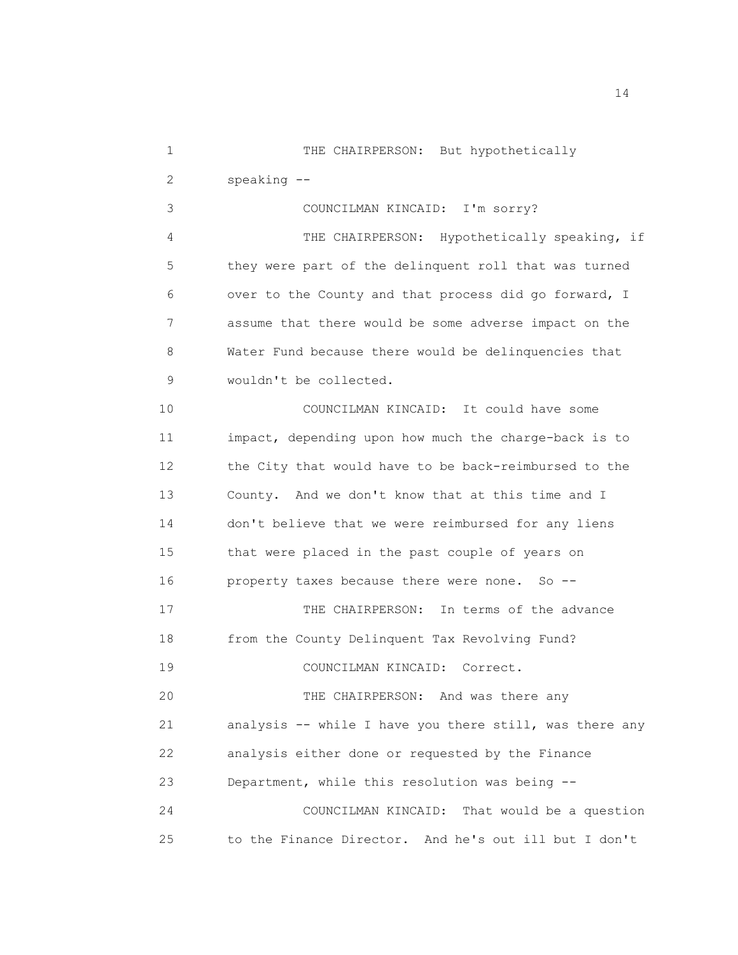1 THE CHAIRPERSON: But hypothetically 2 speaking --

3 COUNCILMAN KINCAID: I'm sorry? 4 THE CHAIRPERSON: Hypothetically speaking, if 5 they were part of the delinquent roll that was turned 6 over to the County and that process did go forward, I 7 assume that there would be some adverse impact on the 8 Water Fund because there would be delinquencies that 9 wouldn't be collected.

10 COUNCILMAN KINCAID: It could have some 11 impact, depending upon how much the charge-back is to 12 the City that would have to be back-reimbursed to the 13 County. And we don't know that at this time and I 14 don't believe that we were reimbursed for any liens 15 that were placed in the past couple of years on 16 property taxes because there were none. So -- 17 THE CHAIRPERSON: In terms of the advance 18 from the County Delinquent Tax Revolving Fund? 19 COUNCILMAN KINCAID: Correct. 20 THE CHAIRPERSON: And was there any 21 analysis -- while I have you there still, was there any

22 analysis either done or requested by the Finance

23 Department, while this resolution was being --

24 COUNCILMAN KINCAID: That would be a question 25 to the Finance Director. And he's out ill but I don't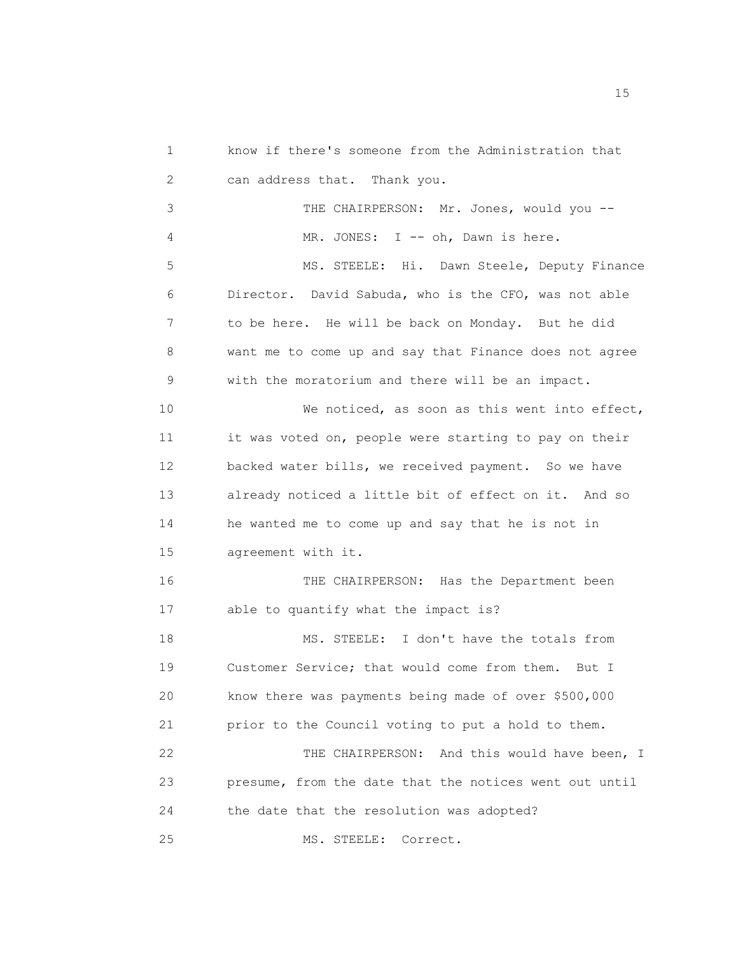1 know if there's someone from the Administration that 2 can address that. Thank you. 3 THE CHAIRPERSON: Mr. Jones, would you -- 4 MR. JONES: I -- oh, Dawn is here. 5 MS. STEELE: Hi. Dawn Steele, Deputy Finance 6 Director. David Sabuda, who is the CFO, was not able 7 to be here. He will be back on Monday. But he did 8 want me to come up and say that Finance does not agree 9 with the moratorium and there will be an impact. 10 We noticed, as soon as this went into effect, 11 it was voted on, people were starting to pay on their 12 backed water bills, we received payment. So we have

13 already noticed a little bit of effect on it. And so 14 he wanted me to come up and say that he is not in 15 agreement with it.

16 THE CHAIRPERSON: Has the Department been 17 able to quantify what the impact is? 18 MS. STEELE: I don't have the totals from 19 Customer Service; that would come from them. But I 20 know there was payments being made of over \$500,000 21 prior to the Council voting to put a hold to them. 22 THE CHAIRPERSON: And this would have been, I 23 presume, from the date that the notices went out until 24 the date that the resolution was adopted? 25 MS. STEELE: Correct.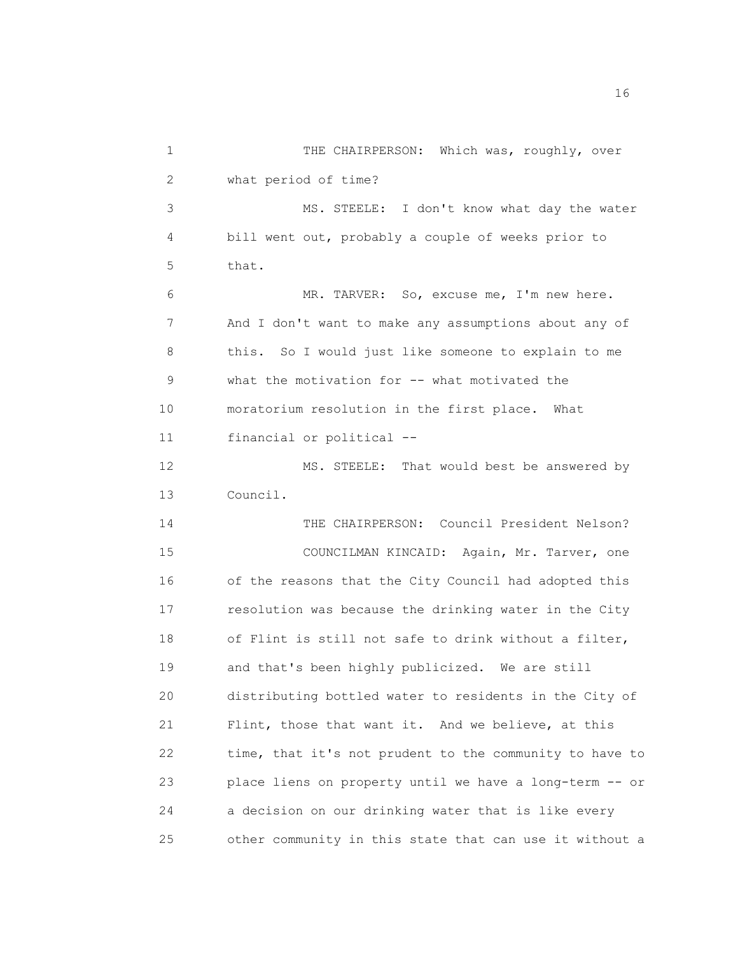1 THE CHAIRPERSON: Which was, roughly, over 2 what period of time? 3 MS. STEELE: I don't know what day the water 4 bill went out, probably a couple of weeks prior to 5 that. 6 MR. TARVER: So, excuse me, I'm new here. 7 And I don't want to make any assumptions about any of 8 this. So I would just like someone to explain to me 9 what the motivation for -- what motivated the 10 moratorium resolution in the first place. What 11 financial or political -- 12 MS. STEELE: That would best be answered by 13 Council. 14 THE CHAIRPERSON: Council President Nelson? 15 COUNCILMAN KINCAID: Again, Mr. Tarver, one 16 of the reasons that the City Council had adopted this 17 resolution was because the drinking water in the City 18 of Flint is still not safe to drink without a filter, 19 and that's been highly publicized. We are still 20 distributing bottled water to residents in the City of 21 Flint, those that want it. And we believe, at this 22 time, that it's not prudent to the community to have to 23 place liens on property until we have a long-term -- or 24 a decision on our drinking water that is like every 25 other community in this state that can use it without a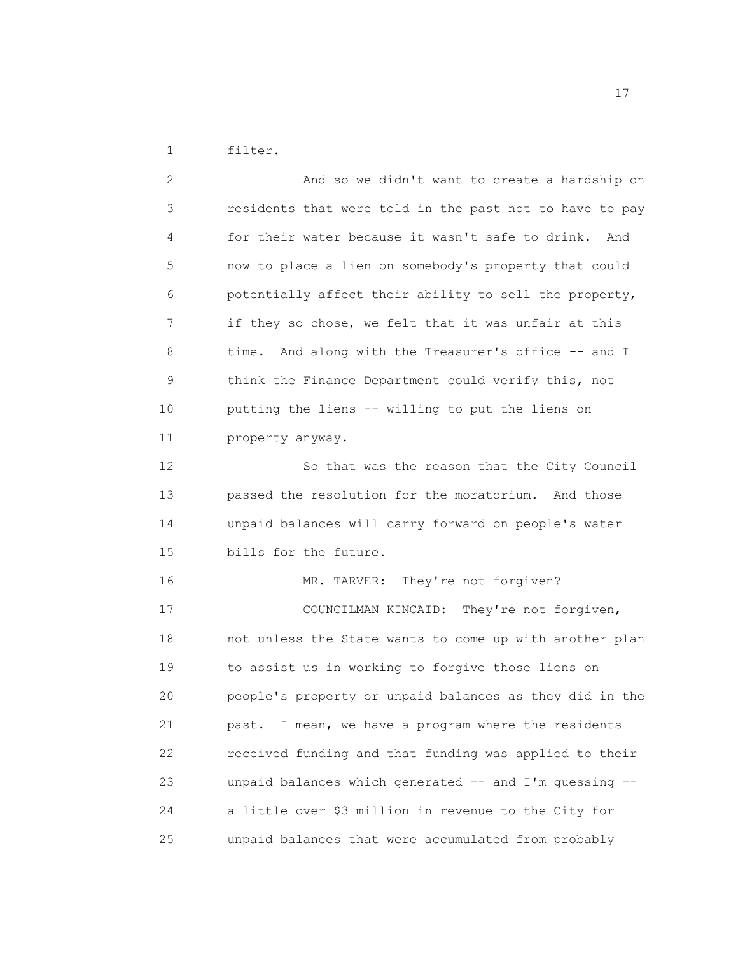1 filter.

2 And so we didn't want to create a hardship on 3 residents that were told in the past not to have to pay 4 for their water because it wasn't safe to drink. And 5 now to place a lien on somebody's property that could 6 potentially affect their ability to sell the property, 7 if they so chose, we felt that it was unfair at this 8 time. And along with the Treasurer's office -- and I 9 think the Finance Department could verify this, not 10 putting the liens -- willing to put the liens on 11 property anyway. 12 So that was the reason that the City Council 13 passed the resolution for the moratorium. And those 14 unpaid balances will carry forward on people's water 15 bills for the future. 16 MR. TARVER: They're not forgiven? 17 COUNCILMAN KINCAID: They're not forgiven, 18 not unless the State wants to come up with another plan 19 to assist us in working to forgive those liens on 20 people's property or unpaid balances as they did in the 21 past. I mean, we have a program where the residents 22 received funding and that funding was applied to their 23 unpaid balances which generated -- and I'm guessing -- 24 a little over \$3 million in revenue to the City for 25 unpaid balances that were accumulated from probably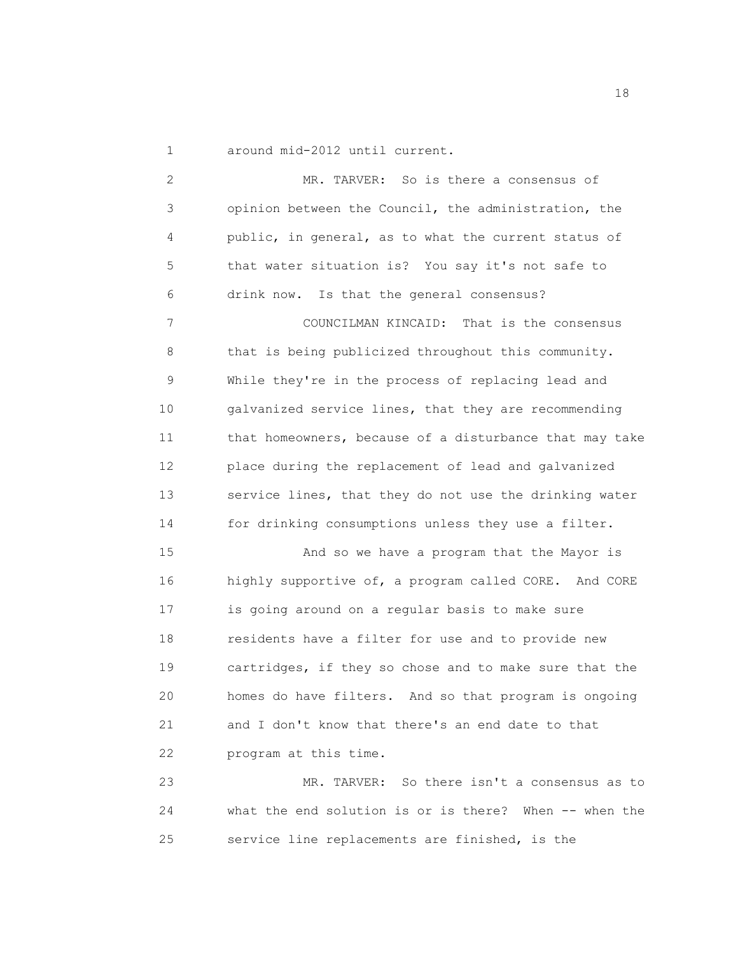1 around mid-2012 until current.

2 MR. TARVER: So is there a consensus of 3 opinion between the Council, the administration, the 4 public, in general, as to what the current status of 5 that water situation is? You say it's not safe to 6 drink now. Is that the general consensus? 7 COUNCILMAN KINCAID: That is the consensus 8 that is being publicized throughout this community. 9 While they're in the process of replacing lead and 10 galvanized service lines, that they are recommending 11 that homeowners, because of a disturbance that may take 12 place during the replacement of lead and galvanized 13 service lines, that they do not use the drinking water 14 for drinking consumptions unless they use a filter. 15 And so we have a program that the Mayor is 16 highly supportive of, a program called CORE. And CORE 17 is going around on a regular basis to make sure 18 residents have a filter for use and to provide new 19 cartridges, if they so chose and to make sure that the 20 homes do have filters. And so that program is ongoing 21 and I don't know that there's an end date to that 22 program at this time. 23 MR. TARVER: So there isn't a consensus as to 24 what the end solution is or is there? When -- when the

25 service line replacements are finished, is the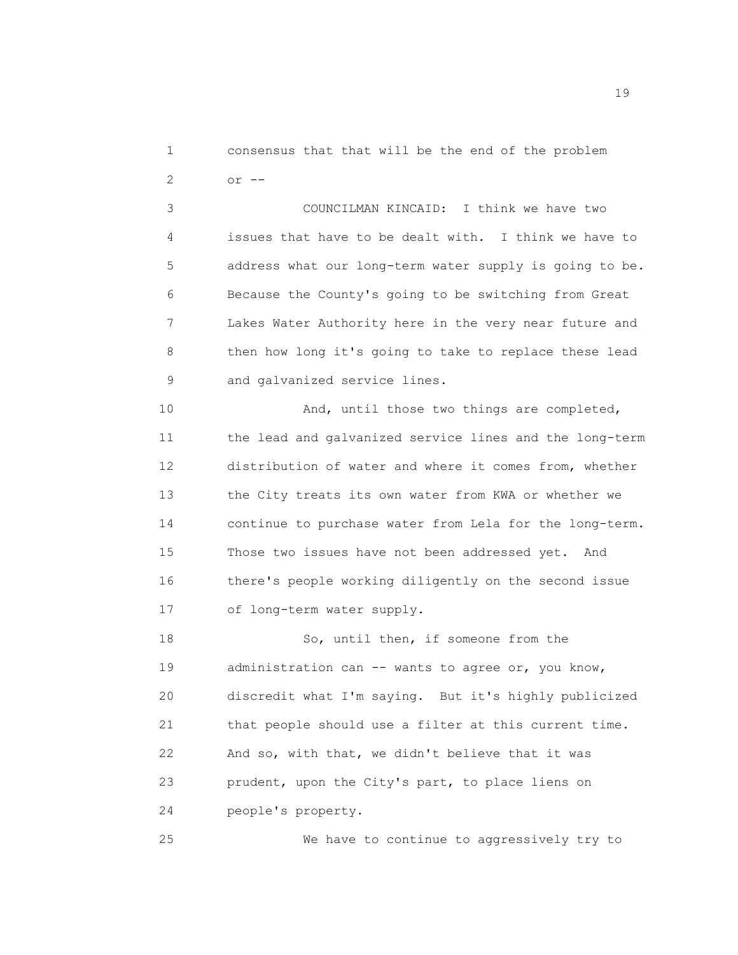1 consensus that that will be the end of the problem 2 or --

3 COUNCILMAN KINCAID: I think we have two 4 issues that have to be dealt with. I think we have to 5 address what our long-term water supply is going to be. 6 Because the County's going to be switching from Great 7 Lakes Water Authority here in the very near future and 8 then how long it's going to take to replace these lead 9 and galvanized service lines.

10 And, until those two things are completed, 11 the lead and galvanized service lines and the long-term 12 distribution of water and where it comes from, whether 13 the City treats its own water from KWA or whether we 14 continue to purchase water from Lela for the long-term. 15 Those two issues have not been addressed yet. And 16 there's people working diligently on the second issue 17 of long-term water supply.

18 So, until then, if someone from the 19 administration can -- wants to agree or, you know, 20 discredit what I'm saying. But it's highly publicized 21 that people should use a filter at this current time. 22 And so, with that, we didn't believe that it was 23 prudent, upon the City's part, to place liens on 24 people's property.

25 We have to continue to aggressively try to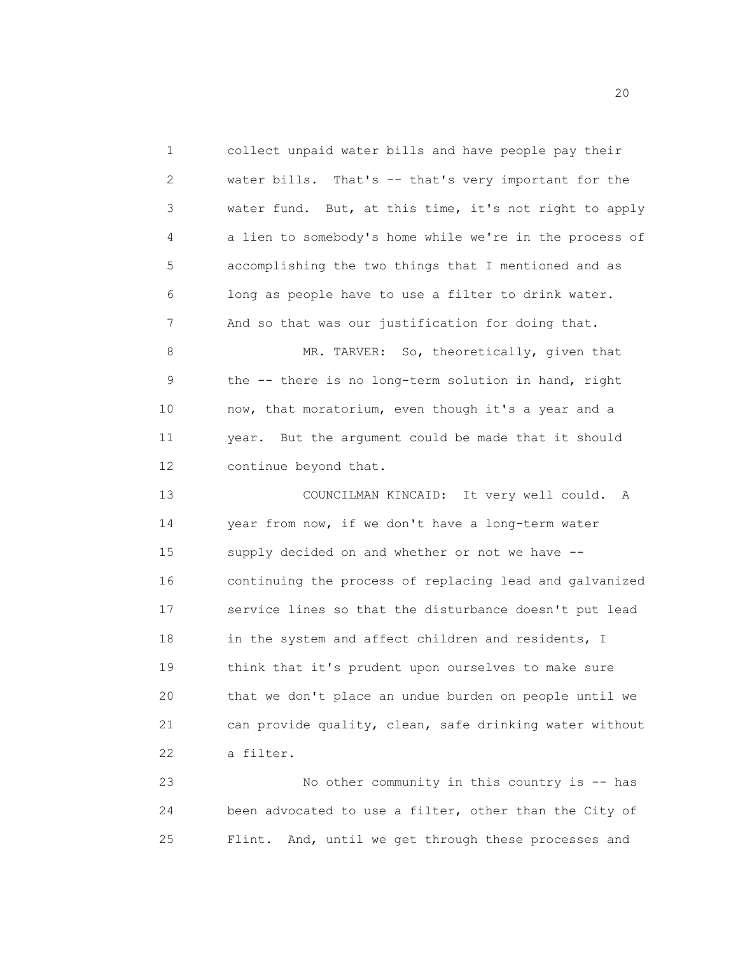1 collect unpaid water bills and have people pay their 2 water bills. That's -- that's very important for the 3 water fund. But, at this time, it's not right to apply 4 a lien to somebody's home while we're in the process of 5 accomplishing the two things that I mentioned and as 6 long as people have to use a filter to drink water. 7 And so that was our justification for doing that.

8 MR. TARVER: So, theoretically, given that 9 the -- there is no long-term solution in hand, right 10 now, that moratorium, even though it's a year and a 11 year. But the argument could be made that it should 12 continue beyond that.

13 COUNCILMAN KINCAID: It very well could. A 14 year from now, if we don't have a long-term water 15 supply decided on and whether or not we have -- 16 continuing the process of replacing lead and galvanized 17 service lines so that the disturbance doesn't put lead 18 in the system and affect children and residents, I 19 think that it's prudent upon ourselves to make sure 20 that we don't place an undue burden on people until we 21 can provide quality, clean, safe drinking water without 22 a filter.

23 No other community in this country is -- has 24 been advocated to use a filter, other than the City of 25 Flint. And, until we get through these processes and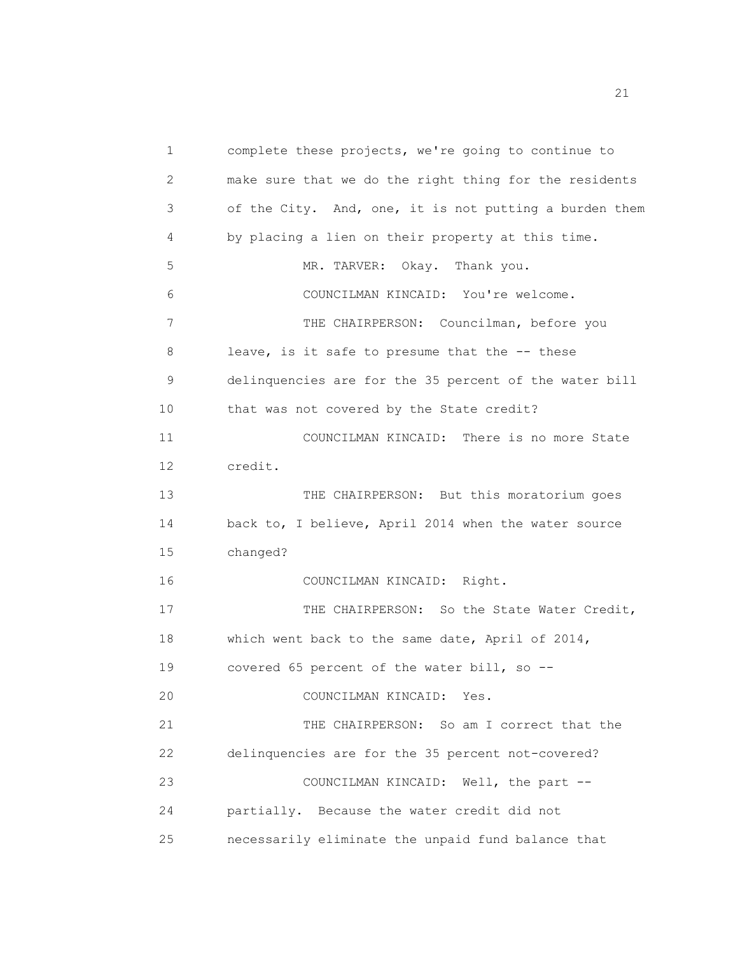1 complete these projects, we're going to continue to 2 make sure that we do the right thing for the residents 3 of the City. And, one, it is not putting a burden them 4 by placing a lien on their property at this time. 5 MR. TARVER: Okay. Thank you. 6 COUNCILMAN KINCAID: You're welcome. 7 THE CHAIRPERSON: Councilman, before you 8 leave, is it safe to presume that the -- these 9 delinquencies are for the 35 percent of the water bill 10 that was not covered by the State credit? 11 COUNCILMAN KINCAID: There is no more State 12 credit. 13 THE CHAIRPERSON: But this moratorium goes 14 back to, I believe, April 2014 when the water source 15 changed? 16 COUNCILMAN KINCAID: Right. 17 THE CHAIRPERSON: So the State Water Credit, 18 which went back to the same date, April of 2014, 19 covered 65 percent of the water bill, so -- 20 COUNCILMAN KINCAID: Yes. 21 THE CHAIRPERSON: So am I correct that the 22 delinquencies are for the 35 percent not-covered? 23 COUNCILMAN KINCAID: Well, the part -- 24 partially. Because the water credit did not 25 necessarily eliminate the unpaid fund balance that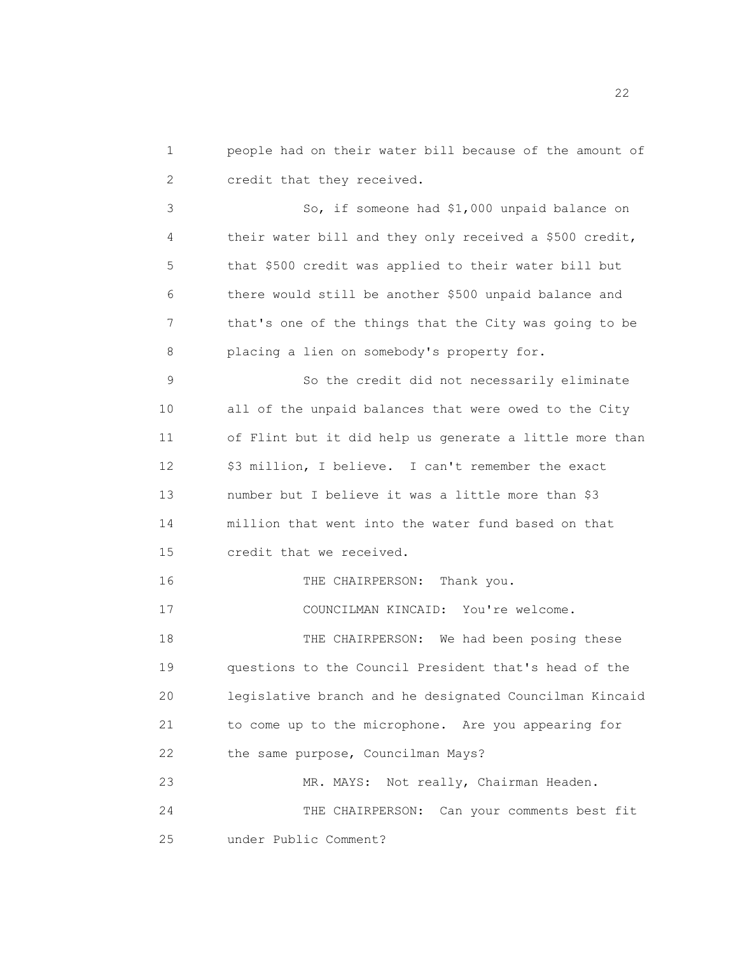1 people had on their water bill because of the amount of 2 credit that they received.

3 So, if someone had \$1,000 unpaid balance on 4 their water bill and they only received a \$500 credit, 5 that \$500 credit was applied to their water bill but 6 there would still be another \$500 unpaid balance and 7 that's one of the things that the City was going to be 8 placing a lien on somebody's property for.

9 So the credit did not necessarily eliminate 10 all of the unpaid balances that were owed to the City 11 of Flint but it did help us generate a little more than 12 \$3 million, I believe. I can't remember the exact 13 number but I believe it was a little more than \$3 14 million that went into the water fund based on that 15 credit that we received.

16 THE CHAIRPERSON: Thank you.

17 COUNCILMAN KINCAID: You're welcome.

18 THE CHAIRPERSON: We had been posing these 19 questions to the Council President that's head of the 20 legislative branch and he designated Councilman Kincaid 21 to come up to the microphone. Are you appearing for 22 the same purpose, Councilman Mays?

23 MR. MAYS: Not really, Chairman Headen. 24 THE CHAIRPERSON: Can your comments best fit 25 under Public Comment?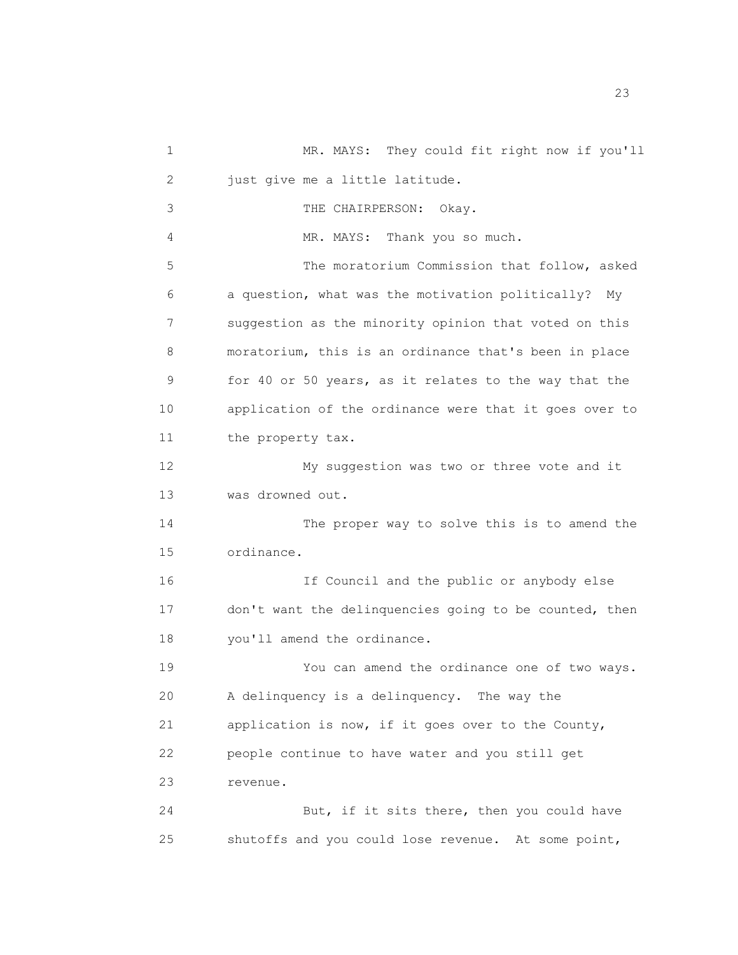1 MR. MAYS: They could fit right now if you'll 2 just give me a little latitude. 3 THE CHAIRPERSON: Okay. 4 MR. MAYS: Thank you so much. 5 The moratorium Commission that follow, asked 6 a question, what was the motivation politically? My 7 suggestion as the minority opinion that voted on this 8 moratorium, this is an ordinance that's been in place 9 for 40 or 50 years, as it relates to the way that the 10 application of the ordinance were that it goes over to 11 the property tax. 12 My suggestion was two or three vote and it 13 was drowned out. 14 The proper way to solve this is to amend the 15 ordinance. 16 If Council and the public or anybody else 17 don't want the delinquencies going to be counted, then 18 you'll amend the ordinance. 19 You can amend the ordinance one of two ways. 20 A delinquency is a delinquency. The way the 21 application is now, if it goes over to the County, 22 people continue to have water and you still get 23 revenue. 24 But, if it sits there, then you could have 25 shutoffs and you could lose revenue. At some point,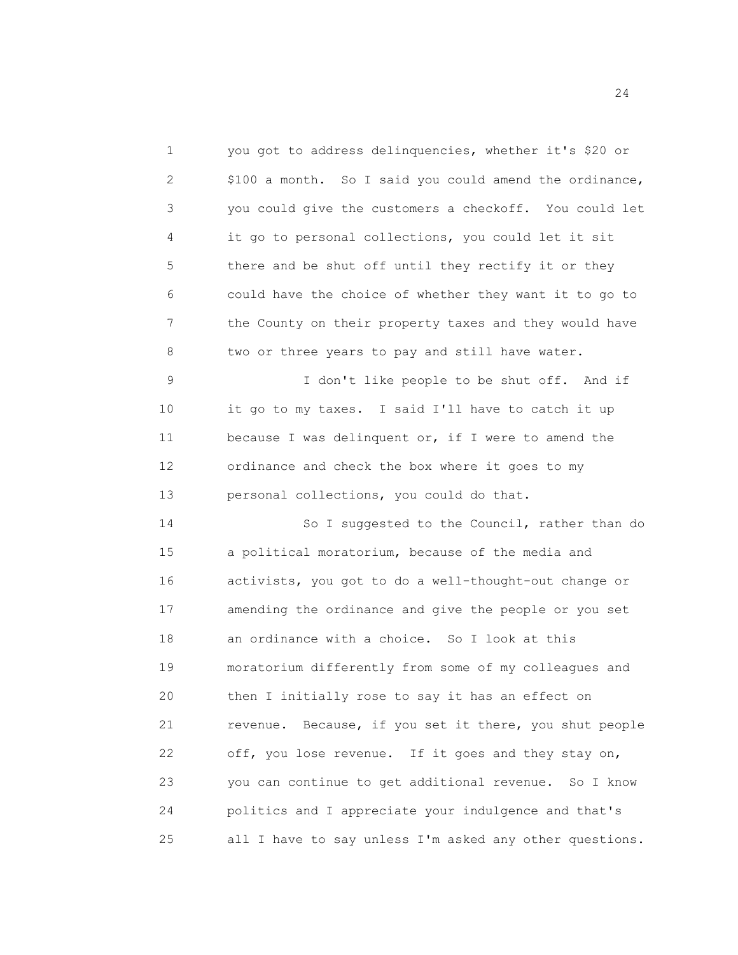1 you got to address delinquencies, whether it's \$20 or 2 \$100 a month. So I said you could amend the ordinance, 3 you could give the customers a checkoff. You could let 4 it go to personal collections, you could let it sit 5 there and be shut off until they rectify it or they 6 could have the choice of whether they want it to go to 7 the County on their property taxes and they would have 8 two or three years to pay and still have water. 9 I don't like people to be shut off. And if 10 it go to my taxes. I said I'll have to catch it up 11 because I was delinquent or, if I were to amend the 12 ordinance and check the box where it goes to my 13 personal collections, you could do that. 14 So I suggested to the Council, rather than do 15 a political moratorium, because of the media and 16 activists, you got to do a well-thought-out change or 17 amending the ordinance and give the people or you set 18 an ordinance with a choice. So I look at this 19 moratorium differently from some of my colleagues and 20 then I initially rose to say it has an effect on 21 revenue. Because, if you set it there, you shut people 22 off, you lose revenue. If it goes and they stay on,

23 you can continue to get additional revenue. So I know 24 politics and I appreciate your indulgence and that's 25 all I have to say unless I'm asked any other questions.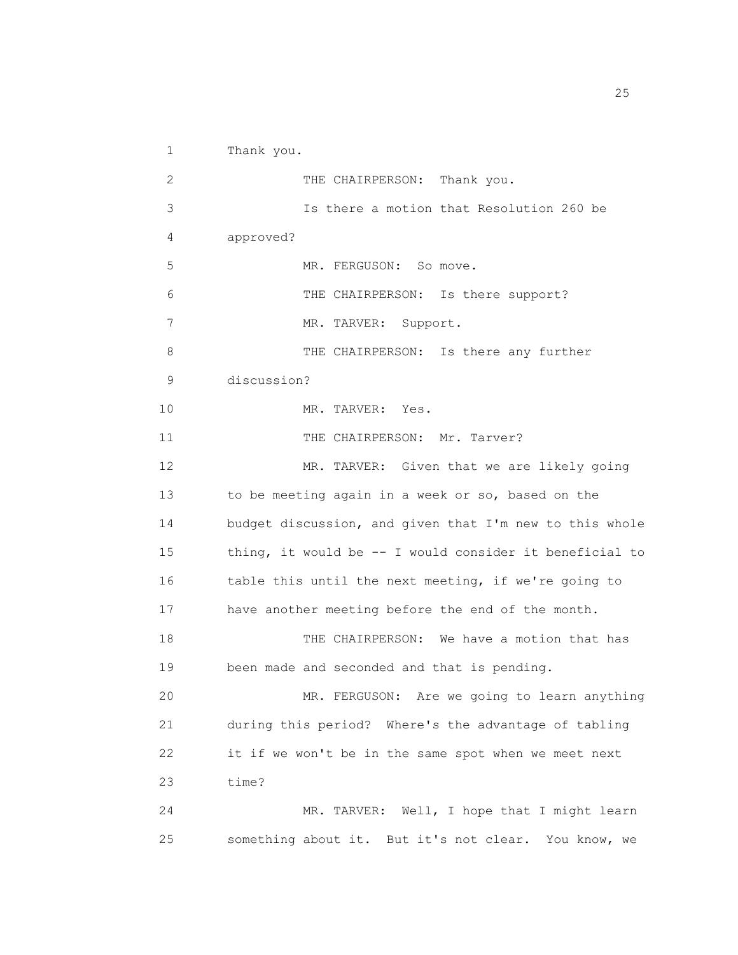1 Thank you. 2 THE CHAIRPERSON: Thank you. 3 Is there a motion that Resolution 260 be 4 approved? 5 MR. FERGUSON: So move. 6 THE CHAIRPERSON: Is there support? 7 MR. TARVER: Support. 8 THE CHAIRPERSON: Is there any further 9 discussion? 10 MR. TARVER: Yes. 11 THE CHAIRPERSON: Mr. Tarver? 12 MR. TARVER: Given that we are likely going 13 to be meeting again in a week or so, based on the 14 budget discussion, and given that I'm new to this whole 15 thing, it would be -- I would consider it beneficial to 16 table this until the next meeting, if we're going to 17 have another meeting before the end of the month. 18 THE CHAIRPERSON: We have a motion that has 19 been made and seconded and that is pending. 20 MR. FERGUSON: Are we going to learn anything 21 during this period? Where's the advantage of tabling 22 it if we won't be in the same spot when we meet next 23 time? 24 MR. TARVER: Well, I hope that I might learn 25 something about it. But it's not clear. You know, we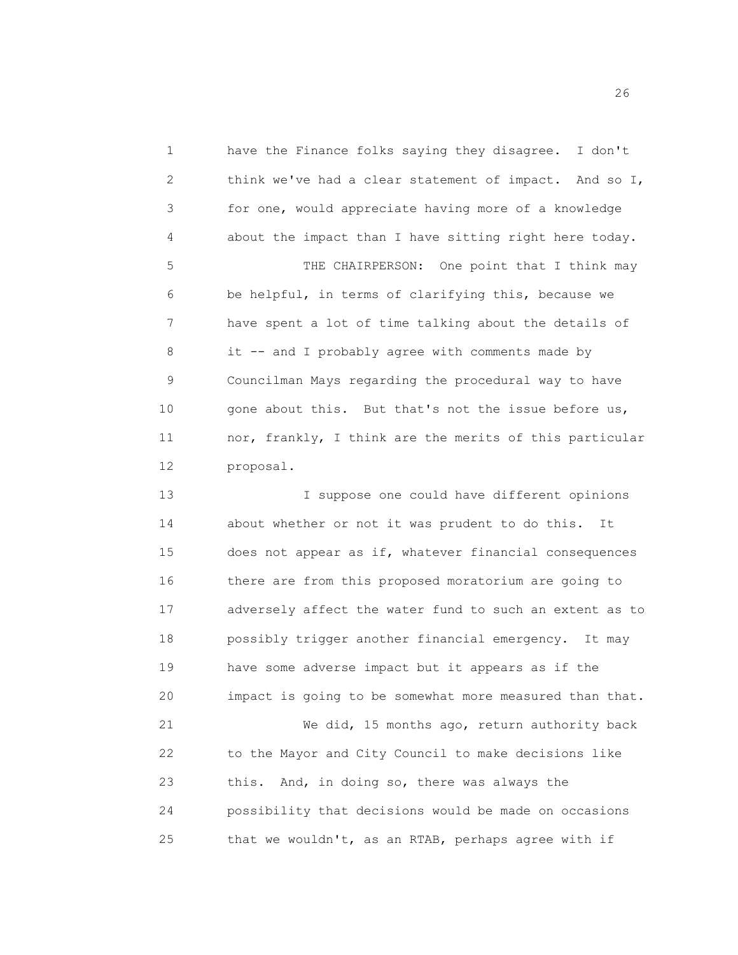1 have the Finance folks saying they disagree. I don't 2 think we've had a clear statement of impact. And so I, 3 for one, would appreciate having more of a knowledge 4 about the impact than I have sitting right here today. 5 THE CHAIRPERSON: One point that I think may 6 be helpful, in terms of clarifying this, because we 7 have spent a lot of time talking about the details of 8 it -- and I probably agree with comments made by 9 Councilman Mays regarding the procedural way to have 10 gone about this. But that's not the issue before us, 11 nor, frankly, I think are the merits of this particular 12 proposal.

13 I suppose one could have different opinions 14 about whether or not it was prudent to do this. It 15 does not appear as if, whatever financial consequences 16 there are from this proposed moratorium are going to 17 adversely affect the water fund to such an extent as to 18 possibly trigger another financial emergency. It may 19 have some adverse impact but it appears as if the 20 impact is going to be somewhat more measured than that. 21 We did, 15 months ago, return authority back 22 to the Mayor and City Council to make decisions like 23 this. And, in doing so, there was always the 24 possibility that decisions would be made on occasions 25 that we wouldn't, as an RTAB, perhaps agree with if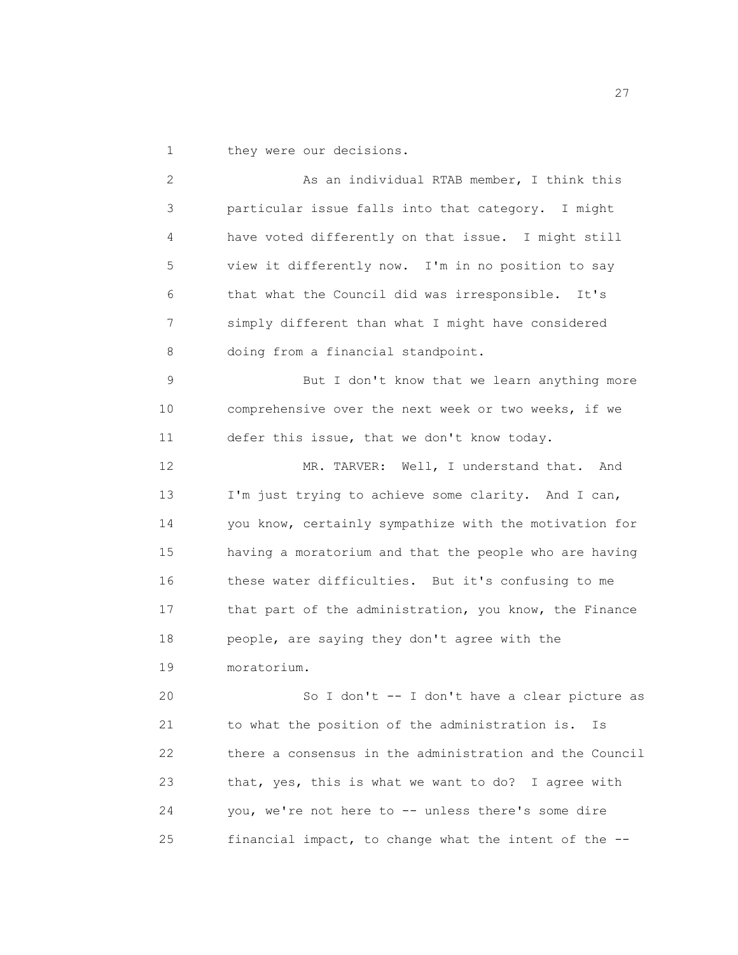1 they were our decisions.

2 As an individual RTAB member, I think this 3 particular issue falls into that category. I might 4 have voted differently on that issue. I might still 5 view it differently now. I'm in no position to say 6 that what the Council did was irresponsible. It's 7 simply different than what I might have considered 8 doing from a financial standpoint. 9 But I don't know that we learn anything more 10 comprehensive over the next week or two weeks, if we 11 defer this issue, that we don't know today. 12 MR. TARVER: Well, I understand that. And 13 I'm just trying to achieve some clarity. And I can, 14 you know, certainly sympathize with the motivation for 15 having a moratorium and that the people who are having 16 these water difficulties. But it's confusing to me 17 that part of the administration, you know, the Finance 18 people, are saying they don't agree with the 19 moratorium. 20 So I don't -- I don't have a clear picture as 21 to what the position of the administration is. Is 22 there a consensus in the administration and the Council 23 that, yes, this is what we want to do? I agree with 24 you, we're not here to -- unless there's some dire 25 financial impact, to change what the intent of the --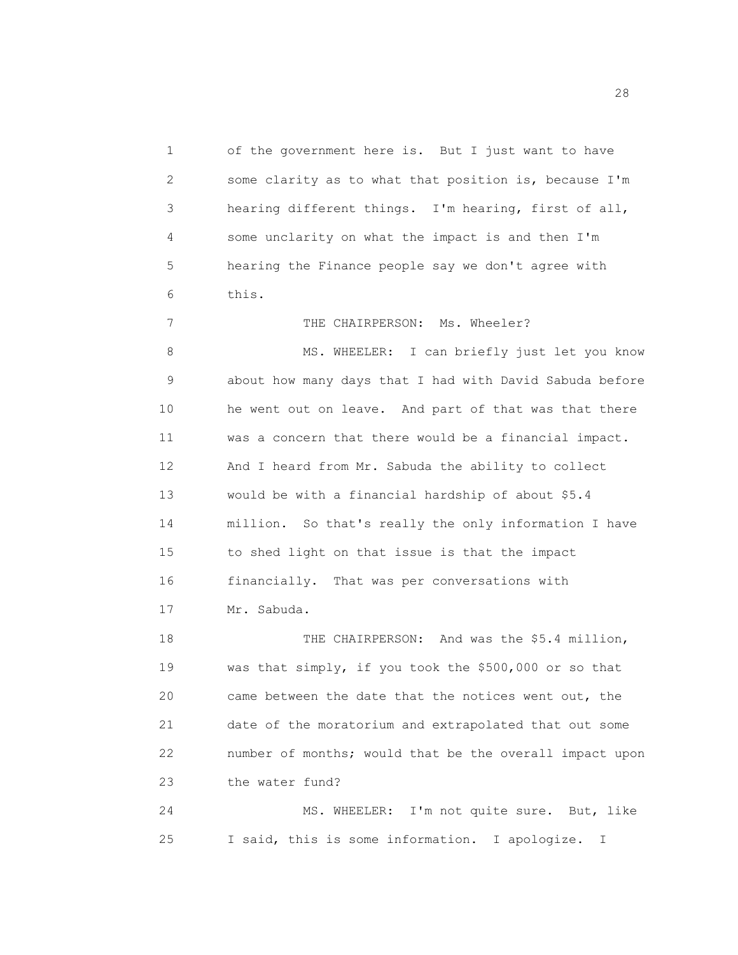1 of the government here is. But I just want to have 2 some clarity as to what that position is, because I'm 3 hearing different things. I'm hearing, first of all, 4 some unclarity on what the impact is and then I'm 5 hearing the Finance people say we don't agree with 6 this.

7 THE CHAIRPERSON: Ms. Wheeler?

8 MS. WHEELER: I can briefly just let you know 9 about how many days that I had with David Sabuda before 10 he went out on leave. And part of that was that there 11 was a concern that there would be a financial impact. 12 And I heard from Mr. Sabuda the ability to collect 13 would be with a financial hardship of about \$5.4 14 million. So that's really the only information I have 15 to shed light on that issue is that the impact 16 financially. That was per conversations with 17 Mr. Sabuda.

18 THE CHAIRPERSON: And was the \$5.4 million, 19 was that simply, if you took the \$500,000 or so that 20 came between the date that the notices went out, the 21 date of the moratorium and extrapolated that out some 22 number of months; would that be the overall impact upon 23 the water fund?

24 MS. WHEELER: I'm not quite sure. But, like 25 I said, this is some information. I apologize. I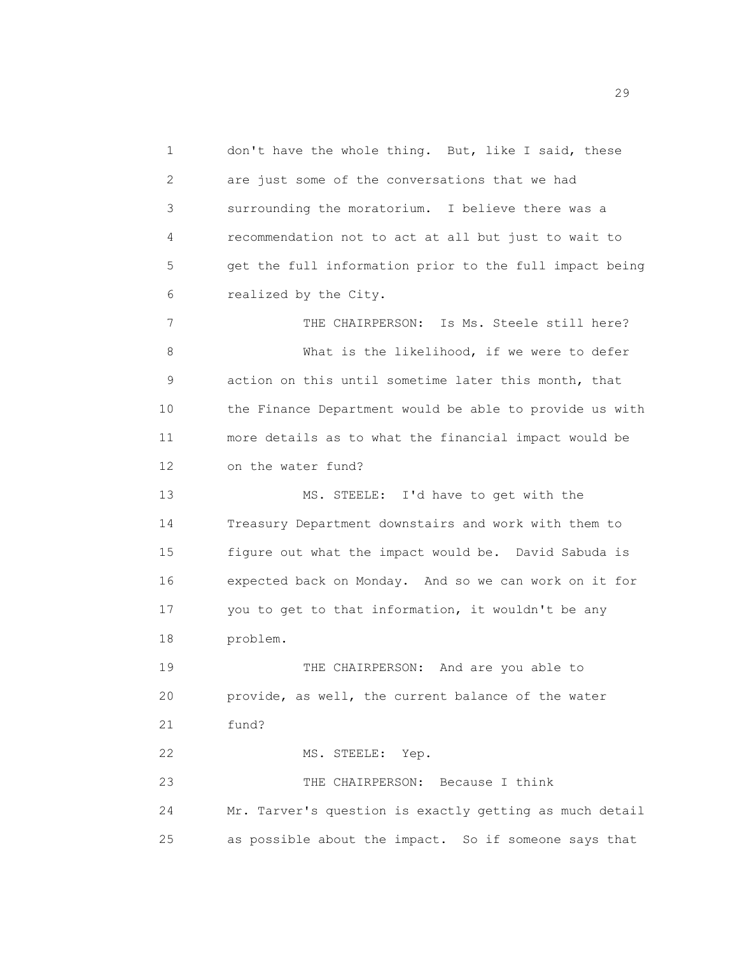1 don't have the whole thing. But, like I said, these 2 are just some of the conversations that we had 3 surrounding the moratorium. I believe there was a 4 recommendation not to act at all but just to wait to 5 get the full information prior to the full impact being 6 realized by the City. 7 THE CHAIRPERSON: Is Ms. Steele still here? 8 What is the likelihood, if we were to defer 9 action on this until sometime later this month, that 10 the Finance Department would be able to provide us with 11 more details as to what the financial impact would be 12 on the water fund? 13 MS. STEELE: I'd have to get with the 14 Treasury Department downstairs and work with them to 15 figure out what the impact would be. David Sabuda is 16 expected back on Monday. And so we can work on it for 17 you to get to that information, it wouldn't be any 18 problem. 19 THE CHAIRPERSON: And are you able to 20 provide, as well, the current balance of the water 21 fund? 22 MS. STEELE: Yep. 23 THE CHAIRPERSON: Because I think 24 Mr. Tarver's question is exactly getting as much detail 25 as possible about the impact. So if someone says that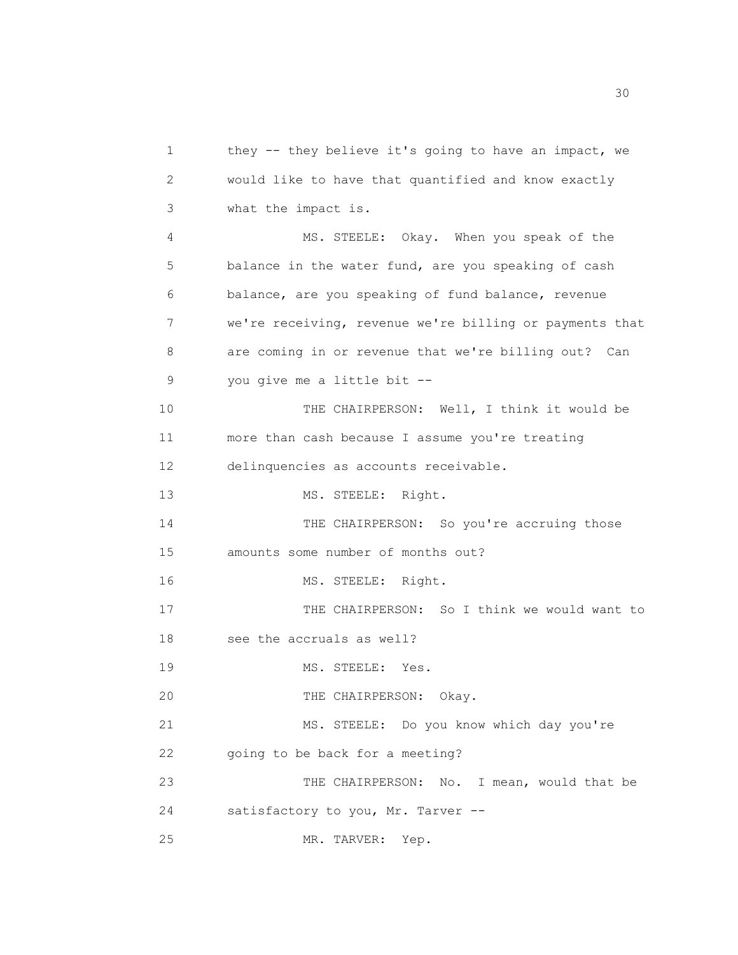1 they -- they believe it's going to have an impact, we 2 would like to have that quantified and know exactly 3 what the impact is. 4 MS. STEELE: Okay. When you speak of the 5 balance in the water fund, are you speaking of cash 6 balance, are you speaking of fund balance, revenue 7 we're receiving, revenue we're billing or payments that 8 are coming in or revenue that we're billing out? Can 9 you give me a little bit -- 10 THE CHAIRPERSON: Well, I think it would be 11 more than cash because I assume you're treating 12 delinquencies as accounts receivable. 13 MS. STEELE: Right. 14 THE CHAIRPERSON: So you're accruing those 15 amounts some number of months out? 16 MS. STEELE: Right. 17 THE CHAIRPERSON: So I think we would want to 18 see the accruals as well? 19 MS. STEELE: Yes. 20 THE CHAIRPERSON: Okay. 21 MS. STEELE: Do you know which day you're 22 going to be back for a meeting? 23 THE CHAIRPERSON: No. I mean, would that be 24 satisfactory to you, Mr. Tarver -- 25 MR. TARVER: Yep.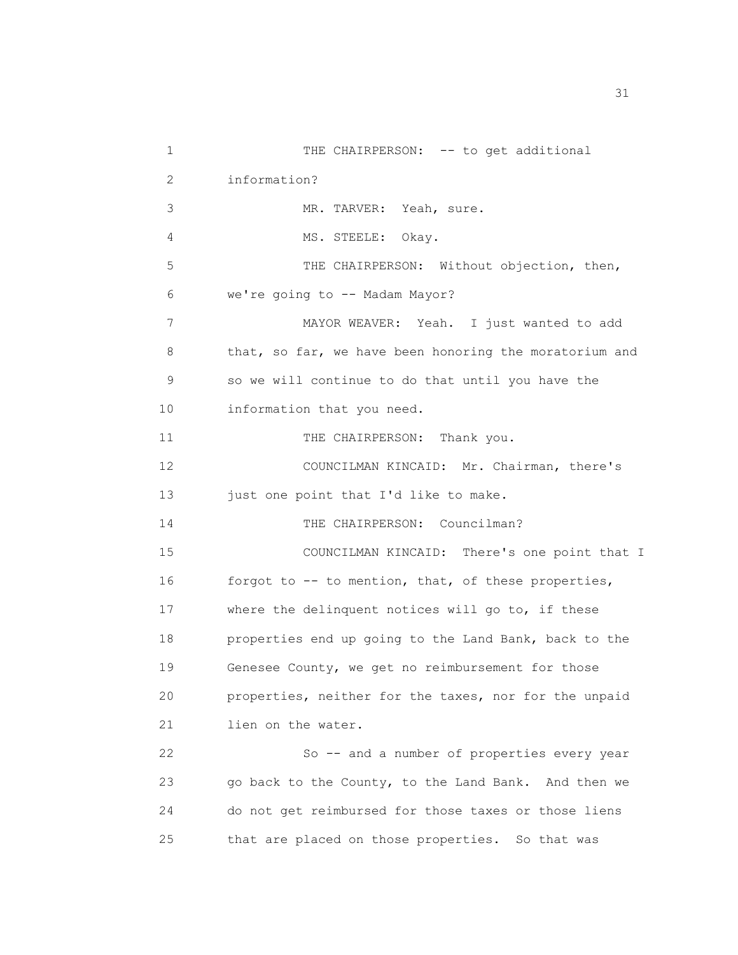1 THE CHAIRPERSON: -- to get additional 2 information? 3 MR. TARVER: Yeah, sure. 4 MS. STEELE: Okay. 5 THE CHAIRPERSON: Without objection, then, 6 we're going to -- Madam Mayor? 7 MAYOR WEAVER: Yeah. I just wanted to add 8 that, so far, we have been honoring the moratorium and 9 so we will continue to do that until you have the 10 information that you need. 11 THE CHAIRPERSON: Thank you. 12 COUNCILMAN KINCAID: Mr. Chairman, there's 13 just one point that I'd like to make. 14 THE CHAIRPERSON: Councilman? 15 COUNCILMAN KINCAID: There's one point that I 16 forgot to -- to mention, that, of these properties, 17 where the delinquent notices will go to, if these 18 properties end up going to the Land Bank, back to the 19 Genesee County, we get no reimbursement for those 20 properties, neither for the taxes, nor for the unpaid 21 lien on the water. 22 So -- and a number of properties every year 23 go back to the County, to the Land Bank. And then we 24 do not get reimbursed for those taxes or those liens 25 that are placed on those properties. So that was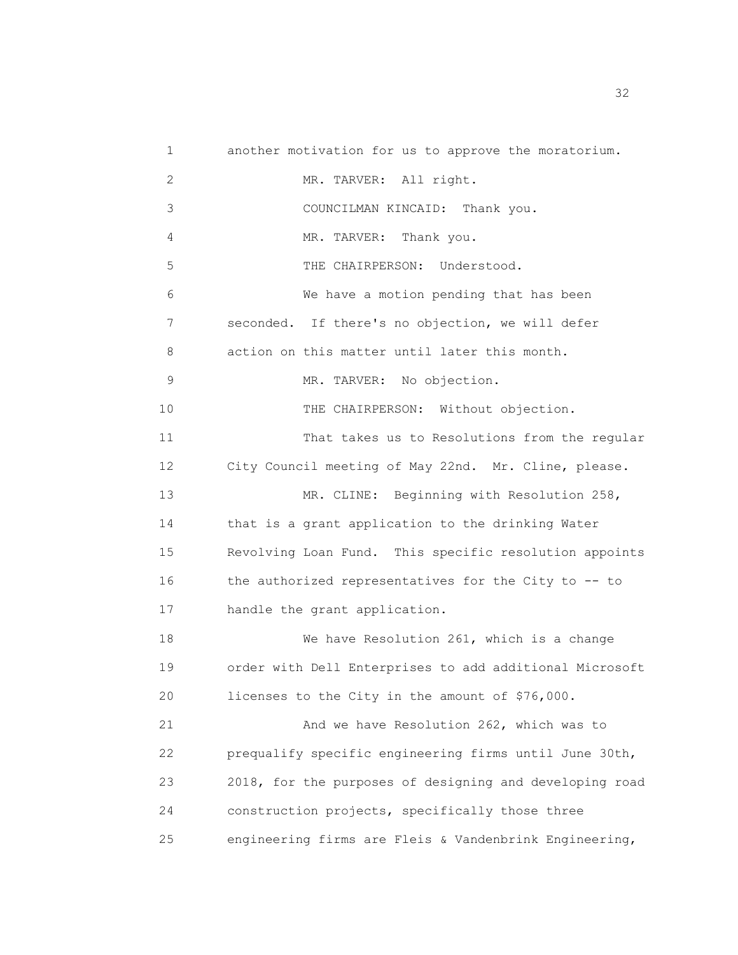1 another motivation for us to approve the moratorium. 2 MR. TARVER: All right. 3 COUNCILMAN KINCAID: Thank you. 4 MR. TARVER: Thank you. 5 THE CHAIRPERSON: Understood. 6 We have a motion pending that has been 7 seconded. If there's no objection, we will defer 8 action on this matter until later this month. 9 MR. TARVER: No objection. 10 THE CHAIRPERSON: Without objection. 11 That takes us to Resolutions from the regular 12 City Council meeting of May 22nd. Mr. Cline, please. 13 MR. CLINE: Beginning with Resolution 258, 14 that is a grant application to the drinking Water 15 Revolving Loan Fund. This specific resolution appoints 16 the authorized representatives for the City to -- to 17 handle the grant application. 18 We have Resolution 261, which is a change 19 order with Dell Enterprises to add additional Microsoft 20 licenses to the City in the amount of \$76,000. 21 And we have Resolution 262, which was to 22 prequalify specific engineering firms until June 30th, 23 2018, for the purposes of designing and developing road 24 construction projects, specifically those three 25 engineering firms are Fleis & Vandenbrink Engineering,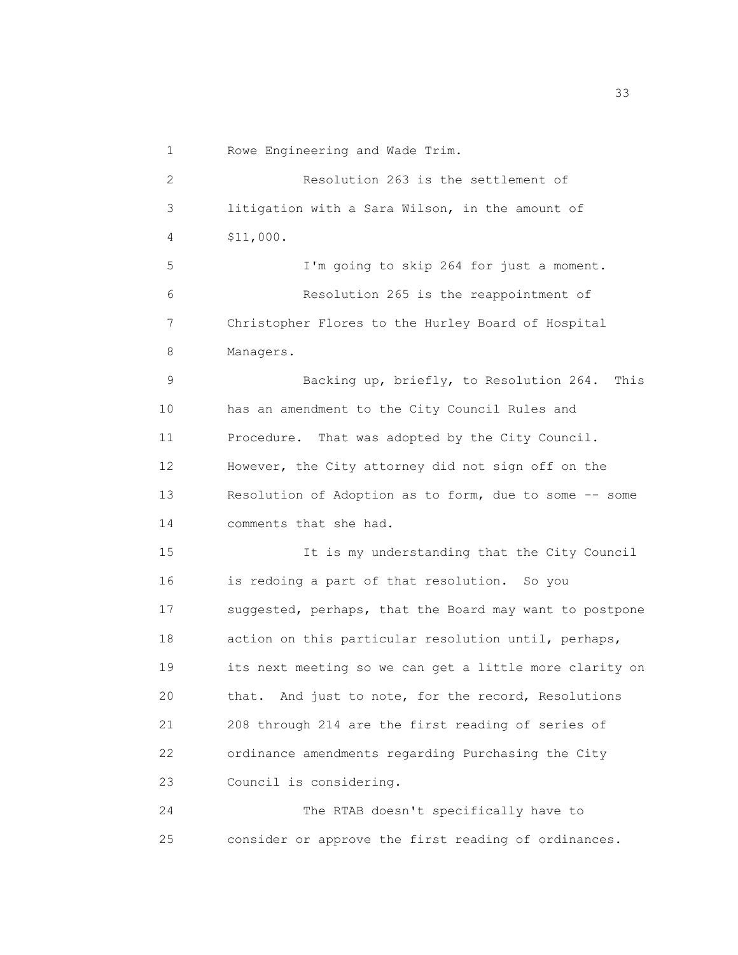| 1  | Rowe Engineering and Wade Trim.                         |
|----|---------------------------------------------------------|
| 2  | Resolution 263 is the settlement of                     |
| 3  | litigation with a Sara Wilson, in the amount of         |
| 4  | \$11,000.                                               |
| 5  | I'm going to skip 264 for just a moment.                |
| 6  | Resolution 265 is the reappointment of                  |
| 7  | Christopher Flores to the Hurley Board of Hospital      |
| 8  | Managers.                                               |
| 9  | Backing up, briefly, to Resolution 264. This            |
| 10 | has an amendment to the City Council Rules and          |
| 11 | Procedure. That was adopted by the City Council.        |
| 12 | However, the City attorney did not sign off on the      |
| 13 | Resolution of Adoption as to form, due to some -- some  |
| 14 | comments that she had.                                  |
| 15 | It is my understanding that the City Council            |
| 16 | is redoing a part of that resolution. So you            |
| 17 | suggested, perhaps, that the Board may want to postpone |
| 18 | action on this particular resolution until, perhaps,    |
| 19 | its next meeting so we can get a little more clarity on |
| 20 | that. And just to note, for the record, Resolutions     |
| 21 | 208 through 214 are the first reading of series of      |
| 22 | ordinance amendments regarding Purchasing the City      |
| 23 | Council is considering.                                 |
| 24 | The RTAB doesn't specifically have to                   |
| 25 | consider or approve the first reading of ordinances.    |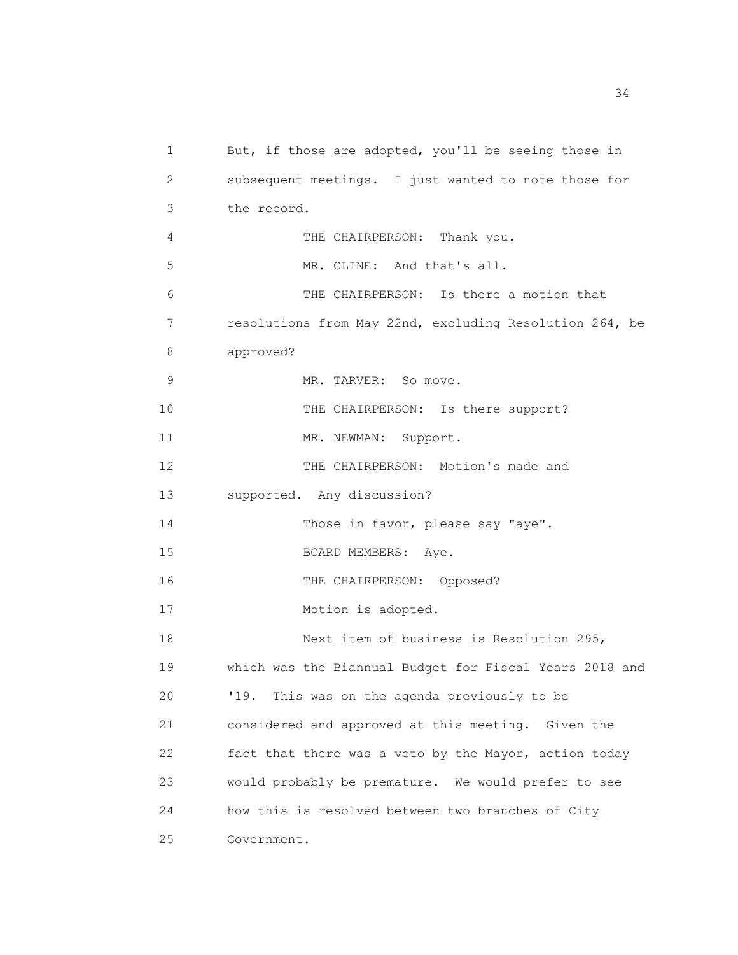1 But, if those are adopted, you'll be seeing those in 2 subsequent meetings. I just wanted to note those for 3 the record. 4 THE CHAIRPERSON: Thank you. 5 MR. CLINE: And that's all. 6 THE CHAIRPERSON: Is there a motion that 7 resolutions from May 22nd, excluding Resolution 264, be 8 approved? 9 MR. TARVER: So move. 10 THE CHAIRPERSON: Is there support? 11 MR. NEWMAN: Support. 12 THE CHAIRPERSON: Motion's made and 13 supported. Any discussion? 14 Those in favor, please say "aye". 15 BOARD MEMBERS: Aye. 16 THE CHAIRPERSON: Opposed? 17 Motion is adopted. 18 Next item of business is Resolution 295, 19 which was the Biannual Budget for Fiscal Years 2018 and 20 '19. This was on the agenda previously to be 21 considered and approved at this meeting. Given the 22 fact that there was a veto by the Mayor, action today 23 would probably be premature. We would prefer to see 24 how this is resolved between two branches of City 25 Government.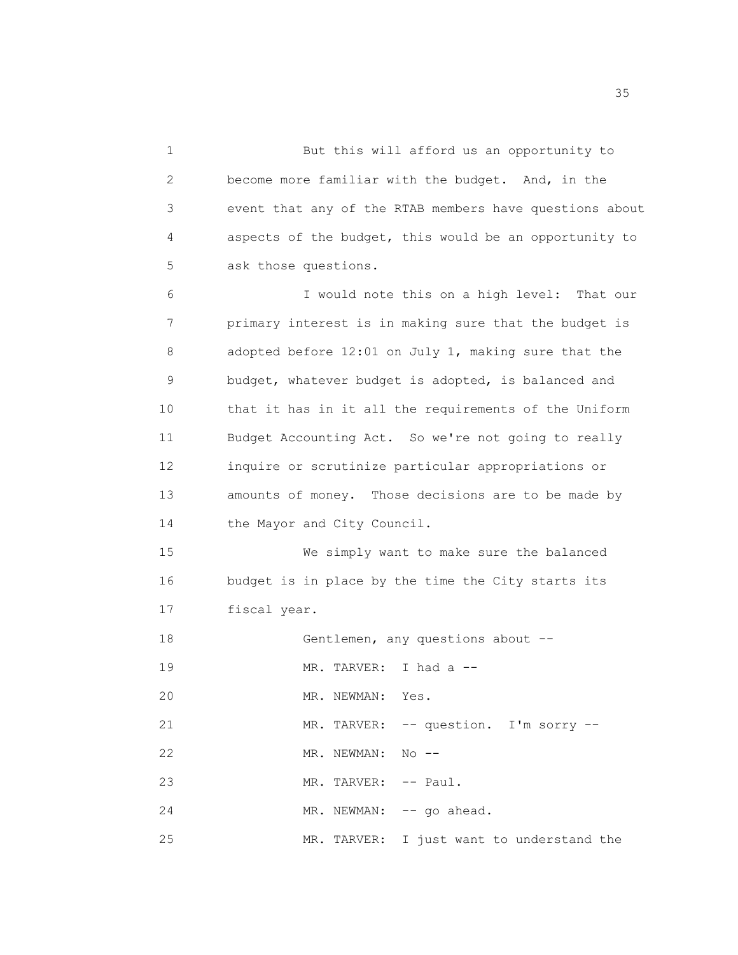1 But this will afford us an opportunity to 2 become more familiar with the budget. And, in the 3 event that any of the RTAB members have questions about 4 aspects of the budget, this would be an opportunity to 5 ask those questions. 6 I would note this on a high level: That our 7 primary interest is in making sure that the budget is 8 adopted before 12:01 on July 1, making sure that the 9 budget, whatever budget is adopted, is balanced and 10 that it has in it all the requirements of the Uniform 11 Budget Accounting Act. So we're not going to really 12 inquire or scrutinize particular appropriations or 13 amounts of money. Those decisions are to be made by 14 the Mayor and City Council. 15 We simply want to make sure the balanced 16 budget is in place by the time the City starts its 17 fiscal year. 18 Gentlemen, any questions about -- 19 MR. TARVER: I had a -- 20 MR. NEWMAN: Yes. 21 MR. TARVER: -- question. I'm sorry --22 MR. NEWMAN: No -- 23 MR. TARVER: -- Paul. 24 MR. NEWMAN: -- go ahead.

25 MR. TARVER: I just want to understand the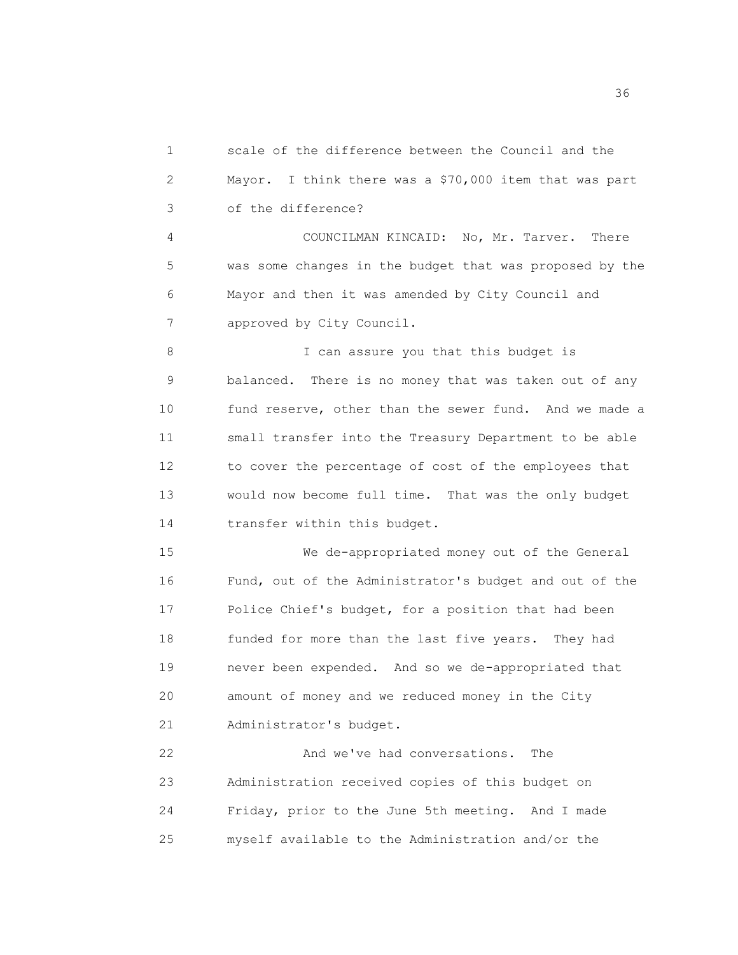1 scale of the difference between the Council and the 2 Mayor. I think there was a \$70,000 item that was part 3 of the difference?

4 COUNCILMAN KINCAID: No, Mr. Tarver. There 5 was some changes in the budget that was proposed by the 6 Mayor and then it was amended by City Council and 7 approved by City Council.

8 I can assure you that this budget is 9 balanced. There is no money that was taken out of any 10 fund reserve, other than the sewer fund. And we made a 11 small transfer into the Treasury Department to be able 12 to cover the percentage of cost of the employees that 13 would now become full time. That was the only budget 14 transfer within this budget.

15 We de-appropriated money out of the General 16 Fund, out of the Administrator's budget and out of the 17 Police Chief's budget, for a position that had been 18 funded for more than the last five years. They had 19 never been expended. And so we de-appropriated that 20 amount of money and we reduced money in the City 21 Administrator's budget.

22 And we've had conversations. The 23 Administration received copies of this budget on 24 Friday, prior to the June 5th meeting. And I made 25 myself available to the Administration and/or the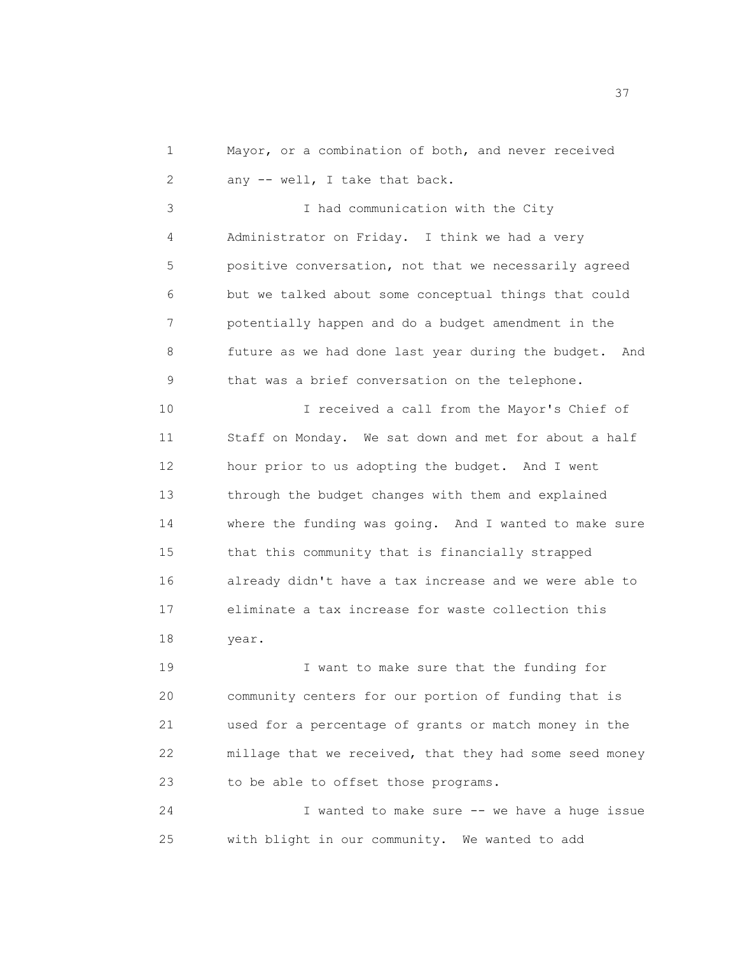1 Mayor, or a combination of both, and never received 2 any -- well, I take that back.

3 I had communication with the City 4 Administrator on Friday. I think we had a very 5 positive conversation, not that we necessarily agreed 6 but we talked about some conceptual things that could 7 potentially happen and do a budget amendment in the 8 future as we had done last year during the budget. And 9 that was a brief conversation on the telephone.

10 I received a call from the Mayor's Chief of 11 Staff on Monday. We sat down and met for about a half 12 hour prior to us adopting the budget. And I went 13 through the budget changes with them and explained 14 where the funding was going. And I wanted to make sure 15 that this community that is financially strapped 16 already didn't have a tax increase and we were able to 17 eliminate a tax increase for waste collection this 18 year.

19 I want to make sure that the funding for 20 community centers for our portion of funding that is 21 used for a percentage of grants or match money in the 22 millage that we received, that they had some seed money 23 to be able to offset those programs.

24 I wanted to make sure -- we have a huge issue 25 with blight in our community. We wanted to add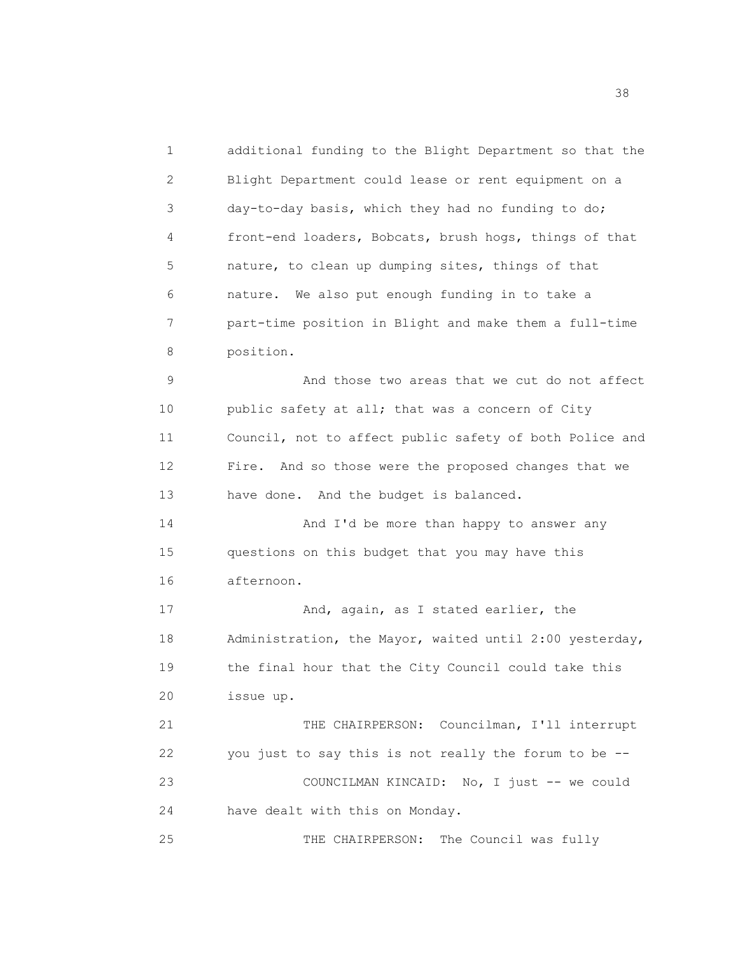1 additional funding to the Blight Department so that the 2 Blight Department could lease or rent equipment on a 3 day-to-day basis, which they had no funding to do; 4 front-end loaders, Bobcats, brush hogs, things of that 5 nature, to clean up dumping sites, things of that 6 nature. We also put enough funding in to take a 7 part-time position in Blight and make them a full-time 8 position. 9 And those two areas that we cut do not affect 10 public safety at all; that was a concern of City 11 Council, not to affect public safety of both Police and 12 Fire. And so those were the proposed changes that we 13 have done. And the budget is balanced. 14 And I'd be more than happy to answer any 15 questions on this budget that you may have this 16 afternoon. 17 And, again, as I stated earlier, the 18 Administration, the Mayor, waited until 2:00 yesterday, 19 the final hour that the City Council could take this 20 issue up. 21 THE CHAIRPERSON: Councilman, I'll interrupt 22 you just to say this is not really the forum to be -- 23 COUNCILMAN KINCAID: No, I just -- we could 24 have dealt with this on Monday. 25 THE CHAIRPERSON: The Council was fully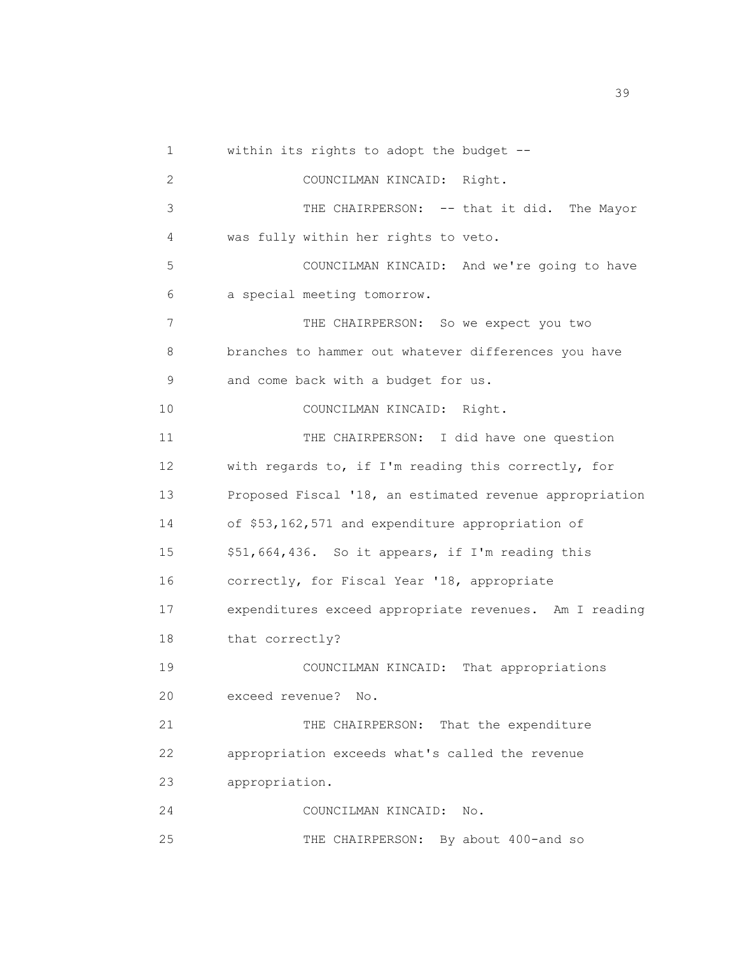| 1  | within its rights to adopt the budget --                |
|----|---------------------------------------------------------|
| 2  | COUNCILMAN KINCAID: Right.                              |
| 3  | THE CHAIRPERSON: -- that it did. The Mayor              |
| 4  | was fully within her rights to veto.                    |
| 5  | COUNCILMAN KINCAID: And we're going to have             |
| 6  | a special meeting tomorrow.                             |
| 7  | THE CHAIRPERSON: So we expect you two                   |
| 8  | branches to hammer out whatever differences you have    |
| 9  | and come back with a budget for us.                     |
| 10 | COUNCILMAN KINCAID: Right.                              |
| 11 | THE CHAIRPERSON: I did have one question                |
| 12 | with regards to, if I'm reading this correctly, for     |
| 13 | Proposed Fiscal '18, an estimated revenue appropriation |
| 14 | of \$53,162,571 and expenditure appropriation of        |
| 15 | \$51,664,436. So it appears, if I'm reading this        |
| 16 | correctly, for Fiscal Year '18, appropriate             |
| 17 | expenditures exceed appropriate revenues. Am I reading  |
| 18 | that correctly?                                         |
| 19 | COUNCILMAN KINCAID: That appropriations                 |
| 20 | exceed revenue?<br>No.                                  |
| 21 | THE CHAIRPERSON: That the expenditure                   |
| 22 | appropriation exceeds what's called the revenue         |
| 23 | appropriation.                                          |
| 24 | COUNCILMAN KINCAID:<br>No.                              |
| 25 | THE CHAIRPERSON: By about 400-and so                    |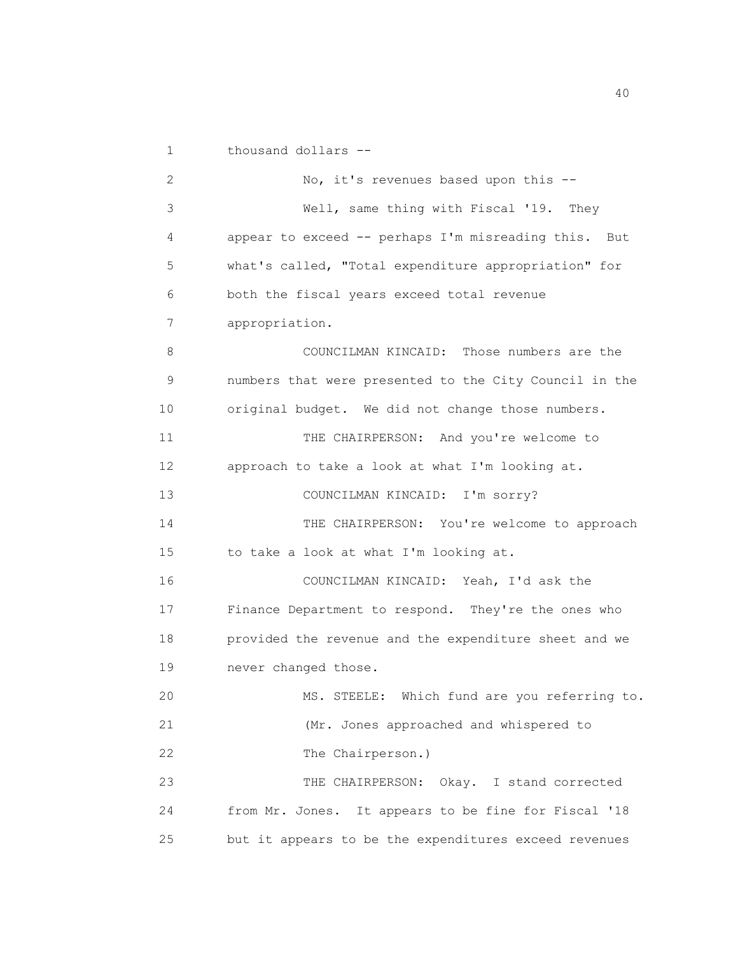1 thousand dollars --

2 No, it's revenues based upon this --3 Well, same thing with Fiscal '19. They 4 appear to exceed -- perhaps I'm misreading this. But 5 what's called, "Total expenditure appropriation" for 6 both the fiscal years exceed total revenue 7 appropriation. 8 COUNCILMAN KINCAID: Those numbers are the 9 numbers that were presented to the City Council in the 10 original budget. We did not change those numbers. 11 THE CHAIRPERSON: And you're welcome to 12 approach to take a look at what I'm looking at. 13 COUNCILMAN KINCAID: I'm sorry? 14 THE CHAIRPERSON: You're welcome to approach 15 to take a look at what I'm looking at. 16 COUNCILMAN KINCAID: Yeah, I'd ask the 17 Finance Department to respond. They're the ones who 18 provided the revenue and the expenditure sheet and we 19 never changed those. 20 MS. STEELE: Which fund are you referring to. 21 (Mr. Jones approached and whispered to 22 The Chairperson.) 23 THE CHAIRPERSON: Okay. I stand corrected 24 from Mr. Jones. It appears to be fine for Fiscal '18 25 but it appears to be the expenditures exceed revenues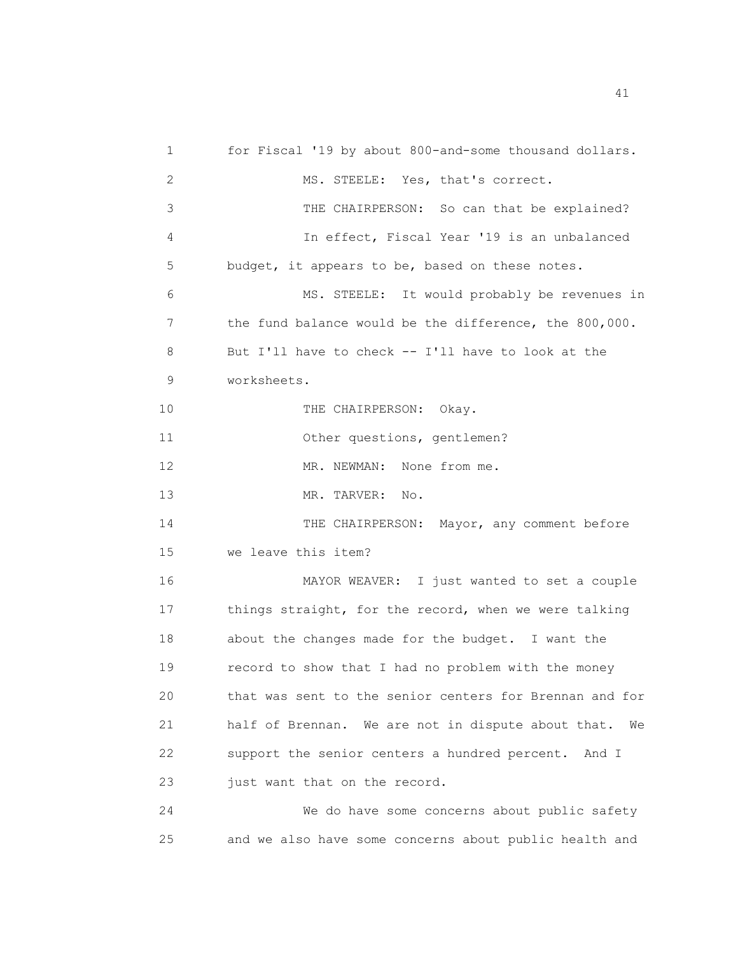1 for Fiscal '19 by about 800-and-some thousand dollars. 2 MS. STEELE: Yes, that's correct. 3 THE CHAIRPERSON: So can that be explained? 4 In effect, Fiscal Year '19 is an unbalanced 5 budget, it appears to be, based on these notes. 6 MS. STEELE: It would probably be revenues in 7 the fund balance would be the difference, the 800,000. 8 But I'll have to check -- I'll have to look at the 9 worksheets. 10 THE CHAIRPERSON: Okay. 11 Other questions, gentlemen? 12 MR. NEWMAN: None from me. 13 MR. TARVER: No. 14 THE CHAIRPERSON: Mayor, any comment before 15 we leave this item? 16 MAYOR WEAVER: I just wanted to set a couple 17 things straight, for the record, when we were talking 18 about the changes made for the budget. I want the 19 record to show that I had no problem with the money 20 that was sent to the senior centers for Brennan and for 21 half of Brennan. We are not in dispute about that. We 22 support the senior centers a hundred percent. And I 23 just want that on the record. 24 We do have some concerns about public safety 25 and we also have some concerns about public health and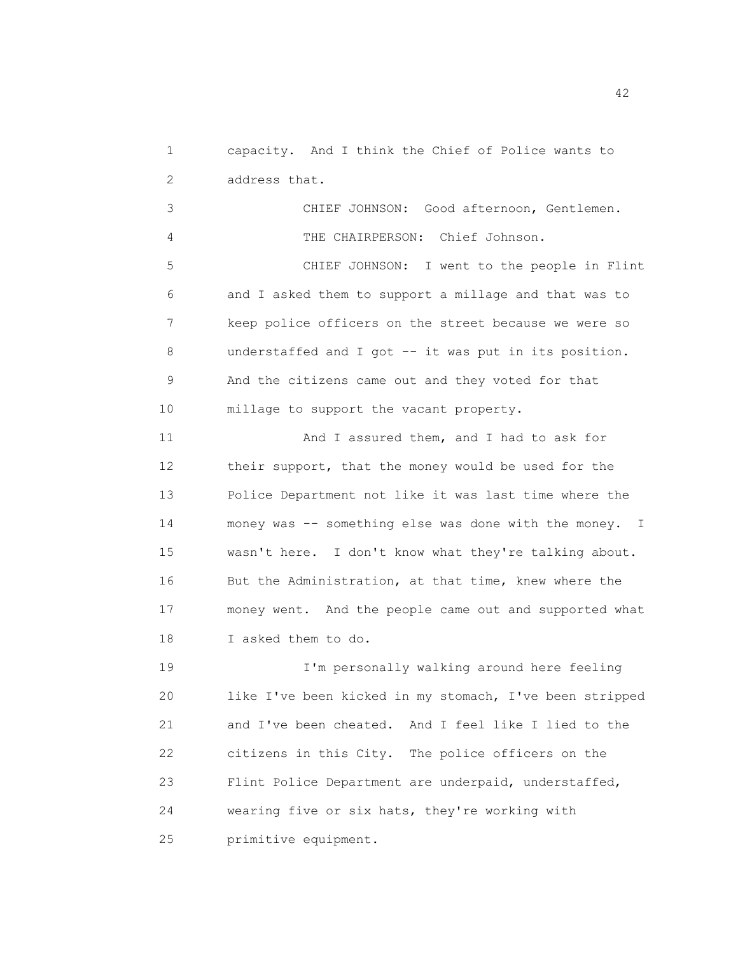1 capacity. And I think the Chief of Police wants to 2 address that.

3 CHIEF JOHNSON: Good afternoon, Gentlemen. 4 THE CHAIRPERSON: Chief Johnson. 5 CHIEF JOHNSON: I went to the people in Flint 6 and I asked them to support a millage and that was to 7 keep police officers on the street because we were so 8 understaffed and I got -- it was put in its position. 9 And the citizens came out and they voted for that 10 millage to support the vacant property. 11 And I assured them, and I had to ask for 12 their support, that the money would be used for the 13 Police Department not like it was last time where the 14 money was -- something else was done with the money. I 15 wasn't here. I don't know what they're talking about. 16 But the Administration, at that time, knew where the 17 money went. And the people came out and supported what

18 I asked them to do.

19 I'm personally walking around here feeling 20 like I've been kicked in my stomach, I've been stripped 21 and I've been cheated. And I feel like I lied to the 22 citizens in this City. The police officers on the 23 Flint Police Department are underpaid, understaffed, 24 wearing five or six hats, they're working with 25 primitive equipment.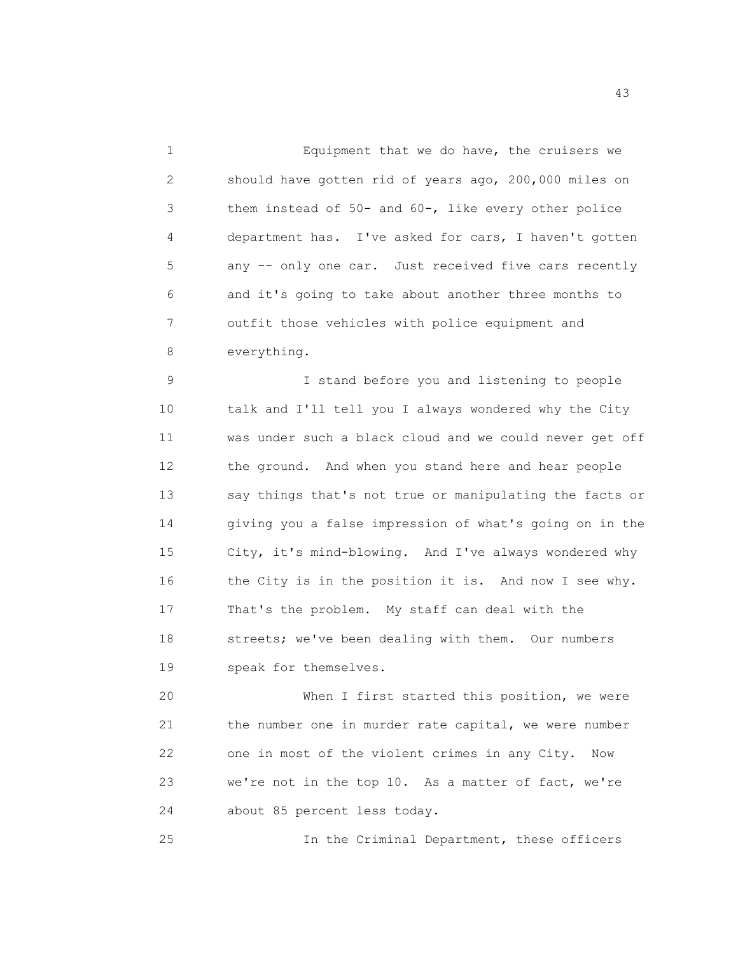1 Equipment that we do have, the cruisers we 2 should have gotten rid of years ago, 200,000 miles on 3 them instead of 50- and 60-, like every other police 4 department has. I've asked for cars, I haven't gotten 5 any -- only one car. Just received five cars recently 6 and it's going to take about another three months to 7 outfit those vehicles with police equipment and 8 everything.

9 I stand before you and listening to people 10 talk and I'll tell you I always wondered why the City 11 was under such a black cloud and we could never get off 12 the ground. And when you stand here and hear people 13 say things that's not true or manipulating the facts or 14 giving you a false impression of what's going on in the 15 City, it's mind-blowing. And I've always wondered why 16 the City is in the position it is. And now I see why. 17 That's the problem. My staff can deal with the 18 streets; we've been dealing with them. Our numbers 19 speak for themselves.

20 When I first started this position, we were 21 the number one in murder rate capital, we were number 22 one in most of the violent crimes in any City. Now 23 we're not in the top 10. As a matter of fact, we're 24 about 85 percent less today.

25 In the Criminal Department, these officers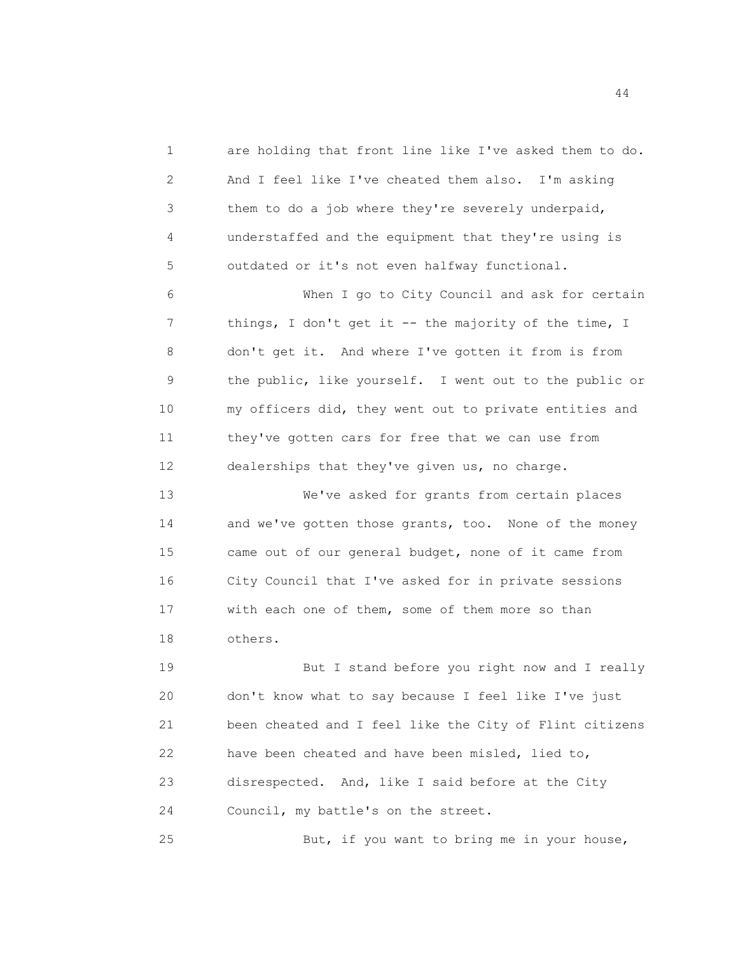1 are holding that front line like I've asked them to do. 2 And I feel like I've cheated them also. I'm asking 3 them to do a job where they're severely underpaid, 4 understaffed and the equipment that they're using is 5 outdated or it's not even halfway functional.

6 When I go to City Council and ask for certain 7 things, I don't get it -- the majority of the time, I 8 don't get it. And where I've gotten it from is from 9 the public, like yourself. I went out to the public or 10 my officers did, they went out to private entities and 11 they've gotten cars for free that we can use from 12 dealerships that they've given us, no charge.

13 We've asked for grants from certain places 14 and we've gotten those grants, too. None of the money 15 came out of our general budget, none of it came from 16 City Council that I've asked for in private sessions 17 with each one of them, some of them more so than 18 others.

19 But I stand before you right now and I really 20 don't know what to say because I feel like I've just 21 been cheated and I feel like the City of Flint citizens 22 have been cheated and have been misled, lied to, 23 disrespected. And, like I said before at the City 24 Council, my battle's on the street.

25 But, if you want to bring me in your house,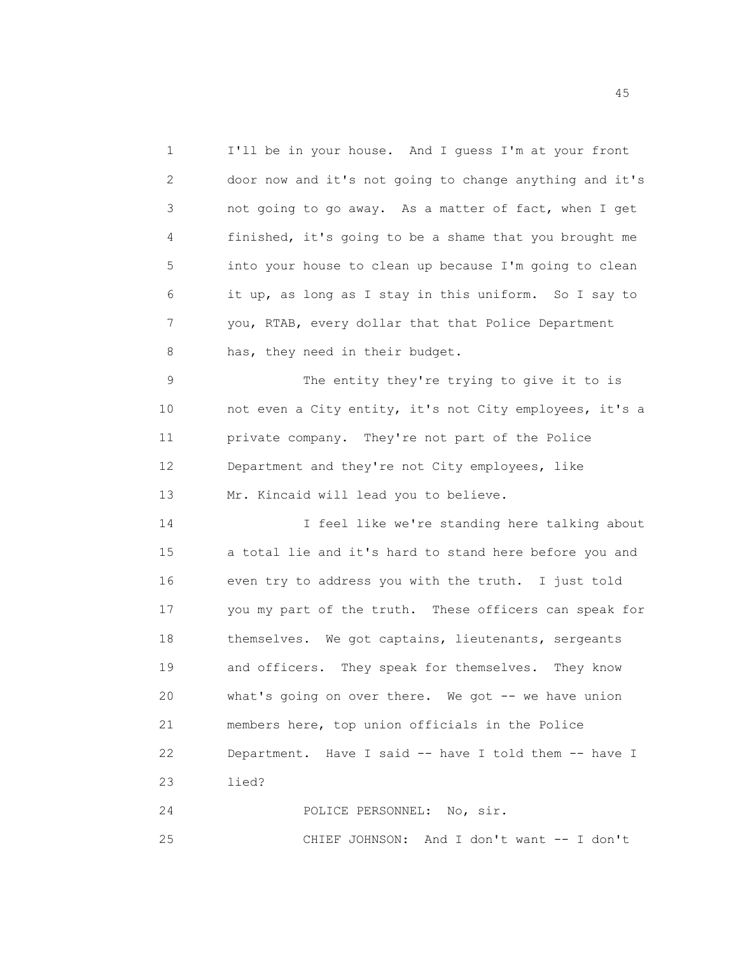1 I'll be in your house. And I guess I'm at your front 2 door now and it's not going to change anything and it's 3 not going to go away. As a matter of fact, when I get 4 finished, it's going to be a shame that you brought me 5 into your house to clean up because I'm going to clean 6 it up, as long as I stay in this uniform. So I say to 7 you, RTAB, every dollar that that Police Department 8 has, they need in their budget.

9 The entity they're trying to give it to is 10 not even a City entity, it's not City employees, it's a 11 private company. They're not part of the Police 12 Department and they're not City employees, like 13 Mr. Kincaid will lead you to believe.

14 I feel like we're standing here talking about 15 a total lie and it's hard to stand here before you and 16 even try to address you with the truth. I just told 17 you my part of the truth. These officers can speak for 18 themselves. We got captains, lieutenants, sergeants 19 and officers. They speak for themselves. They know 20 what's going on over there. We got -- we have union 21 members here, top union officials in the Police 22 Department. Have I said -- have I told them -- have I 23 lied?

24 POLICE PERSONNEL: No, sir.

25 CHIEF JOHNSON: And I don't want -- I don't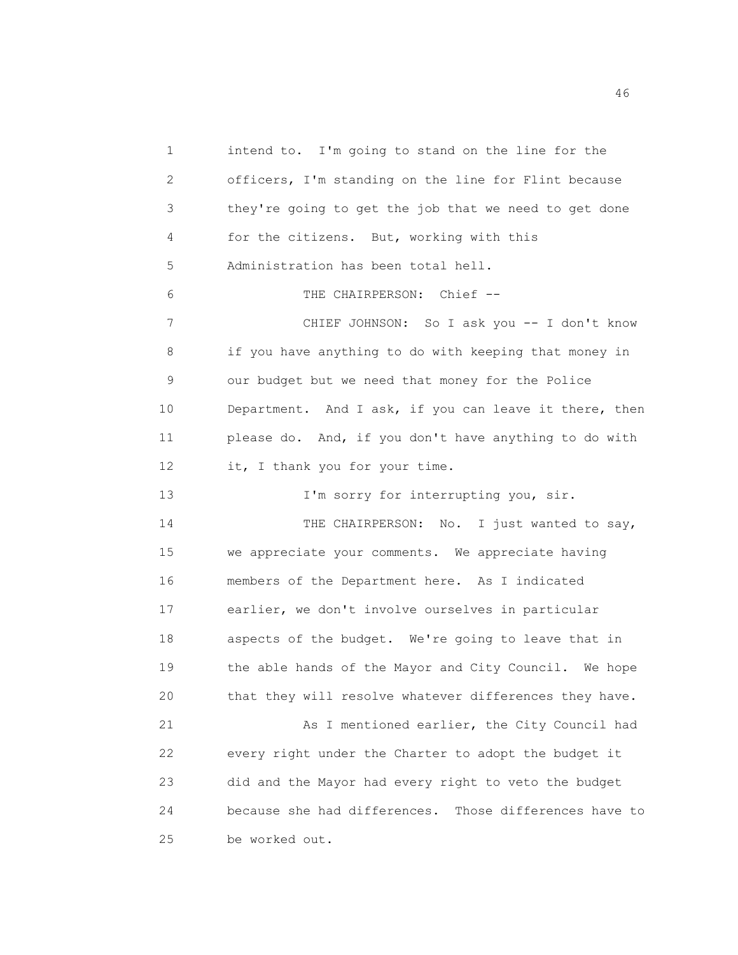1 intend to. I'm going to stand on the line for the 2 officers, I'm standing on the line for Flint because 3 they're going to get the job that we need to get done 4 for the citizens. But, working with this 5 Administration has been total hell. 6 THE CHAIRPERSON: Chief -- 7 CHIEF JOHNSON: So I ask you -- I don't know 8 if you have anything to do with keeping that money in 9 our budget but we need that money for the Police 10 Department. And I ask, if you can leave it there, then 11 please do. And, if you don't have anything to do with 12 it, I thank you for your time. 13 I'm sorry for interrupting you, sir. 14 THE CHAIRPERSON: No. I just wanted to say, 15 we appreciate your comments. We appreciate having 16 members of the Department here. As I indicated 17 earlier, we don't involve ourselves in particular 18 aspects of the budget. We're going to leave that in 19 the able hands of the Mayor and City Council. We hope 20 that they will resolve whatever differences they have. 21 As I mentioned earlier, the City Council had 22 every right under the Charter to adopt the budget it 23 did and the Mayor had every right to veto the budget 24 because she had differences. Those differences have to 25 be worked out.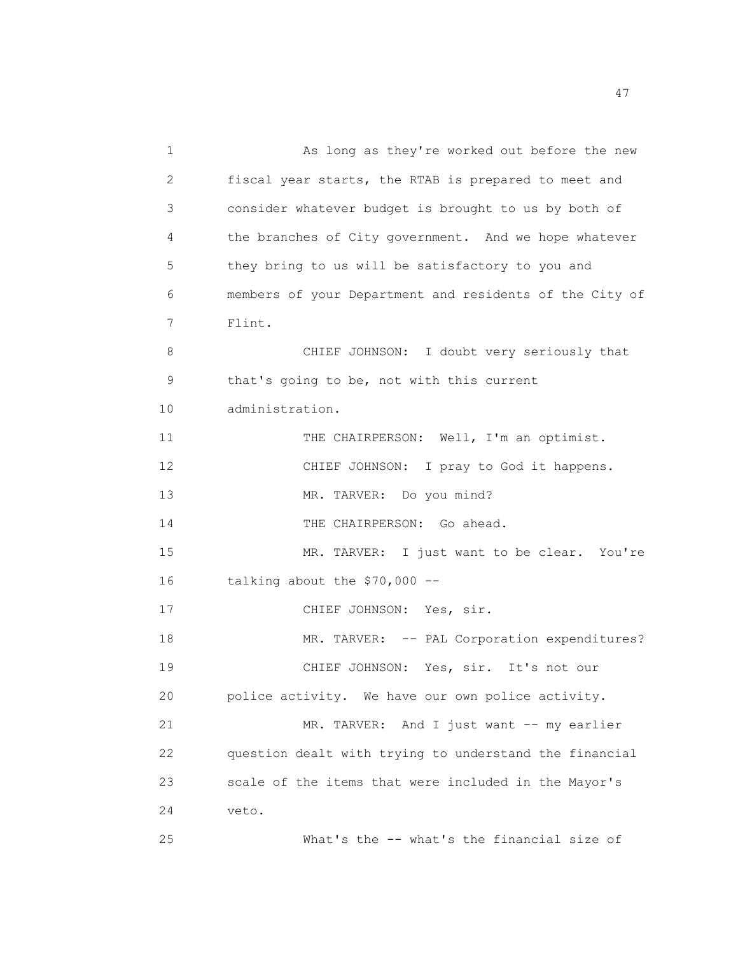1 As long as they're worked out before the new 2 fiscal year starts, the RTAB is prepared to meet and 3 consider whatever budget is brought to us by both of 4 the branches of City government. And we hope whatever 5 they bring to us will be satisfactory to you and 6 members of your Department and residents of the City of 7 Flint. 8 CHIEF JOHNSON: I doubt very seriously that 9 that's going to be, not with this current 10 administration. 11 THE CHAIRPERSON: Well, I'm an optimist. 12 CHIEF JOHNSON: I pray to God it happens. 13 MR. TARVER: Do you mind? 14 THE CHAIRPERSON: Go ahead. 15 MR. TARVER: I just want to be clear. You're 16 talking about the \$70,000 -- 17 CHIEF JOHNSON: Yes, sir. 18 MR. TARVER: -- PAL Corporation expenditures? 19 CHIEF JOHNSON: Yes, sir. It's not our 20 police activity. We have our own police activity. 21 MR. TARVER: And I just want -- my earlier 22 question dealt with trying to understand the financial 23 scale of the items that were included in the Mayor's 24 veto. 25 What's the -- what's the financial size of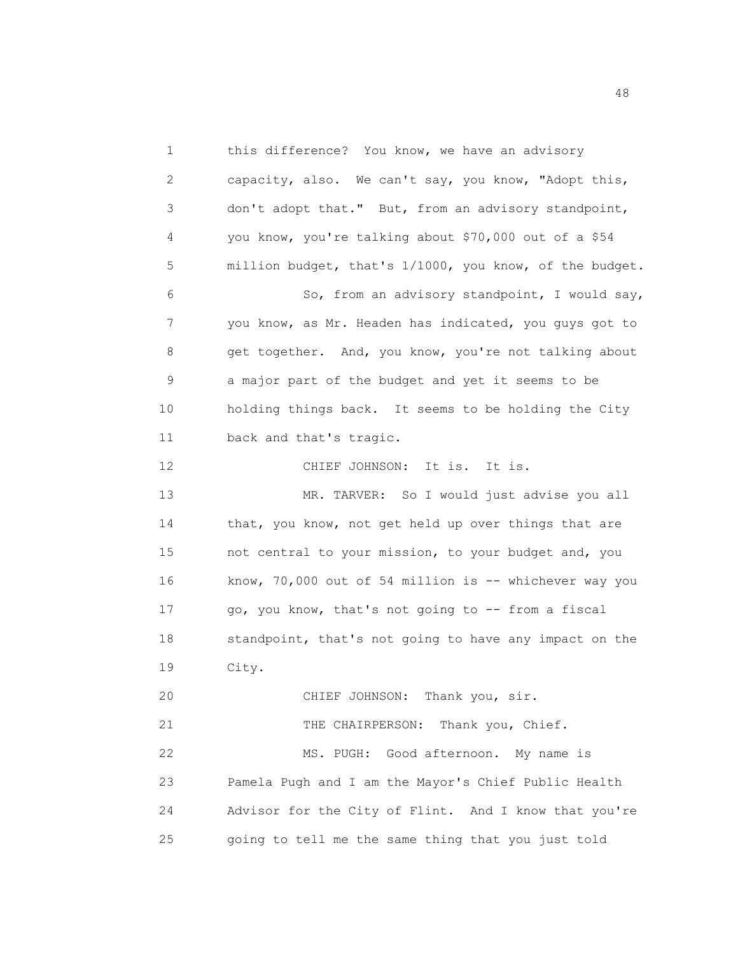1 this difference? You know, we have an advisory 2 capacity, also. We can't say, you know, "Adopt this, 3 don't adopt that." But, from an advisory standpoint, 4 you know, you're talking about \$70,000 out of a \$54 5 million budget, that's 1/1000, you know, of the budget. 6 So, from an advisory standpoint, I would say, 7 you know, as Mr. Headen has indicated, you guys got to 8 get together. And, you know, you're not talking about 9 a major part of the budget and yet it seems to be 10 holding things back. It seems to be holding the City 11 back and that's tragic. 12 CHIEF JOHNSON: It is. It is. 13 MR. TARVER: So I would just advise you all 14 that, you know, not get held up over things that are 15 not central to your mission, to your budget and, you 16 know, 70,000 out of 54 million is -- whichever way you 17 go, you know, that's not going to -- from a fiscal 18 standpoint, that's not going to have any impact on the 19 City. 20 CHIEF JOHNSON: Thank you, sir. 21 THE CHAIRPERSON: Thank you, Chief. 22 MS. PUGH: Good afternoon. My name is 23 Pamela Pugh and I am the Mayor's Chief Public Health 24 Advisor for the City of Flint. And I know that you're 25 going to tell me the same thing that you just told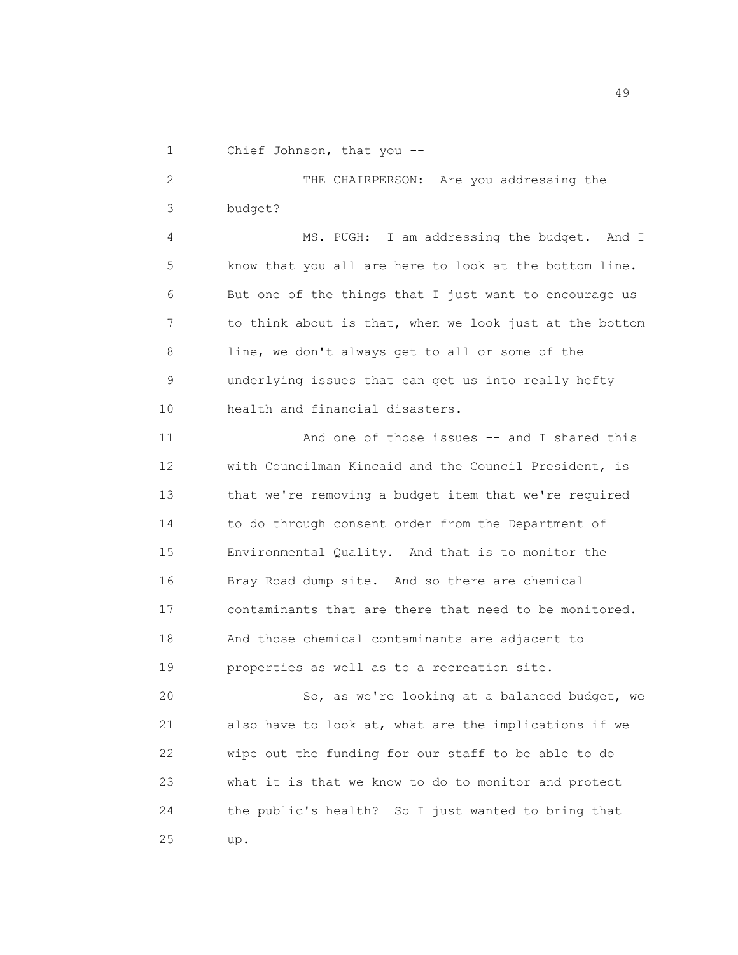1 Chief Johnson, that you --

2 THE CHAIRPERSON: Are you addressing the 3 budget?

4 MS. PUGH: I am addressing the budget. And I 5 know that you all are here to look at the bottom line. 6 But one of the things that I just want to encourage us 7 to think about is that, when we look just at the bottom 8 line, we don't always get to all or some of the 9 underlying issues that can get us into really hefty 10 health and financial disasters.

11 And one of those issues -- and I shared this 12 with Councilman Kincaid and the Council President, is 13 that we're removing a budget item that we're required 14 to do through consent order from the Department of 15 Environmental Quality. And that is to monitor the 16 Bray Road dump site. And so there are chemical 17 contaminants that are there that need to be monitored. 18 And those chemical contaminants are adjacent to 19 properties as well as to a recreation site.

20 So, as we're looking at a balanced budget, we 21 also have to look at, what are the implications if we 22 wipe out the funding for our staff to be able to do 23 what it is that we know to do to monitor and protect 24 the public's health? So I just wanted to bring that 25 up.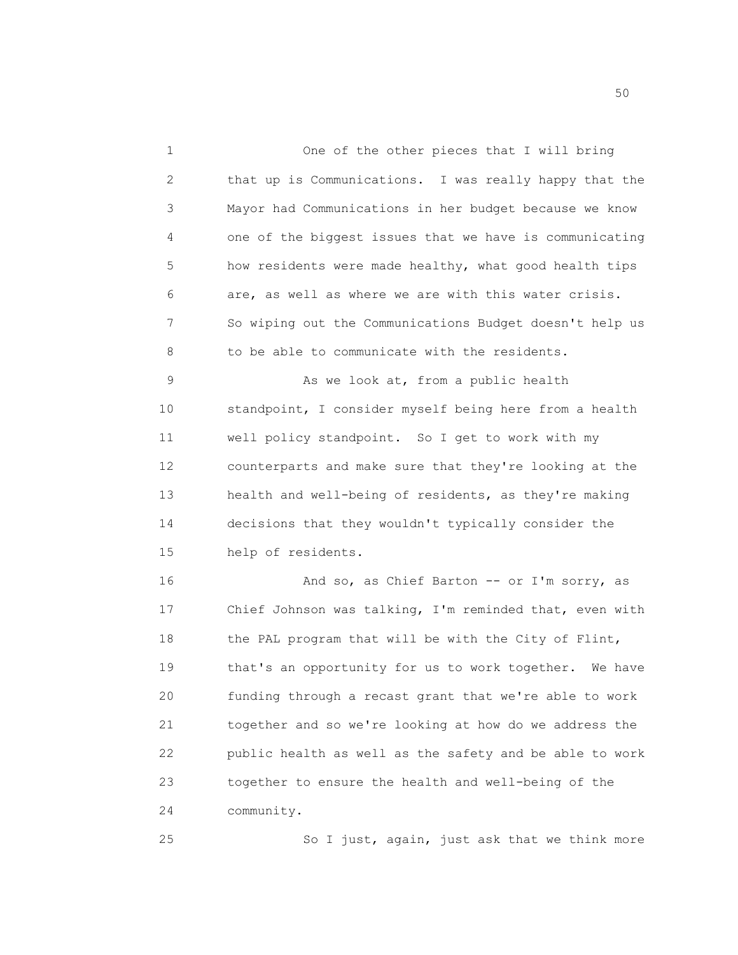1 One of the other pieces that I will bring 2 that up is Communications. I was really happy that the 3 Mayor had Communications in her budget because we know 4 one of the biggest issues that we have is communicating 5 how residents were made healthy, what good health tips 6 are, as well as where we are with this water crisis. 7 So wiping out the Communications Budget doesn't help us 8 to be able to communicate with the residents. 9 As we look at, from a public health 10 standpoint, I consider myself being here from a health 11 well policy standpoint. So I get to work with my 12 counterparts and make sure that they're looking at the 13 health and well-being of residents, as they're making 14 decisions that they wouldn't typically consider the 15 help of residents. 16 And so, as Chief Barton -- or I'm sorry, as 17 Chief Johnson was talking, I'm reminded that, even with 18 the PAL program that will be with the City of Flint, 19 that's an opportunity for us to work together. We have 20 funding through a recast grant that we're able to work 21 together and so we're looking at how do we address the 22 public health as well as the safety and be able to work 23 together to ensure the health and well-being of the 24 community. 25 So I just, again, just ask that we think more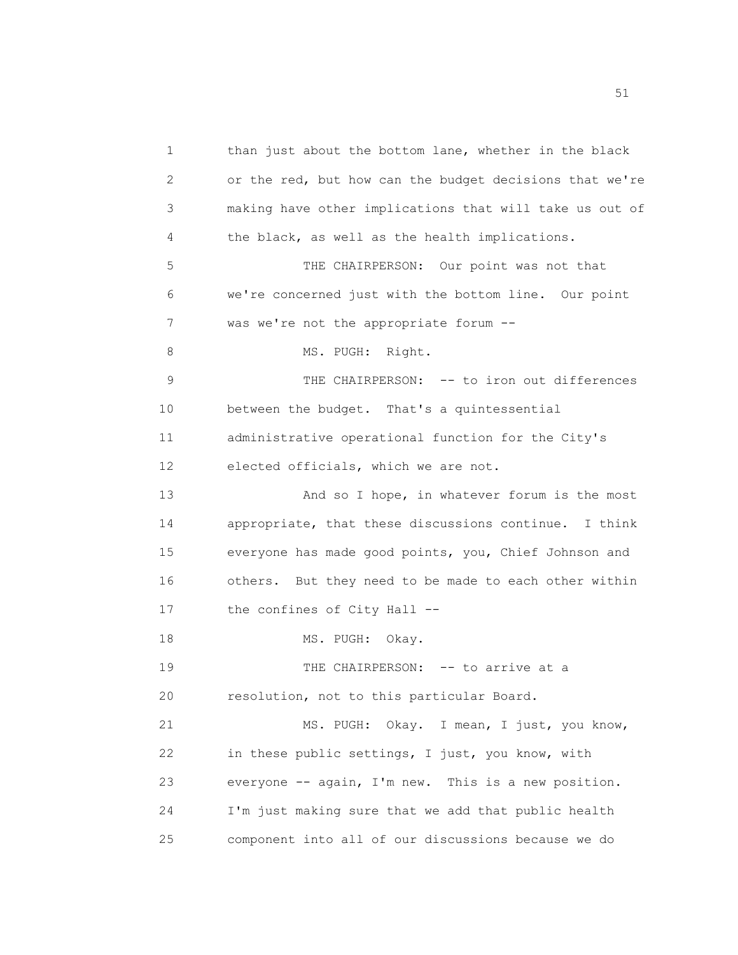1 than just about the bottom lane, whether in the black 2 or the red, but how can the budget decisions that we're 3 making have other implications that will take us out of 4 the black, as well as the health implications. 5 THE CHAIRPERSON: Our point was not that 6 we're concerned just with the bottom line. Our point 7 was we're not the appropriate forum -- 8 MS. PUGH: Right. 9 THE CHAIRPERSON: -- to iron out differences 10 between the budget. That's a quintessential 11 administrative operational function for the City's 12 elected officials, which we are not. 13 And so I hope, in whatever forum is the most 14 appropriate, that these discussions continue. I think 15 everyone has made good points, you, Chief Johnson and 16 others. But they need to be made to each other within 17 the confines of City Hall --18 MS. PUGH: Okay. 19 THE CHAIRPERSON: -- to arrive at a 20 resolution, not to this particular Board. 21 MS. PUGH: Okay. I mean, I just, you know, 22 in these public settings, I just, you know, with 23 everyone -- again, I'm new. This is a new position. 24 I'm just making sure that we add that public health 25 component into all of our discussions because we do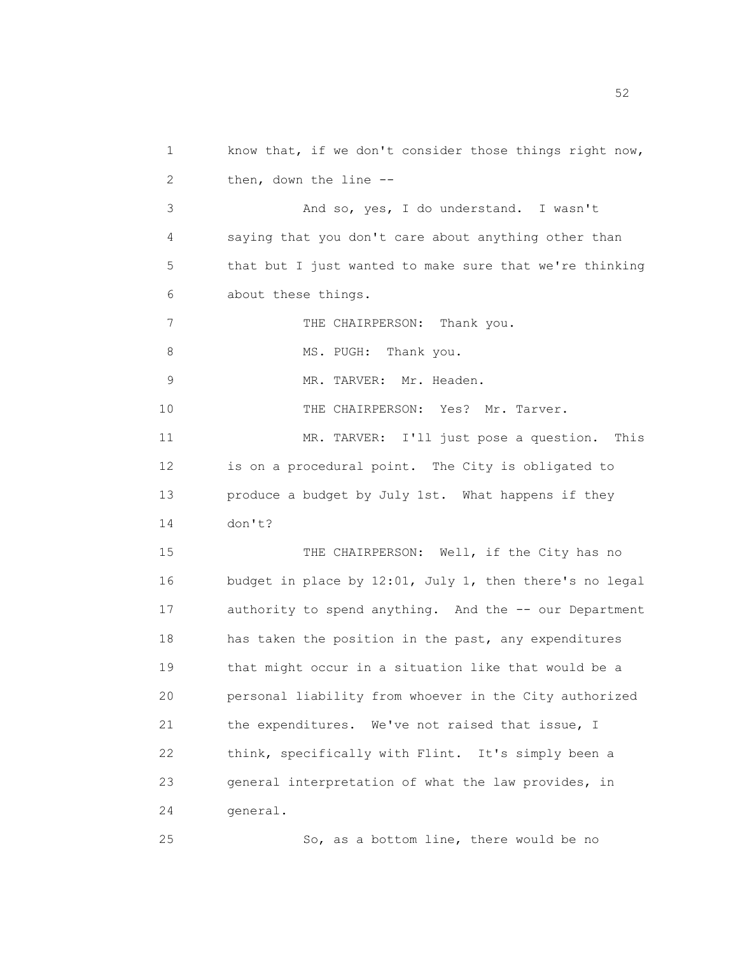1 know that, if we don't consider those things right now, 2 then, down the line -- 3 And so, yes, I do understand. I wasn't 4 saying that you don't care about anything other than 5 that but I just wanted to make sure that we're thinking 6 about these things. 7 THE CHAIRPERSON: Thank you. 8 MS. PUGH: Thank you. 9 MR. TARVER: Mr. Headen. 10 THE CHAIRPERSON: Yes? Mr. Tarver. 11 MR. TARVER: I'll just pose a question. This 12 is on a procedural point. The City is obligated to 13 produce a budget by July 1st. What happens if they 14 don't? 15 THE CHAIRPERSON: Well, if the City has no 16 budget in place by 12:01, July 1, then there's no legal 17 authority to spend anything. And the -- our Department 18 has taken the position in the past, any expenditures 19 that might occur in a situation like that would be a 20 personal liability from whoever in the City authorized 21 the expenditures. We've not raised that issue, I 22 think, specifically with Flint. It's simply been a 23 general interpretation of what the law provides, in 24 general. 25 So, as a bottom line, there would be no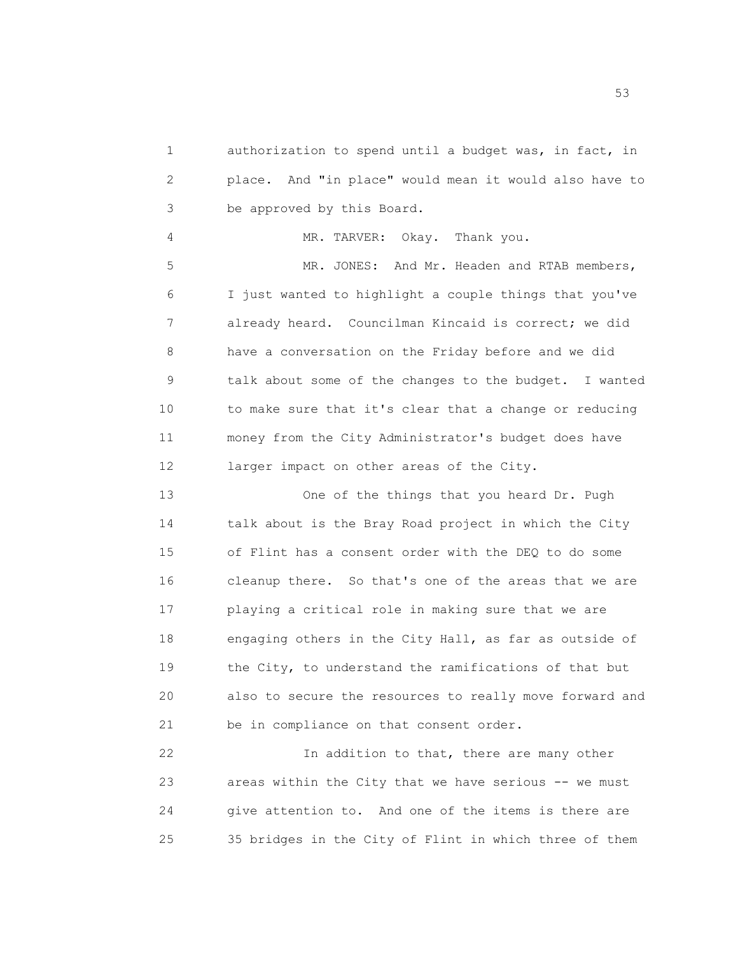1 authorization to spend until a budget was, in fact, in 2 place. And "in place" would mean it would also have to 3 be approved by this Board.

4 MR. TARVER: Okay. Thank you. 5 MR. JONES: And Mr. Headen and RTAB members, 6 I just wanted to highlight a couple things that you've 7 already heard. Councilman Kincaid is correct; we did 8 have a conversation on the Friday before and we did 9 talk about some of the changes to the budget. I wanted 10 to make sure that it's clear that a change or reducing 11 money from the City Administrator's budget does have 12 larger impact on other areas of the City.

13 One of the things that you heard Dr. Pugh 14 talk about is the Bray Road project in which the City 15 of Flint has a consent order with the DEQ to do some 16 cleanup there. So that's one of the areas that we are 17 playing a critical role in making sure that we are 18 engaging others in the City Hall, as far as outside of 19 the City, to understand the ramifications of that but 20 also to secure the resources to really move forward and 21 be in compliance on that consent order.

22 In addition to that, there are many other 23 areas within the City that we have serious -- we must 24 give attention to. And one of the items is there are 25 35 bridges in the City of Flint in which three of them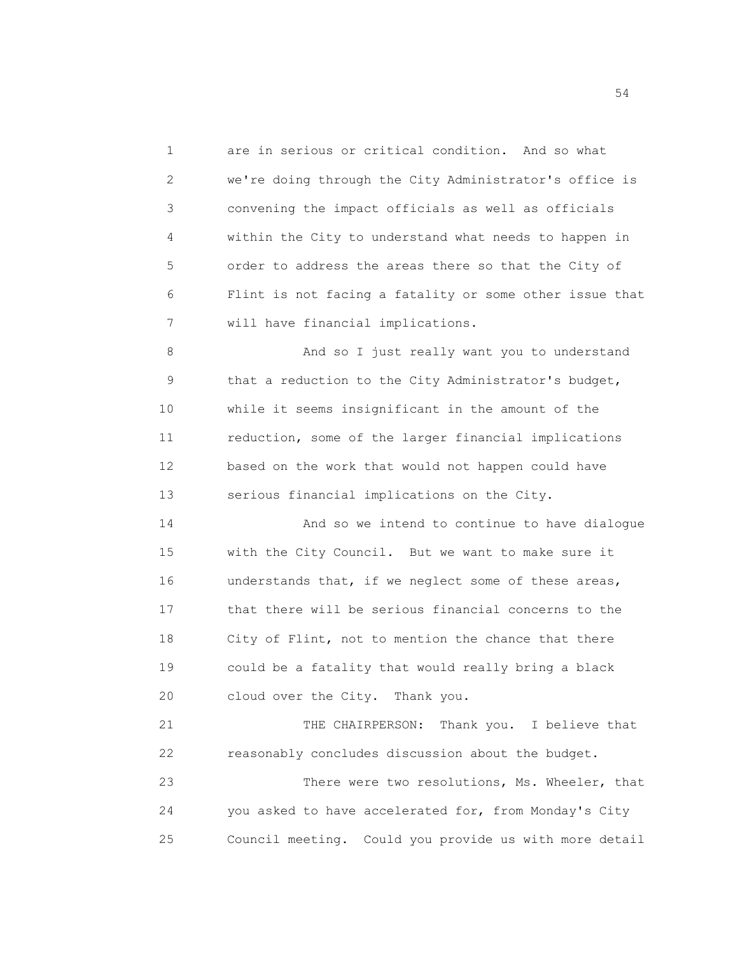1 are in serious or critical condition. And so what 2 we're doing through the City Administrator's office is 3 convening the impact officials as well as officials 4 within the City to understand what needs to happen in 5 order to address the areas there so that the City of 6 Flint is not facing a fatality or some other issue that 7 will have financial implications.

8 And so I just really want you to understand 9 that a reduction to the City Administrator's budget, 10 while it seems insignificant in the amount of the 11 reduction, some of the larger financial implications 12 based on the work that would not happen could have 13 serious financial implications on the City.

14 And so we intend to continue to have dialogue 15 with the City Council. But we want to make sure it 16 understands that, if we neglect some of these areas, 17 that there will be serious financial concerns to the 18 City of Flint, not to mention the chance that there 19 could be a fatality that would really bring a black 20 cloud over the City. Thank you.

21 THE CHAIRPERSON: Thank you. I believe that 22 reasonably concludes discussion about the budget.

23 There were two resolutions, Ms. Wheeler, that 24 you asked to have accelerated for, from Monday's City 25 Council meeting. Could you provide us with more detail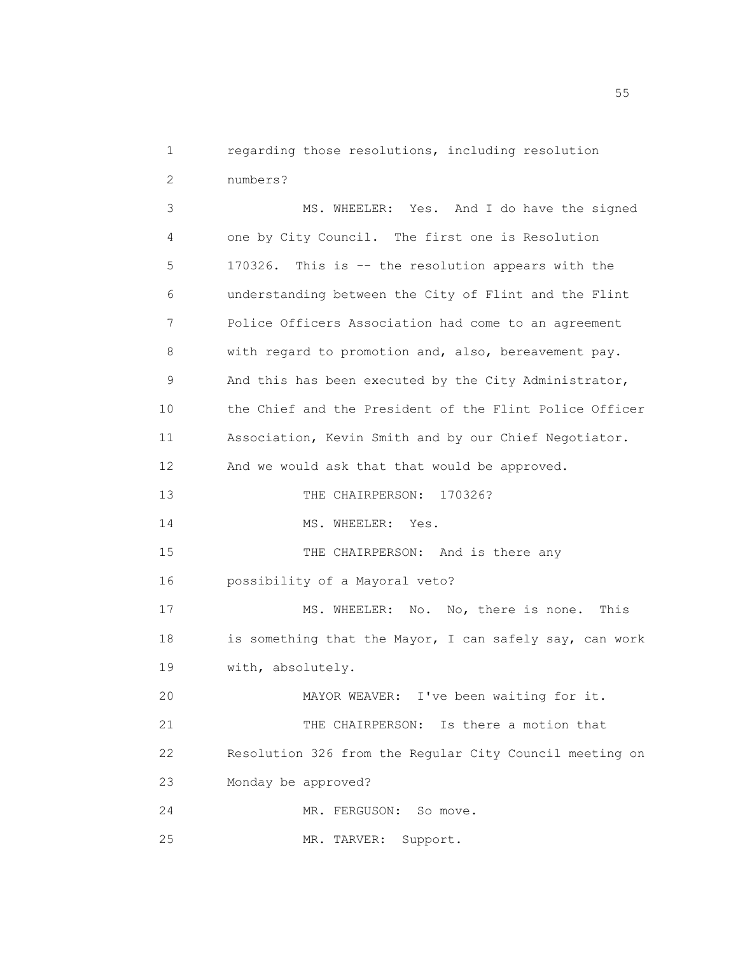1 regarding those resolutions, including resolution 2 numbers?

3 MS. WHEELER: Yes. And I do have the signed 4 one by City Council. The first one is Resolution 5 170326. This is -- the resolution appears with the 6 understanding between the City of Flint and the Flint 7 Police Officers Association had come to an agreement 8 with regard to promotion and, also, bereavement pay. 9 And this has been executed by the City Administrator, 10 the Chief and the President of the Flint Police Officer 11 Association, Kevin Smith and by our Chief Negotiator. 12 And we would ask that that would be approved. 13 THE CHAIRPERSON: 170326? 14 MS. WHEELER: Yes. 15 THE CHAIRPERSON: And is there any 16 possibility of a Mayoral veto? 17 MS. WHEELER: No. No, there is none. This 18 is something that the Mayor, I can safely say, can work 19 with, absolutely. 20 MAYOR WEAVER: I've been waiting for it. 21 THE CHAIRPERSON: Is there a motion that 22 Resolution 326 from the Regular City Council meeting on 23 Monday be approved? 24 MR. FERGUSON: So move. 25 MR. TARVER: Support.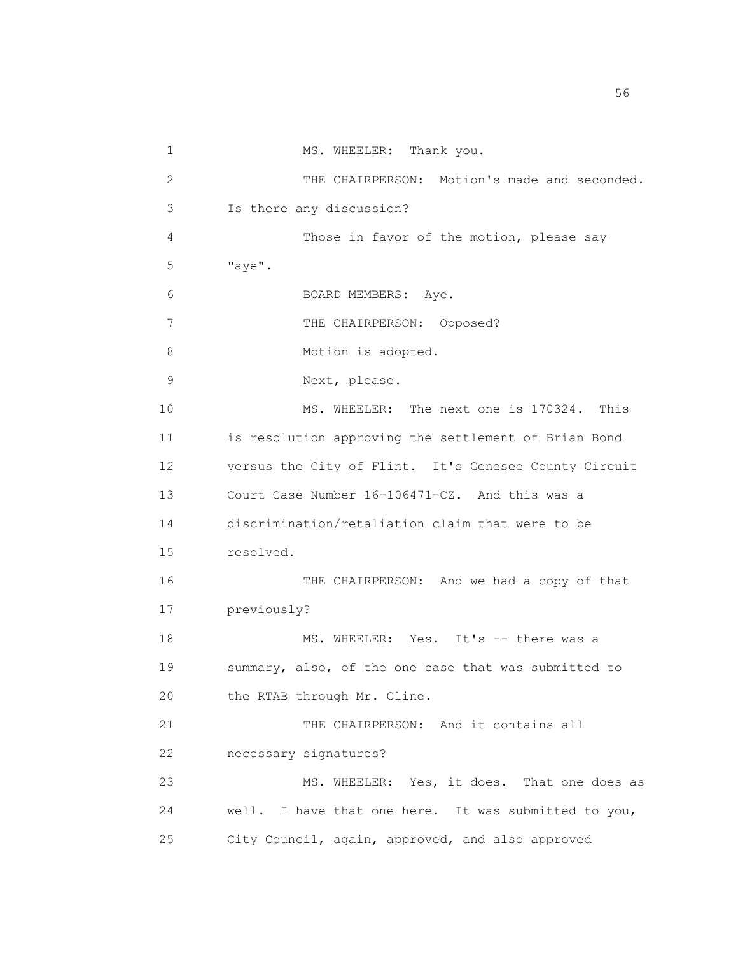1 MS. WHEELER: Thank you. 2 THE CHAIRPERSON: Motion's made and seconded. 3 Is there any discussion? 4 Those in favor of the motion, please say 5 "aye". 6 BOARD MEMBERS: Aye. 7 THE CHAIRPERSON: Opposed? 8 Motion is adopted. 9 Next, please. 10 MS. WHEELER: The next one is 170324. This 11 is resolution approving the settlement of Brian Bond 12 versus the City of Flint. It's Genesee County Circuit 13 Court Case Number 16-106471-CZ. And this was a 14 discrimination/retaliation claim that were to be 15 resolved. 16 THE CHAIRPERSON: And we had a copy of that 17 previously? 18 MS. WHEELER: Yes. It's -- there was a 19 summary, also, of the one case that was submitted to 20 the RTAB through Mr. Cline. 21 THE CHAIRPERSON: And it contains all 22 necessary signatures? 23 MS. WHEELER: Yes, it does. That one does as 24 well. I have that one here. It was submitted to you, 25 City Council, again, approved, and also approved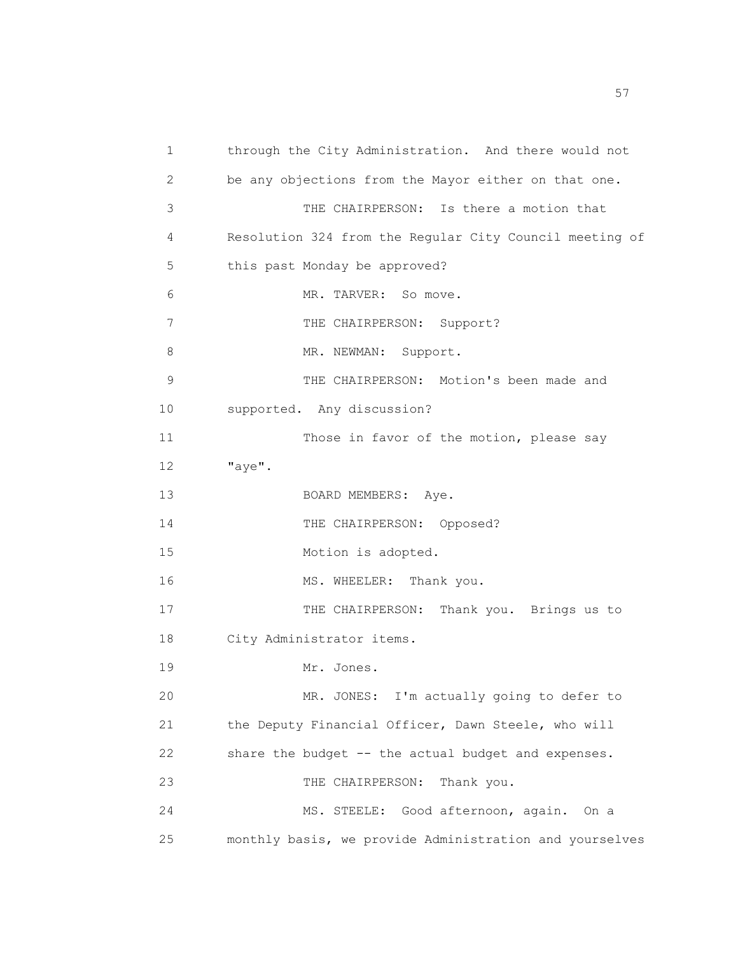1 through the City Administration. And there would not 2 be any objections from the Mayor either on that one. 3 THE CHAIRPERSON: Is there a motion that 4 Resolution 324 from the Regular City Council meeting of 5 this past Monday be approved? 6 MR. TARVER: So move. 7 THE CHAIRPERSON: Support? 8 MR. NEWMAN: Support. 9 THE CHAIRPERSON: Motion's been made and 10 supported. Any discussion? 11 Those in favor of the motion, please say 12 "aye". 13 BOARD MEMBERS: Aye. 14 THE CHAIRPERSON: Opposed? 15 Motion is adopted. 16 MS. WHEELER: Thank you. 17 THE CHAIRPERSON: Thank you. Brings us to 18 City Administrator items. 19 Mr. Jones. 20 MR. JONES: I'm actually going to defer to 21 the Deputy Financial Officer, Dawn Steele, who will 22 share the budget -- the actual budget and expenses. 23 THE CHAIRPERSON: Thank you. 24 MS. STEELE: Good afternoon, again. On a 25 monthly basis, we provide Administration and yourselves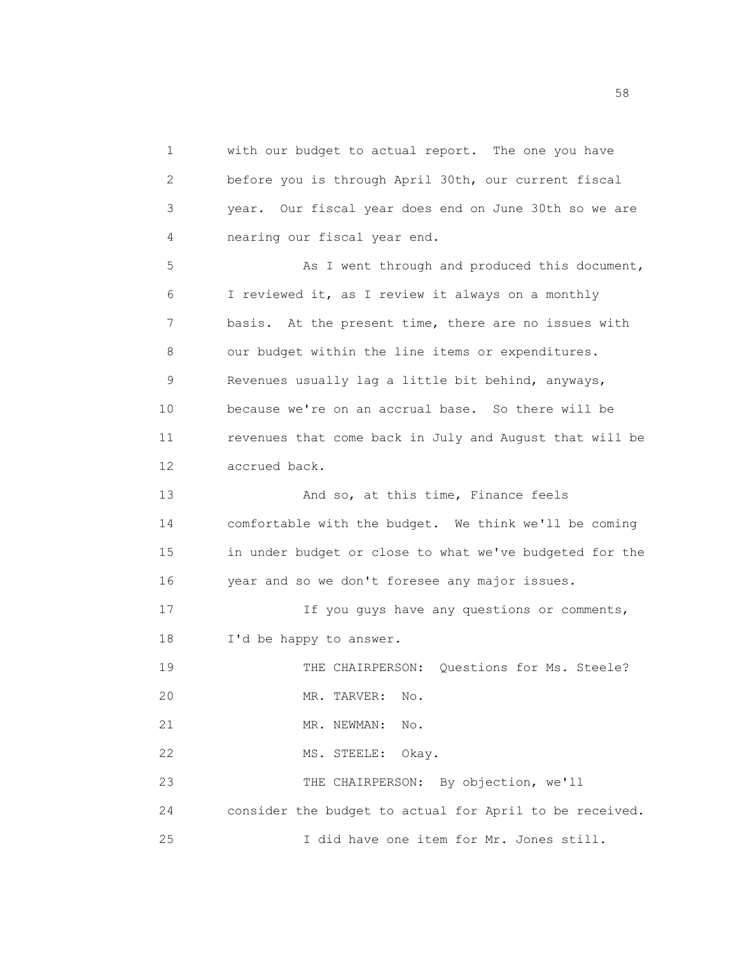1 with our budget to actual report. The one you have 2 before you is through April 30th, our current fiscal 3 year. Our fiscal year does end on June 30th so we are 4 nearing our fiscal year end. 5 As I went through and produced this document, 6 I reviewed it, as I review it always on a monthly 7 basis. At the present time, there are no issues with 8 our budget within the line items or expenditures. 9 Revenues usually lag a little bit behind, anyways, 10 because we're on an accrual base. So there will be 11 revenues that come back in July and August that will be 12 accrued back. 13 And so, at this time, Finance feels 14 comfortable with the budget. We think we'll be coming 15 in under budget or close to what we've budgeted for the 16 year and so we don't foresee any major issues. 17 17 If you guys have any questions or comments, 18 I'd be happy to answer. 19 THE CHAIRPERSON: Questions for Ms. Steele? 20 MR. TARVER: No. 21 MR. NEWMAN: No. 22 MS. STEELE: Okay. 23 THE CHAIRPERSON: By objection, we'll 24 consider the budget to actual for April to be received. 25 I did have one item for Mr. Jones still.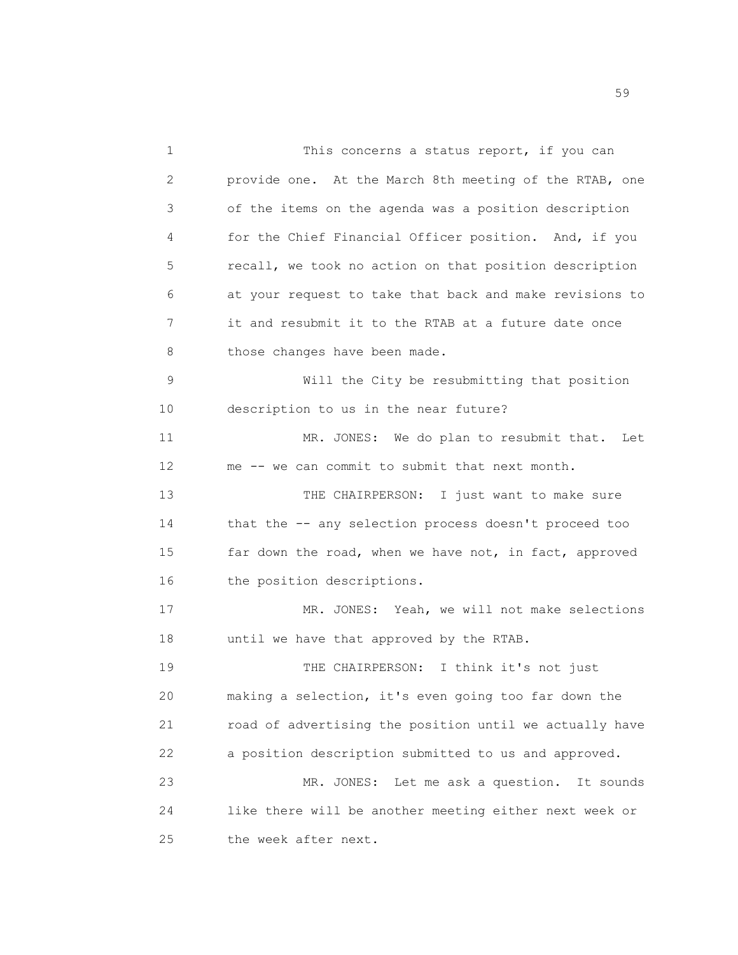1 This concerns a status report, if you can 2 provide one. At the March 8th meeting of the RTAB, one 3 of the items on the agenda was a position description 4 for the Chief Financial Officer position. And, if you 5 recall, we took no action on that position description 6 at your request to take that back and make revisions to 7 it and resubmit it to the RTAB at a future date once 8 those changes have been made. 9 Will the City be resubmitting that position 10 description to us in the near future? 11 MR. JONES: We do plan to resubmit that. Let 12 me -- we can commit to submit that next month. 13 THE CHAIRPERSON: I just want to make sure 14 that the -- any selection process doesn't proceed too 15 far down the road, when we have not, in fact, approved 16 the position descriptions. 17 MR. JONES: Yeah, we will not make selections 18 until we have that approved by the RTAB. 19 THE CHAIRPERSON: I think it's not just 20 making a selection, it's even going too far down the 21 road of advertising the position until we actually have 22 a position description submitted to us and approved. 23 MR. JONES: Let me ask a question. It sounds 24 like there will be another meeting either next week or 25 the week after next.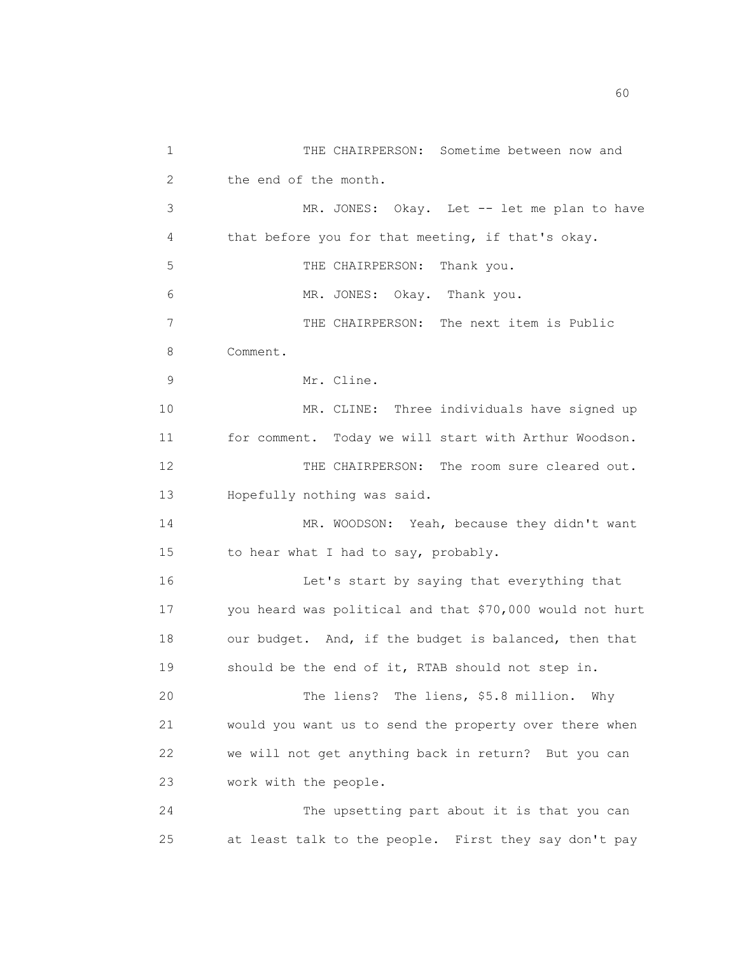1 THE CHAIRPERSON: Sometime between now and 2 the end of the month. 3 MR. JONES: Okay. Let -- let me plan to have 4 that before you for that meeting, if that's okay. 5 THE CHAIRPERSON: Thank you. 6 MR. JONES: Okay. Thank you. 7 THE CHAIRPERSON: The next item is Public 8 Comment. 9 Mr. Cline. 10 MR. CLINE: Three individuals have signed up 11 for comment. Today we will start with Arthur Woodson. 12 THE CHAIRPERSON: The room sure cleared out. 13 Hopefully nothing was said. 14 MR. WOODSON: Yeah, because they didn't want 15 to hear what I had to say, probably. 16 Let's start by saying that everything that 17 you heard was political and that \$70,000 would not hurt 18 our budget. And, if the budget is balanced, then that 19 should be the end of it, RTAB should not step in. 20 The liens? The liens, \$5.8 million. Why 21 would you want us to send the property over there when 22 we will not get anything back in return? But you can 23 work with the people. 24 The upsetting part about it is that you can 25 at least talk to the people. First they say don't pay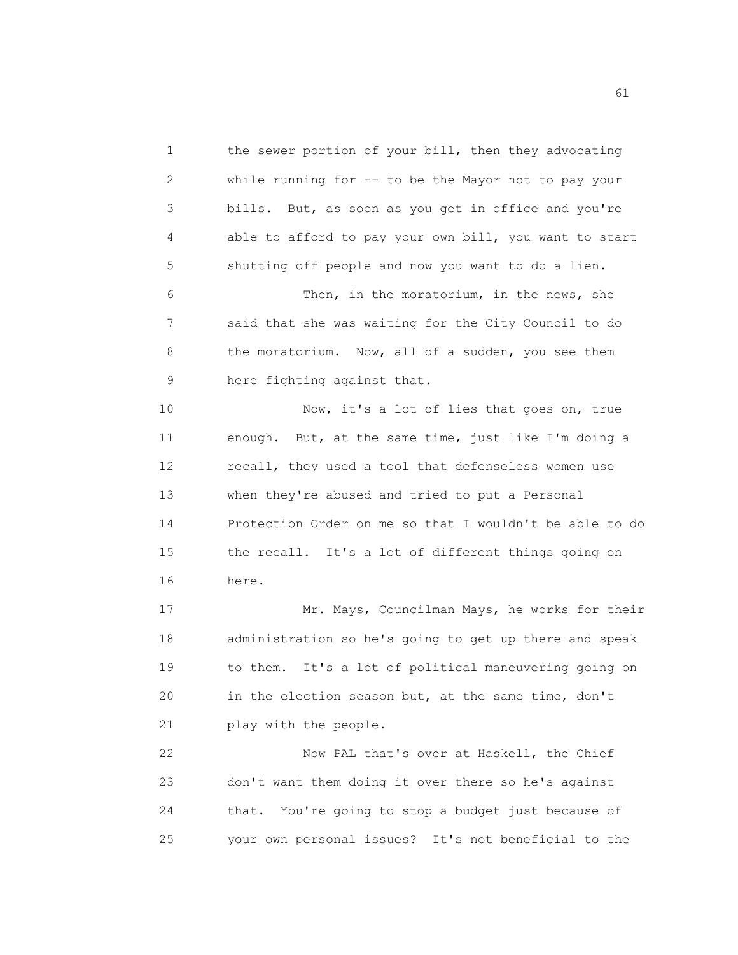1 the sewer portion of your bill, then they advocating 2 while running for -- to be the Mayor not to pay your 3 bills. But, as soon as you get in office and you're 4 able to afford to pay your own bill, you want to start 5 shutting off people and now you want to do a lien. 6 Then, in the moratorium, in the news, she 7 said that she was waiting for the City Council to do 8 the moratorium. Now, all of a sudden, you see them 9 here fighting against that. 10 Now, it's a lot of lies that goes on, true 11 enough. But, at the same time, just like I'm doing a 12 recall, they used a tool that defenseless women use 13 when they're abused and tried to put a Personal 14 Protection Order on me so that I wouldn't be able to do 15 the recall. It's a lot of different things going on 16 here.

17 Mr. Mays, Councilman Mays, he works for their 18 administration so he's going to get up there and speak 19 to them. It's a lot of political maneuvering going on 20 in the election season but, at the same time, don't 21 play with the people.

22 Now PAL that's over at Haskell, the Chief 23 don't want them doing it over there so he's against 24 that. You're going to stop a budget just because of 25 your own personal issues? It's not beneficial to the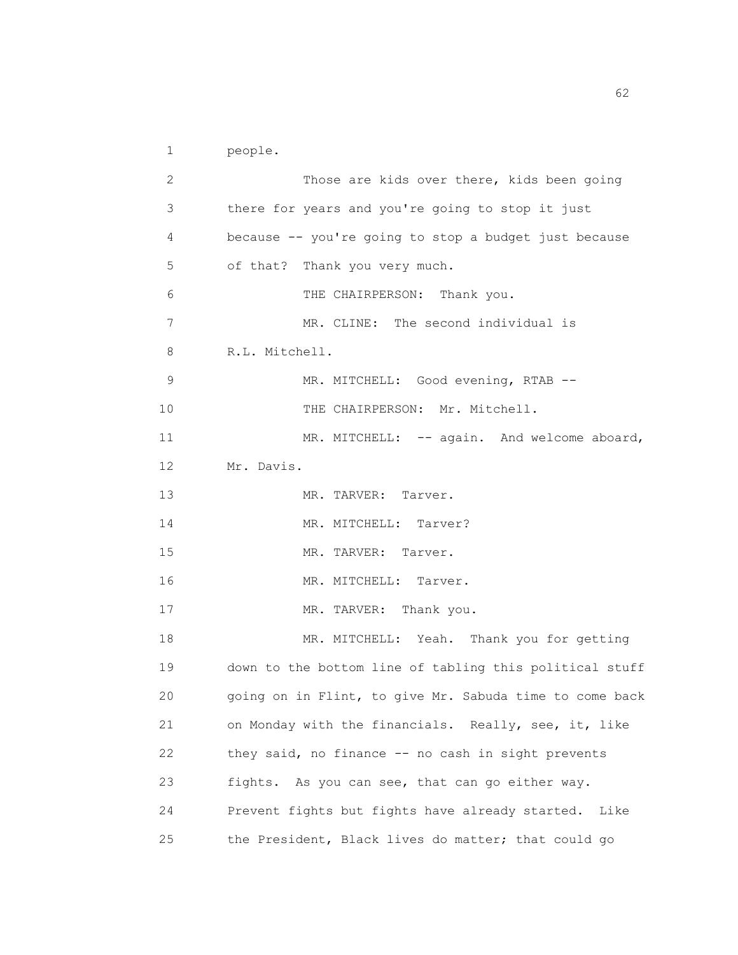```
1 people.
```

| 2  | Those are kids over there, kids been going              |
|----|---------------------------------------------------------|
| 3  | there for years and you're going to stop it just        |
| 4  | because -- you're going to stop a budget just because   |
| 5  | of that? Thank you very much.                           |
| 6  | THE CHAIRPERSON: Thank you.                             |
| 7  | MR. CLINE: The second individual is                     |
| 8  | R.L. Mitchell.                                          |
| 9  | MR. MITCHELL: Good evening, RTAB --                     |
| 10 | THE CHAIRPERSON: Mr. Mitchell.                          |
| 11 | MR. MITCHELL: -- again. And welcome aboard,             |
| 12 | Mr. Davis.                                              |
| 13 | MR. TARVER: Tarver.                                     |
| 14 | MR. MITCHELL: Tarver?                                   |
| 15 | MR. TARVER: Tarver.                                     |
| 16 | MR. MITCHELL: Tarver.                                   |
| 17 | MR. TARVER: Thank you.                                  |
| 18 | MR. MITCHELL: Yeah. Thank you for getting               |
| 19 | down to the bottom line of tabling this political stuff |
| 20 | going on in Flint, to give Mr. Sabuda time to come back |
| 21 | on Monday with the financials. Really, see, it, like    |
| 22 | they said, no finance -- no cash in sight prevents      |
| 23 | fights. As you can see, that can go either way.         |
| 24 | Prevent fights but fights have already started.<br>Like |
| 25 | the President, Black lives do matter; that could go     |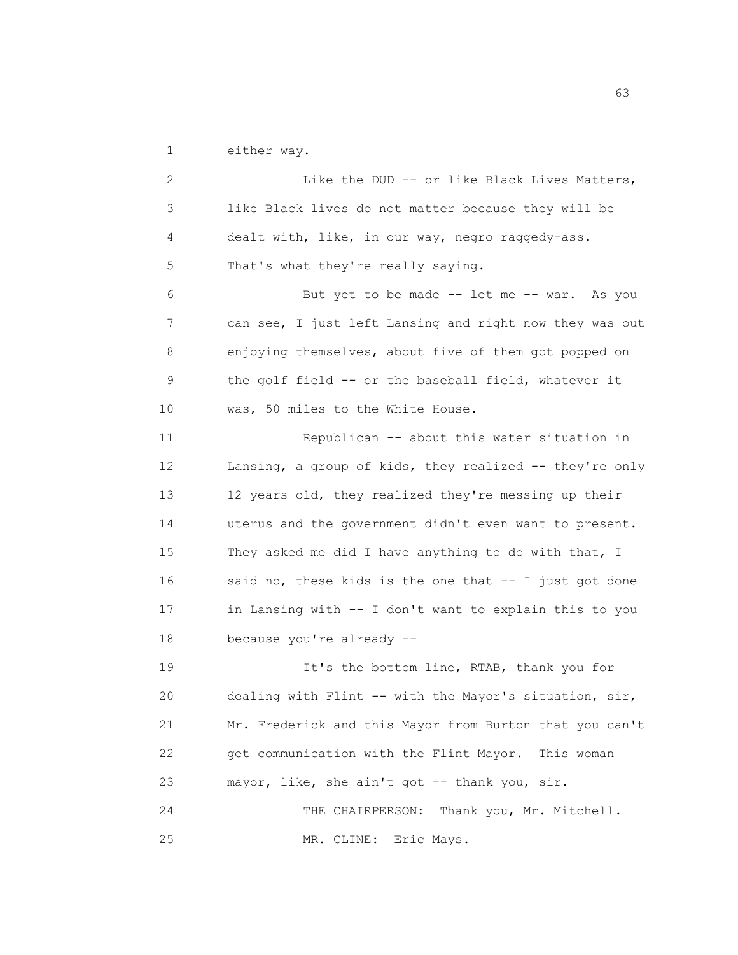1 either way.

2 Like the DUD -- or like Black Lives Matters, 3 like Black lives do not matter because they will be 4 dealt with, like, in our way, negro raggedy-ass. 5 That's what they're really saying. 6 But yet to be made -- let me -- war. As you 7 can see, I just left Lansing and right now they was out 8 enjoying themselves, about five of them got popped on 9 the golf field -- or the baseball field, whatever it 10 was, 50 miles to the White House. 11 Republican -- about this water situation in 12 Lansing, a group of kids, they realized -- they're only 13 12 years old, they realized they're messing up their 14 uterus and the government didn't even want to present. 15 They asked me did I have anything to do with that, I 16 said no, these kids is the one that -- I just got done 17 in Lansing with -- I don't want to explain this to you 18 because you're already -- 19 **It's the bottom line, RTAB, thank you for** 20 dealing with Flint -- with the Mayor's situation, sir, 21 Mr. Frederick and this Mayor from Burton that you can't 22 get communication with the Flint Mayor. This woman 23 mayor, like, she ain't got -- thank you, sir. 24 THE CHAIRPERSON: Thank you, Mr. Mitchell. 25 MR. CLINE: Eric Mays.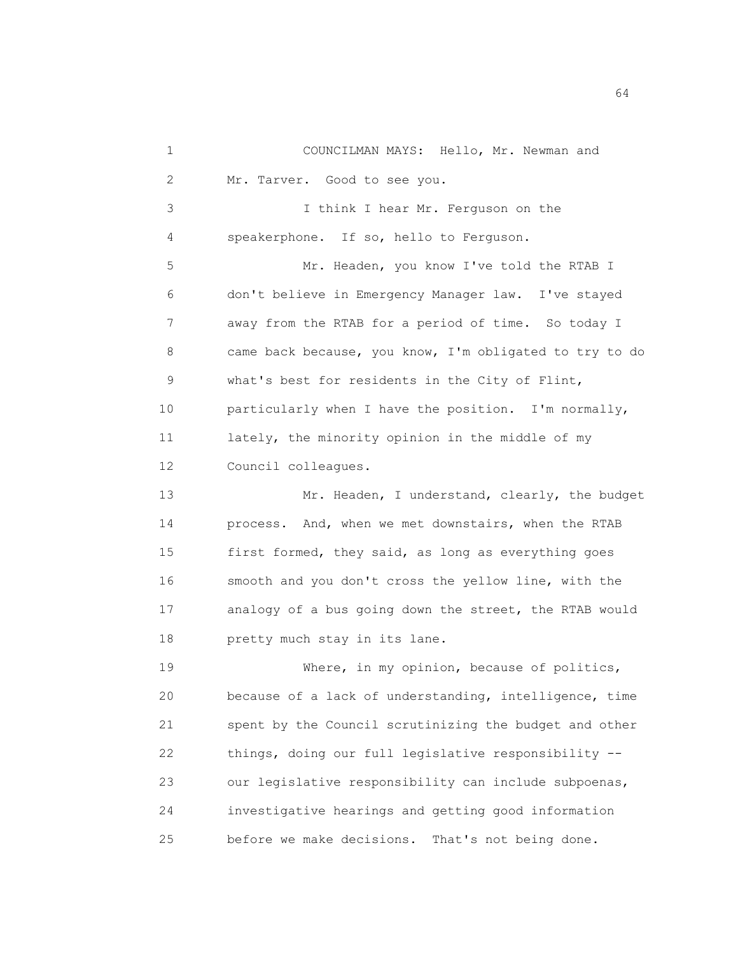1 COUNCILMAN MAYS: Hello, Mr. Newman and 2 Mr. Tarver. Good to see you. 3 I think I hear Mr. Ferguson on the 4 speakerphone. If so, hello to Ferguson. 5 Mr. Headen, you know I've told the RTAB I 6 don't believe in Emergency Manager law. I've stayed 7 away from the RTAB for a period of time. So today I 8 came back because, you know, I'm obligated to try to do 9 what's best for residents in the City of Flint, 10 particularly when I have the position. I'm normally, 11 lately, the minority opinion in the middle of my 12 Council colleagues. 13 Mr. Headen, I understand, clearly, the budget 14 process. And, when we met downstairs, when the RTAB 15 first formed, they said, as long as everything goes 16 smooth and you don't cross the yellow line, with the 17 analogy of a bus going down the street, the RTAB would 18 **pretty much stay in its lane.** 19 Where, in my opinion, because of politics, 20 because of a lack of understanding, intelligence, time 21 spent by the Council scrutinizing the budget and other 22 things, doing our full legislative responsibility -- 23 our legislative responsibility can include subpoenas, 24 investigative hearings and getting good information 25 before we make decisions. That's not being done.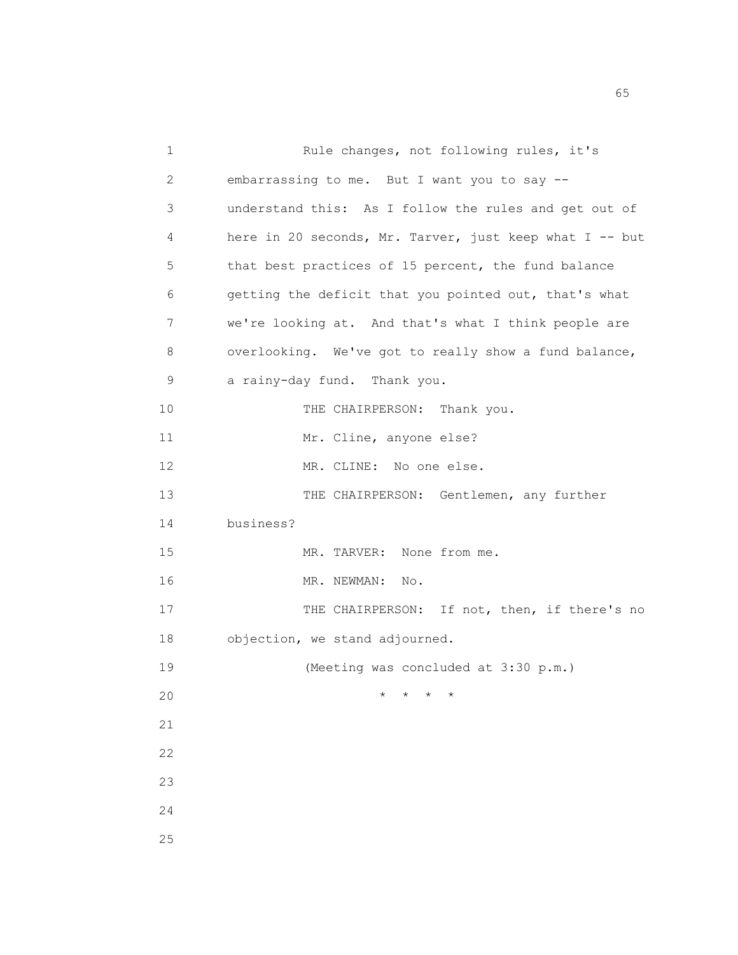1 Rule changes, not following rules, it's 2 embarrassing to me. But I want you to say -- 3 understand this: As I follow the rules and get out of 4 here in 20 seconds, Mr. Tarver, just keep what I -- but 5 that best practices of 15 percent, the fund balance 6 getting the deficit that you pointed out, that's what 7 we're looking at. And that's what I think people are 8 overlooking. We've got to really show a fund balance, 9 a rainy-day fund. Thank you. 10 THE CHAIRPERSON: Thank you. 11 Mr. Cline, anyone else? 12 MR. CLINE: No one else. 13 THE CHAIRPERSON: Gentlemen, any further 14 business? 15 MR. TARVER: None from me. 16 MR. NEWMAN: No. 17 THE CHAIRPERSON: If not, then, if there's no 18 objection, we stand adjourned. 19 (Meeting was concluded at 3:30 p.m.) 20  $\star$   $\star$   $\star$   $\star$ 21 22 23 24 25